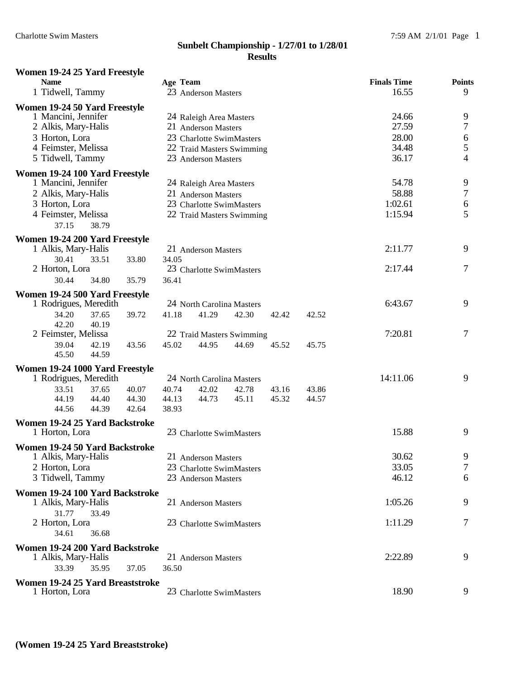| Women 19-24 25 Yard Freestyle                          |       |          |                                                 |       |       |       |                             |                                       |
|--------------------------------------------------------|-------|----------|-------------------------------------------------|-------|-------|-------|-----------------------------|---------------------------------------|
| <b>Name</b><br>1 Tidwell, Tammy                        |       | Age Team | 23 Anderson Masters                             |       |       |       | <b>Finals Time</b><br>16.55 | <b>Points</b><br>9                    |
| Women 19-24 50 Yard Freestyle                          |       |          |                                                 |       |       |       |                             |                                       |
| 1 Mancini, Jennifer                                    |       |          | 24 Raleigh Area Masters                         |       |       |       | 24.66                       | 9                                     |
| 2 Alkis, Mary-Halis                                    |       |          | 21 Anderson Masters                             |       |       |       | 27.59                       | $\boldsymbol{7}$                      |
| 3 Horton, Lora                                         |       |          | 23 Charlotte SwimMasters                        |       |       |       | 28.00                       | $\begin{array}{c} 6 \\ 5 \end{array}$ |
| 4 Feimster, Melissa                                    |       |          | 22 Traid Masters Swimming                       |       |       |       | 34.48                       |                                       |
| 5 Tidwell, Tammy                                       |       |          | 23 Anderson Masters                             |       |       |       | 36.17                       | $\overline{4}$                        |
| Women 19-24 100 Yard Freestyle                         |       |          |                                                 |       |       |       |                             |                                       |
| 1 Mancini, Jennifer                                    |       |          | 24 Raleigh Area Masters                         |       |       |       | 54.78<br>58.88              | $\boldsymbol{9}$<br>$\boldsymbol{7}$  |
| 2 Alkis, Mary-Halis<br>3 Horton, Lora                  |       |          | 21 Anderson Masters<br>23 Charlotte SwimMasters |       |       |       | 1:02.61                     |                                       |
| 4 Feimster, Melissa                                    |       |          | 22 Traid Masters Swimming                       |       |       |       | 1:15.94                     | $\begin{array}{c} 6 \\ 5 \end{array}$ |
| 37.15<br>38.79                                         |       |          |                                                 |       |       |       |                             |                                       |
| Women 19-24 200 Yard Freestyle                         |       |          |                                                 |       |       |       |                             |                                       |
| 1 Alkis, Mary-Halis                                    |       |          | 21 Anderson Masters                             |       |       |       | 2:11.77                     | 9                                     |
| 30.41<br>33.51                                         | 33.80 | 34.05    |                                                 |       |       |       |                             |                                       |
| 2 Horton, Lora                                         |       |          | 23 Charlotte SwimMasters                        |       |       |       | 2:17.44                     | $\tau$                                |
| 30.44<br>34.80                                         | 35.79 | 36.41    |                                                 |       |       |       |                             |                                       |
| Women 19-24 500 Yard Freestyle                         |       |          |                                                 |       |       |       |                             |                                       |
| 1 Rodrigues, Meredith                                  |       |          | 24 North Carolina Masters                       |       |       |       | 6:43.67                     | 9                                     |
| 34.20<br>37.65<br>42.20<br>40.19                       | 39.72 | 41.18    | 41.29                                           | 42.30 | 42.42 | 42.52 |                             |                                       |
| 2 Feimster, Melissa                                    |       |          | 22 Traid Masters Swimming                       |       |       |       | 7:20.81                     | $\overline{7}$                        |
| 39.04<br>42.19                                         | 43.56 | 45.02    | 44.95                                           | 44.69 | 45.52 | 45.75 |                             |                                       |
| 44.59<br>45.50                                         |       |          |                                                 |       |       |       |                             |                                       |
| Women 19-24 1000 Yard Freestyle                        |       |          |                                                 |       |       |       |                             |                                       |
| 1 Rodrigues, Meredith                                  |       |          | 24 North Carolina Masters                       |       |       |       | 14:11.06                    | 9                                     |
| 33.51<br>37.65                                         | 40.07 | 40.74    | 42.02                                           | 42.78 | 43.16 | 43.86 |                             |                                       |
| 44.19<br>44.40                                         | 44.30 | 44.13    | 44.73                                           | 45.11 | 45.32 | 44.57 |                             |                                       |
| 44.56<br>44.39                                         | 42.64 | 38.93    |                                                 |       |       |       |                             |                                       |
| Women 19-24 25 Yard Backstroke                         |       |          |                                                 |       |       |       |                             |                                       |
| 1 Horton, Lora                                         |       |          | 23 Charlotte SwimMasters                        |       |       |       | 15.88                       | 9                                     |
| Women 19-24 50 Yard Backstroke                         |       |          |                                                 |       |       |       | 30.62                       |                                       |
| 1 Alkis, Mary-Halis<br>2 Horton, Lora                  |       |          | 21 Anderson Masters                             |       |       |       | 33.05                       | 9<br>7                                |
| 3 Tidwell, Tammy                                       |       |          | 23 Charlotte SwimMasters<br>23 Anderson Masters |       |       |       | 46.12                       | 6                                     |
|                                                        |       |          |                                                 |       |       |       |                             |                                       |
| Women 19-24 100 Yard Backstroke<br>1 Alkis, Mary-Halis |       |          | 21 Anderson Masters                             |       |       |       | 1:05.26                     | 9                                     |
| 31.77<br>33.49                                         |       |          |                                                 |       |       |       |                             |                                       |
| 2 Horton, Lora                                         |       |          | 23 Charlotte SwimMasters                        |       |       |       | 1:11.29                     | 7                                     |
| 34.61<br>36.68                                         |       |          |                                                 |       |       |       |                             |                                       |
| Women 19-24 200 Yard Backstroke                        |       |          |                                                 |       |       |       |                             |                                       |
| 1 Alkis, Mary-Halis                                    |       |          | 21 Anderson Masters                             |       |       |       | 2:22.89                     | 9                                     |
| 33.39<br>35.95                                         | 37.05 | 36.50    |                                                 |       |       |       |                             |                                       |
| Women 19-24 25 Yard Breaststroke                       |       |          |                                                 |       |       |       |                             |                                       |
| 1 Horton, Lora                                         |       |          | 23 Charlotte SwimMasters                        |       |       |       | 18.90                       | 9                                     |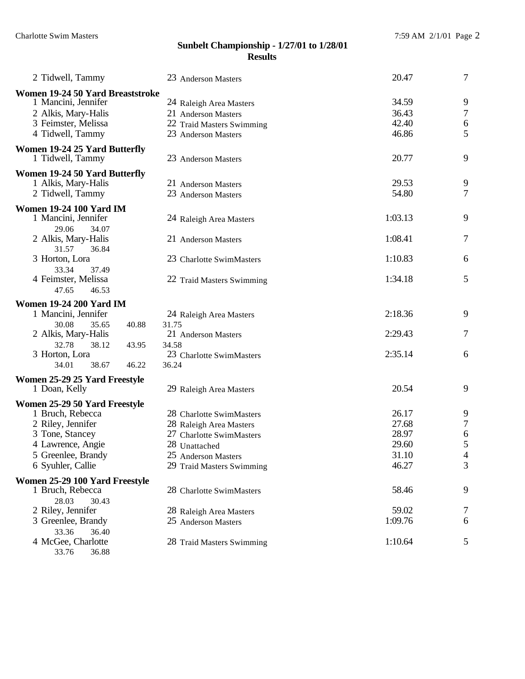| 2 Tidwell, Tammy                                                                                                          | 23 Anderson Masters                                                                                | 20.47                            | $\tau$                          |
|---------------------------------------------------------------------------------------------------------------------------|----------------------------------------------------------------------------------------------------|----------------------------------|---------------------------------|
| Women 19-24 50 Yard Breaststroke<br>1 Mancini, Jennifer<br>2 Alkis, Mary-Halis<br>3 Feimster, Melissa<br>4 Tidwell, Tammy | 24 Raleigh Area Masters<br>21 Anderson Masters<br>22 Traid Masters Swimming<br>23 Anderson Masters | 34.59<br>36.43<br>42.40<br>46.86 | 9<br>$\boldsymbol{7}$<br>6<br>5 |
| <b>Women 19-24 25 Yard Butterfly</b><br>1 Tidwell, Tammy                                                                  | 23 Anderson Masters                                                                                | 20.77                            | 9                               |
| Women 19-24 50 Yard Butterfly<br>1 Alkis, Mary-Halis<br>2 Tidwell, Tammy                                                  | 21 Anderson Masters<br>23 Anderson Masters                                                         | 29.53<br>54.80                   | 9<br>$\tau$                     |
| <b>Women 19-24 100 Yard IM</b><br>1 Mancini, Jennifer                                                                     | 24 Raleigh Area Masters                                                                            | 1:03.13                          | 9                               |
| 29.06<br>34.07<br>2 Alkis, Mary-Halis<br>31.57<br>36.84                                                                   | 21 Anderson Masters                                                                                | 1:08.41                          | 7                               |
| 3 Horton, Lora<br>33.34<br>37.49                                                                                          | 23 Charlotte SwimMasters                                                                           | 1:10.83                          | 6                               |
| 4 Feimster, Melissa<br>47.65<br>46.53                                                                                     | 22 Traid Masters Swimming                                                                          | 1:34.18                          | 5                               |
| <b>Women 19-24 200 Yard IM</b>                                                                                            |                                                                                                    |                                  |                                 |
| 1 Mancini, Jennifer                                                                                                       | 24 Raleigh Area Masters                                                                            | 2:18.36                          | 9                               |
| 30.08<br>35.65<br>40.88<br>2 Alkis, Mary-Halis<br>32.78<br>38.12                                                          | 31.75<br>21 Anderson Masters<br>34.58                                                              | 2:29.43                          | 7                               |
| 43.95<br>3 Horton, Lora<br>46.22<br>34.01<br>38.67                                                                        | 23 Charlotte SwimMasters<br>36.24                                                                  | 2:35.14                          | 6                               |
| Women 25-29 25 Yard Freestyle                                                                                             |                                                                                                    |                                  |                                 |
| 1 Doan, Kelly                                                                                                             | 29 Raleigh Area Masters                                                                            | 20.54                            | 9                               |
| Women 25-29 50 Yard Freestyle                                                                                             |                                                                                                    |                                  |                                 |
| 1 Bruch, Rebecca                                                                                                          | 28 Charlotte SwimMasters                                                                           | 26.17                            | 9                               |
| 2 Riley, Jennifer                                                                                                         | 28 Raleigh Area Masters                                                                            | 27.68                            | 7                               |
| 3 Tone, Stancey                                                                                                           | 27 Charlotte SwimMasters                                                                           | 28.97                            | 6                               |
| 4 Lawrence, Angie                                                                                                         | 28 Unattached                                                                                      | 29.60                            | 5                               |
| 5 Greenlee, Brandy                                                                                                        | 25 Anderson Masters                                                                                | 31.10                            | $\overline{4}$                  |
| 6 Syuhler, Callie                                                                                                         | 29 Traid Masters Swimming                                                                          | 46.27                            | 3                               |
| Women 25-29 100 Yard Freestyle                                                                                            |                                                                                                    |                                  |                                 |
| 1 Bruch, Rebecca                                                                                                          | 28 Charlotte SwimMasters                                                                           | 58.46                            | 9                               |
| 28.03<br>30.43                                                                                                            |                                                                                                    |                                  |                                 |
| 2 Riley, Jennifer                                                                                                         | 28 Raleigh Area Masters                                                                            | 59.02                            | 7                               |
| 3 Greenlee, Brandy                                                                                                        | 25 Anderson Masters                                                                                | 1:09.76                          | 6                               |
| 33.36<br>36.40                                                                                                            |                                                                                                    |                                  |                                 |
| 4 McGee, Charlotte                                                                                                        | 28 Traid Masters Swimming                                                                          | 1:10.64                          | 5                               |
| 36.88<br>33.76                                                                                                            |                                                                                                    |                                  |                                 |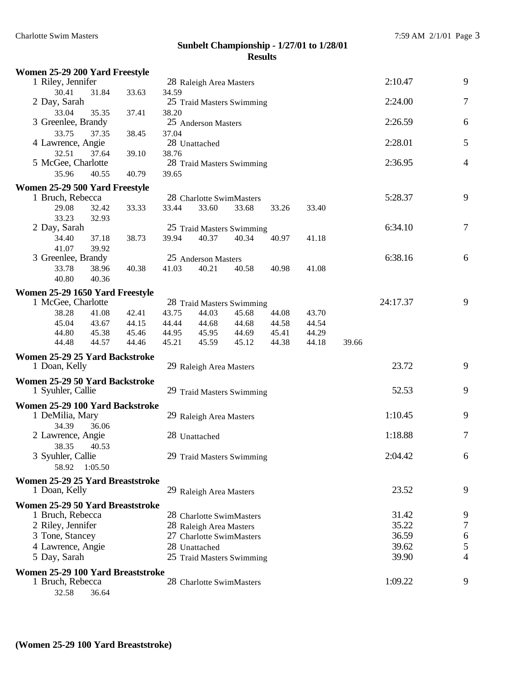| Women 25-29 200 Yard Freestyle                        |                |                |                |                                                     |                |                |                |       |          |                       |
|-------------------------------------------------------|----------------|----------------|----------------|-----------------------------------------------------|----------------|----------------|----------------|-------|----------|-----------------------|
| 1 Riley, Jennifer                                     |                |                |                | 28 Raleigh Area Masters                             |                |                |                |       | 2:10.47  | 9                     |
| 30.41                                                 | 31.84          | 33.63          | 34.59          |                                                     |                |                |                |       |          |                       |
| 2 Day, Sarah                                          |                |                |                | 25 Traid Masters Swimming                           |                |                |                |       | 2:24.00  | 7                     |
| 33.04                                                 | 35.35          | 37.41          | 38.20          |                                                     |                |                |                |       |          |                       |
| 3 Greenlee, Brandy                                    |                |                |                | 25 Anderson Masters                                 |                |                |                |       | 2:26.59  | 6                     |
| 33.75<br>4 Lawrence, Angie                            | 37.35          | 38.45          | 37.04          | 28 Unattached                                       |                |                |                |       | 2:28.01  | 5                     |
| 32.51                                                 | 37.64          | 39.10          | 38.76          |                                                     |                |                |                |       |          |                       |
| 5 McGee, Charlotte                                    |                |                |                | 28 Traid Masters Swimming                           |                |                |                |       | 2:36.95  | $\overline{4}$        |
| 35.96                                                 | 40.55          | 40.79          | 39.65          |                                                     |                |                |                |       |          |                       |
| Women 25-29 500 Yard Freestyle                        |                |                |                |                                                     |                |                |                |       |          |                       |
| 1 Bruch, Rebecca                                      |                |                |                | 28 Charlotte SwimMasters                            |                |                |                |       | 5:28.37  | 9                     |
| 29.08                                                 | 32.42          | 33.33          | 33.44          | 33.60                                               | 33.68          | 33.26          | 33.40          |       |          |                       |
| 33.23                                                 | 32.93          |                |                |                                                     |                |                |                |       |          |                       |
| 2 Day, Sarah                                          |                |                |                | 25 Traid Masters Swimming                           |                |                |                |       | 6:34.10  | 7                     |
| 34.40                                                 | 37.18          | 38.73          | 39.94          | 40.37                                               | 40.34          | 40.97          | 41.18          |       |          |                       |
| 41.07                                                 | 39.92          |                |                |                                                     |                |                |                |       |          |                       |
| 3 Greenlee, Brandy                                    |                |                |                | 25 Anderson Masters                                 |                |                |                |       | 6:38.16  | 6                     |
| 33.78                                                 | 38.96          | 40.38          | 41.03          | 40.21                                               | 40.58          | 40.98          | 41.08          |       |          |                       |
| 40.80                                                 | 40.36          |                |                |                                                     |                |                |                |       |          |                       |
| Women 25-29 1650 Yard Freestyle                       |                |                |                |                                                     |                |                |                |       |          |                       |
| 1 McGee, Charlotte                                    |                |                |                | 28 Traid Masters Swimming                           |                |                |                |       | 24:17.37 | 9                     |
| 38.28                                                 | 41.08          | 42.41          | 43.75          | 44.03                                               | 45.68          | 44.08          | 43.70          |       |          |                       |
| 45.04<br>44.80                                        | 43.67<br>45.38 | 44.15<br>45.46 | 44.44<br>44.95 | 44.68<br>45.95                                      | 44.68<br>44.69 | 44.58<br>45.41 | 44.54<br>44.29 |       |          |                       |
| 44.48                                                 | 44.57          | 44.46          | 45.21          | 45.59                                               | 45.12          | 44.38          | 44.18          | 39.66 |          |                       |
| Women 25-29 25 Yard Backstroke                        |                |                |                |                                                     |                |                |                |       |          |                       |
| 1 Doan, Kelly                                         |                |                |                | 29 Raleigh Area Masters                             |                |                |                |       | 23.72    | 9                     |
|                                                       |                |                |                |                                                     |                |                |                |       |          |                       |
| Women 25-29 50 Yard Backstroke<br>1 Syuhler, Callie   |                |                |                | 29 Traid Masters Swimming                           |                |                |                |       | 52.53    | 9                     |
|                                                       |                |                |                |                                                     |                |                |                |       |          |                       |
| Women 25-29 100 Yard Backstroke                       |                |                |                |                                                     |                |                |                |       |          |                       |
| 1 DeMilia, Mary                                       |                |                |                | 29 Raleigh Area Masters                             |                |                |                |       | 1:10.45  | 9                     |
| 34.39<br>2 Lawrence, Angie                            | 36.06          |                |                | 28 Unattached                                       |                |                |                |       | 1:18.88  | $\boldsymbol{7}$      |
| 38.35                                                 | 40.53          |                |                |                                                     |                |                |                |       |          |                       |
| 3 Syuhler, Callie                                     |                |                |                | 29 Traid Masters Swimming                           |                |                |                |       | 2:04.42  | 6                     |
| 58.92 1:05.50                                         |                |                |                |                                                     |                |                |                |       |          |                       |
| Women 25-29 25 Yard Breaststroke                      |                |                |                |                                                     |                |                |                |       |          |                       |
| 1 Doan, Kelly                                         |                |                |                | 29 Raleigh Area Masters                             |                |                |                |       | 23.52    | 9                     |
|                                                       |                |                |                |                                                     |                |                |                |       |          |                       |
| Women 25-29 50 Yard Breaststroke                      |                |                |                |                                                     |                |                |                |       | 31.42    |                       |
| 1 Bruch, Rebecca<br>2 Riley, Jennifer                 |                |                |                | 28 Charlotte SwimMasters                            |                |                |                |       | 35.22    | 9<br>$\boldsymbol{7}$ |
| 3 Tone, Stancey                                       |                |                |                | 28 Raleigh Area Masters<br>27 Charlotte SwimMasters |                |                |                |       | 36.59    | 6                     |
| 4 Lawrence, Angie                                     |                |                |                | 28 Unattached                                       |                |                |                |       | 39.62    | 5                     |
| 5 Day, Sarah                                          |                |                |                | 25 Traid Masters Swimming                           |                |                |                |       | 39.90    | 4                     |
|                                                       |                |                |                |                                                     |                |                |                |       |          |                       |
| Women 25-29 100 Yard Breaststroke<br>1 Bruch, Rebecca |                |                |                | 28 Charlotte SwimMasters                            |                |                |                |       | 1:09.22  | 9                     |
| 32.58                                                 | 36.64          |                |                |                                                     |                |                |                |       |          |                       |
|                                                       |                |                |                |                                                     |                |                |                |       |          |                       |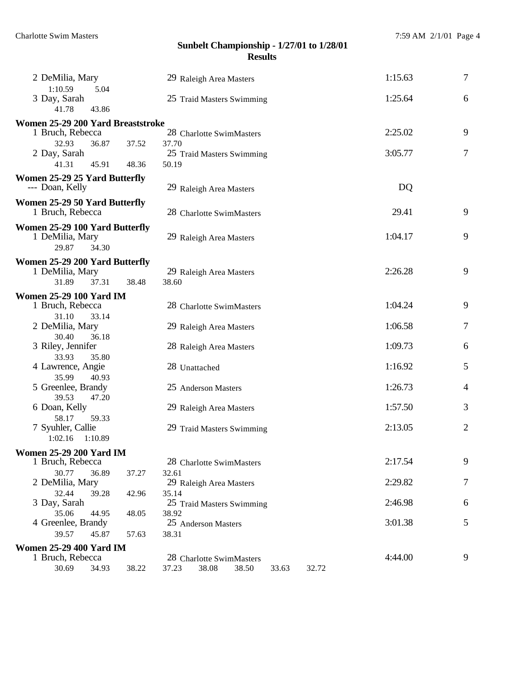| 2 DeMilia, Mary                                   |       | 29 Raleigh Area Masters                   | 1:15.63 | $\tau$         |
|---------------------------------------------------|-------|-------------------------------------------|---------|----------------|
| 1:10.59<br>5.04<br>3 Day, Sarah<br>41.78<br>43.86 |       | 25 Traid Masters Swimming                 | 1:25.64 | 6              |
|                                                   |       |                                           |         |                |
| Women 25-29 200 Yard Breaststroke                 |       |                                           |         |                |
| 1 Bruch, Rebecca                                  |       | 28 Charlotte SwimMasters                  | 2:25.02 | 9              |
| 32.93<br>36.87                                    | 37.52 | 37.70                                     |         |                |
| 2 Day, Sarah                                      |       | 25 Traid Masters Swimming                 | 3:05.77 | $\tau$         |
| 41.31<br>45.91                                    | 48.36 | 50.19                                     |         |                |
| Women 25-29 25 Yard Butterfly                     |       |                                           |         |                |
| --- Doan, Kelly                                   |       | 29 Raleigh Area Masters                   | DQ      |                |
|                                                   |       |                                           |         |                |
| Women 25-29 50 Yard Butterfly                     |       |                                           |         |                |
| 1 Bruch, Rebecca                                  |       | 28 Charlotte SwimMasters                  | 29.41   | 9              |
| Women 25-29 100 Yard Butterfly                    |       |                                           |         |                |
| 1 DeMilia, Mary                                   |       | 29 Raleigh Area Masters                   | 1:04.17 | 9              |
| 34.30<br>29.87                                    |       |                                           |         |                |
|                                                   |       |                                           |         |                |
| Women 25-29 200 Yard Butterfly                    |       |                                           |         |                |
| 1 DeMilia, Mary                                   |       | 29 Raleigh Area Masters                   | 2:26.28 | 9              |
| 31.89<br>37.31                                    | 38.48 | 38.60                                     |         |                |
|                                                   |       |                                           |         |                |
| <b>Women 25-29 100 Yard IM</b>                    |       |                                           |         |                |
| 1 Bruch, Rebecca                                  |       | 28 Charlotte SwimMasters                  | 1:04.24 | 9              |
| 31.10<br>33.14                                    |       |                                           |         |                |
| 2 DeMilia, Mary                                   |       | 29 Raleigh Area Masters                   | 1:06.58 | 7              |
| 30.40<br>36.18                                    |       |                                           |         |                |
| 3 Riley, Jennifer                                 |       | 28 Raleigh Area Masters                   | 1:09.73 | 6              |
| 33.93<br>35.80                                    |       |                                           |         |                |
| 4 Lawrence, Angie                                 |       | 28 Unattached                             | 1:16.92 | 5              |
| 35.99<br>40.93                                    |       |                                           |         |                |
| 5 Greenlee, Brandy                                |       | 25 Anderson Masters                       | 1:26.73 | $\overline{4}$ |
| 39.53<br>47.20                                    |       |                                           |         |                |
| 6 Doan, Kelly                                     |       | 29 Raleigh Area Masters                   | 1:57.50 | 3              |
| 58.17<br>59.33                                    |       |                                           |         |                |
| 7 Syuhler, Callie                                 |       | 29 Traid Masters Swimming                 | 2:13.05 | $\overline{2}$ |
| 1:02.16<br>1:10.89                                |       |                                           |         |                |
|                                                   |       |                                           |         |                |
| <b>Women 25-29 200 Yard IM</b>                    |       |                                           |         |                |
| 1 Bruch, Rebecca                                  |       | 28 Charlotte SwimMasters                  | 2:17.54 | 9              |
| 30.77<br>36.89                                    | 37.27 | 32.61                                     |         |                |
| 2 DeMilia, Mary                                   |       | 29 Raleigh Area Masters                   | 2:29.82 | 7              |
| 32.44<br>39.28                                    | 42.96 | 35.14                                     |         |                |
| 3 Day, Sarah                                      |       | 25 Traid Masters Swimming                 | 2:46.98 | 6              |
| 35.06<br>44.95                                    | 48.05 | 38.92                                     |         |                |
| 4 Greenlee, Brandy                                |       | 25 Anderson Masters                       | 3:01.38 | 5              |
| 39.57<br>45.87                                    | 57.63 | 38.31                                     |         |                |
| <b>Women 25-29 400 Yard IM</b>                    |       |                                           |         |                |
|                                                   |       |                                           |         |                |
| 1 Bruch, Rebecca                                  |       | 28 Charlotte SwimMasters                  | 4:44.00 | 9              |
| 30.69<br>34.93                                    | 38.22 | 38.50<br>37.23<br>38.08<br>33.63<br>32.72 |         |                |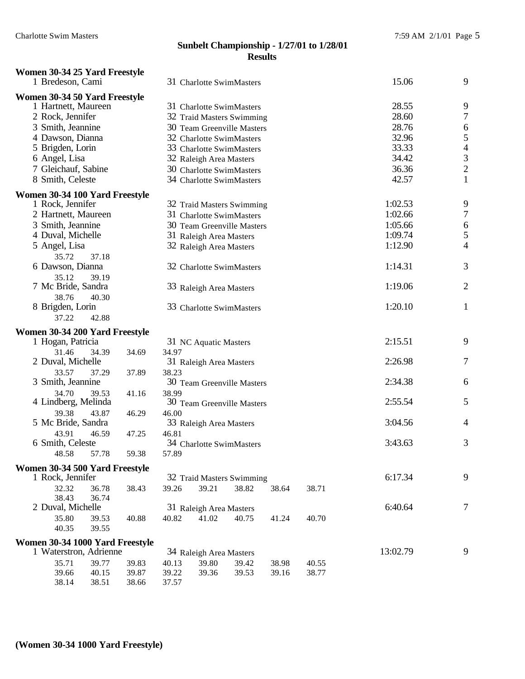| Women 30-34 25 Yard Freestyle<br>1 Bredeson, Cami |                | 31 Charlotte SwimMasters         |       |       |       | 15.06    | 9                        |
|---------------------------------------------------|----------------|----------------------------------|-------|-------|-------|----------|--------------------------|
| Women 30-34 50 Yard Freestyle                     |                |                                  |       |       |       |          |                          |
| 1 Hartnett, Maureen                               |                | 31 Charlotte SwimMasters         |       |       |       | 28.55    | 9                        |
| 2 Rock, Jennifer                                  |                | 32 Traid Masters Swimming        |       |       |       | 28.60    | $\sqrt{ }$               |
| 3 Smith, Jeannine                                 |                | 30 Team Greenville Masters       |       |       |       | 28.76    | 6                        |
| 4 Dawson, Dianna                                  |                | 32 Charlotte SwimMasters         |       |       |       | 32.96    | 5                        |
| 5 Brigden, Lorin                                  |                | 33 Charlotte SwimMasters         |       |       |       | 33.33    | $\overline{\mathcal{L}}$ |
| 6 Angel, Lisa                                     |                | 32 Raleigh Area Masters          |       |       |       | 34.42    | 3                        |
| 7 Gleichauf, Sabine                               |                | 30 Charlotte SwimMasters         |       |       |       | 36.36    | $\overline{c}$           |
| 8 Smith, Celeste                                  |                | 34 Charlotte SwimMasters         |       |       |       | 42.57    | $\mathbf{1}$             |
| Women 30-34 100 Yard Freestyle                    |                |                                  |       |       |       |          |                          |
| 1 Rock, Jennifer                                  |                | 32 Traid Masters Swimming        |       |       |       | 1:02.53  | 9                        |
| 2 Hartnett, Maureen                               |                | 31 Charlotte SwimMasters         |       |       |       | 1:02.66  | $\sqrt{ }$               |
| 3 Smith, Jeannine                                 |                | 30 Team Greenville Masters       |       |       |       | 1:05.66  | 6                        |
| 4 Duval, Michelle                                 |                | 31 Raleigh Area Masters          |       |       |       | 1:09.74  | 5                        |
| 5 Angel, Lisa                                     |                | 32 Raleigh Area Masters          |       |       |       | 1:12.90  | 4                        |
| 35.72<br>37.18                                    |                |                                  |       |       |       |          |                          |
| 6 Dawson, Dianna                                  |                | 32 Charlotte SwimMasters         |       |       |       | 1:14.31  | 3                        |
| 35.12<br>39.19<br>7 Mc Bride, Sandra              |                | 33 Raleigh Area Masters          |       |       |       | 1:19.06  | $\overline{c}$           |
| 38.76<br>40.30                                    |                |                                  |       |       |       |          |                          |
| 8 Brigden, Lorin                                  |                | 33 Charlotte SwimMasters         |       |       |       | 1:20.10  | $\mathbf{1}$             |
| 37.22<br>42.88                                    |                |                                  |       |       |       |          |                          |
| Women 30-34 200 Yard Freestyle                    |                |                                  |       |       |       |          |                          |
| 1 Hogan, Patricia                                 |                | 31 NC Aquatic Masters            |       |       |       | 2:15.51  | 9                        |
| 31.46<br>34.39                                    | 34.97<br>34.69 |                                  |       |       |       |          |                          |
| 2 Duval, Michelle                                 |                | 31 Raleigh Area Masters          |       |       |       | 2:26.98  | 7                        |
| 33.57<br>37.29                                    | 38.23<br>37.89 |                                  |       |       |       |          |                          |
| 3 Smith, Jeannine                                 |                | 30 Team Greenville Masters       |       |       |       | 2:34.38  | 6                        |
| 34.70<br>39.53                                    | 38.99<br>41.16 |                                  |       |       |       |          |                          |
| 4 Lindberg, Melinda                               |                | 30 Team Greenville Masters       |       |       |       | 2:55.54  | 5                        |
| 39.38<br>43.87                                    | 46.00<br>46.29 |                                  |       |       |       |          |                          |
| 5 Mc Bride, Sandra                                |                | 33 Raleigh Area Masters          |       |       |       | 3:04.56  | 4                        |
| 43.91<br>46.59                                    | 46.81<br>47.25 |                                  |       |       |       |          |                          |
| 6 Smith, Celeste                                  |                | 34 Charlotte SwimMasters         |       |       |       | 3:43.63  | 3                        |
| 48.58<br>57.78                                    | 59.38<br>57.89 |                                  |       |       |       |          |                          |
| Women 30-34 500 Yard Freestyle                    |                |                                  |       |       |       |          |                          |
| 1 Rock, Jennifer                                  |                | 32 Traid Masters Swimming        |       |       |       | 6:17.34  | 9                        |
| 32.32<br>36.78                                    | 39.26<br>38.43 | 39.21                            | 38.82 | 38.64 | 38.71 |          |                          |
| 38.43<br>36.74<br>2 Duval, Michelle               |                |                                  |       |       |       | 6:40.64  | $\overline{7}$           |
| 35.80<br>39.53                                    | 40.88<br>40.82 | 31 Raleigh Area Masters<br>41.02 | 40.75 | 41.24 | 40.70 |          |                          |
| 40.35<br>39.55                                    |                |                                  |       |       |       |          |                          |
| Women 30-34 1000 Yard Freestyle                   |                |                                  |       |       |       |          |                          |
| 1 Waterstron, Adrienne                            |                | 34 Raleigh Area Masters          |       |       |       | 13:02.79 | 9                        |
| 35.71<br>39.77                                    | 39.83<br>40.13 | 39.80                            | 39.42 | 38.98 | 40.55 |          |                          |
| 39.66<br>40.15                                    | 39.87<br>39.22 | 39.36                            | 39.53 | 39.16 | 38.77 |          |                          |
| 38.14<br>38.51                                    | 38.66<br>37.57 |                                  |       |       |       |          |                          |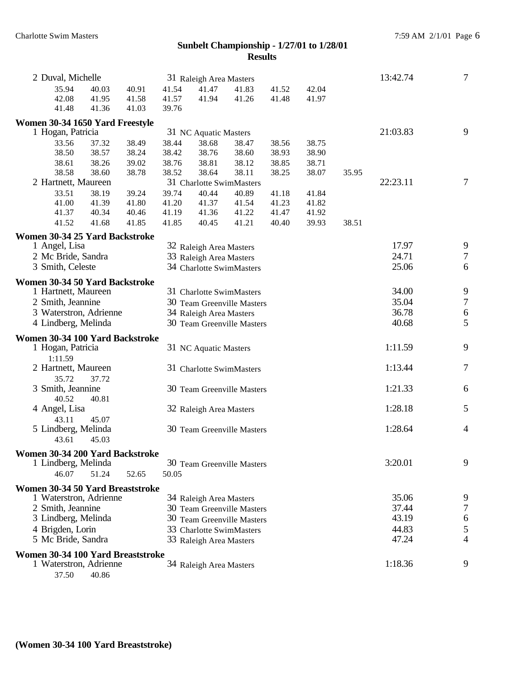| 2 Duval, Michelle                 |       |       |       | 31 Raleigh Area Masters |                            |       |       |                  | 13:42.74 | $\overline{7}$   |
|-----------------------------------|-------|-------|-------|-------------------------|----------------------------|-------|-------|------------------|----------|------------------|
| 35.94                             | 40.03 | 40.91 | 41.54 | 41.47                   | 41.83                      | 41.52 | 42.04 |                  |          |                  |
| 42.08                             | 41.95 | 41.58 | 41.57 | 41.94                   | 41.26                      | 41.48 | 41.97 |                  |          |                  |
| 41.48                             | 41.36 | 41.03 | 39.76 |                         |                            |       |       |                  |          |                  |
| Women 30-34 1650 Yard Freestyle   |       |       |       |                         |                            |       |       |                  |          |                  |
| 1 Hogan, Patricia                 |       |       |       | 31 NC Aquatic Masters   |                            |       |       |                  | 21:03.83 | 9                |
| 33.56                             | 37.32 | 38.49 | 38.44 | 38.68                   | 38.47                      | 38.56 | 38.75 |                  |          |                  |
| 38.50                             | 38.57 | 38.24 | 38.42 | 38.76                   | 38.60                      | 38.93 | 38.90 |                  |          |                  |
| 38.61                             | 38.26 | 39.02 | 38.76 | 38.81                   | 38.12                      | 38.85 | 38.71 |                  |          |                  |
| 38.58                             | 38.60 | 38.78 | 38.52 | 38.64                   | 38.11                      | 38.25 | 38.07 | 35.95            |          |                  |
| 2 Hartnett, Maureen               |       |       |       |                         | 31 Charlotte SwimMasters   |       |       |                  | 22:23.11 | 7                |
| 33.51                             | 38.19 | 39.24 | 39.74 | 40.44                   | 40.89                      | 41.18 | 41.84 |                  |          |                  |
| 41.00                             | 41.39 | 41.80 | 41.20 | 41.37                   | 41.54                      | 41.23 | 41.82 |                  |          |                  |
| 41.37                             | 40.34 | 40.46 | 41.19 | 41.36                   | 41.22                      | 41.47 | 41.92 |                  |          |                  |
| 41.52                             | 41.68 | 41.85 | 41.85 | 40.45                   | 41.21                      | 40.40 | 39.93 | 38.51            |          |                  |
| Women 30-34 25 Yard Backstroke    |       |       |       |                         |                            |       |       |                  |          |                  |
| 1 Angel, Lisa                     |       |       |       | 32 Raleigh Area Masters |                            |       |       |                  | 17.97    | 9                |
| 2 Mc Bride, Sandra                |       |       |       | 33 Raleigh Area Masters |                            |       |       |                  | 24.71    | $\tau$           |
| 3 Smith, Celeste                  |       |       |       |                         | 34 Charlotte SwimMasters   |       |       |                  | 25.06    | 6                |
| Women 30-34 50 Yard Backstroke    |       |       |       |                         |                            |       |       |                  |          |                  |
| 1 Hartnett, Maureen               |       |       |       |                         | 31 Charlotte SwimMasters   |       |       |                  | 34.00    | $\boldsymbol{9}$ |
| 2 Smith, Jeannine                 |       |       |       |                         | 30 Team Greenville Masters |       | 35.04 | $\boldsymbol{7}$ |          |                  |
| 3 Waterstron, Adrienne            |       |       |       | 34 Raleigh Area Masters |                            |       | 36.78 | $\sqrt{6}$       |          |                  |
| 4 Lindberg, Melinda               |       |       |       |                         | 30 Team Greenville Masters |       |       |                  | 40.68    | 5                |
| Women 30-34 100 Yard Backstroke   |       |       |       |                         |                            |       |       |                  |          |                  |
| 1 Hogan, Patricia                 |       |       |       | 31 NC Aquatic Masters   |                            |       |       |                  | 1:11.59  | 9                |
| 1:11.59                           |       |       |       |                         |                            |       |       |                  |          |                  |
| 2 Hartnett, Maureen               |       |       |       |                         | 31 Charlotte SwimMasters   |       |       |                  | 1:13.44  | 7                |
| 35.72                             | 37.72 |       |       |                         |                            |       |       |                  |          |                  |
| 3 Smith, Jeannine                 |       |       |       |                         | 30 Team Greenville Masters |       |       |                  | 1:21.33  | 6                |
| 40.52                             | 40.81 |       |       |                         |                            |       |       |                  |          |                  |
| 4 Angel, Lisa                     |       |       |       | 32 Raleigh Area Masters |                            |       |       |                  | 1:28.18  | 5                |
| 43.11                             | 45.07 |       |       |                         |                            |       |       |                  |          |                  |
| 5 Lindberg, Melinda               |       |       |       |                         | 30 Team Greenville Masters |       |       |                  | 1:28.64  | $\overline{4}$   |
| 43.61                             | 45.03 |       |       |                         |                            |       |       |                  |          |                  |
| Women 30-34 200 Yard Backstroke   |       |       |       |                         |                            |       |       |                  |          |                  |
| 1 Lindberg, Melinda               |       |       |       |                         | 30 Team Greenville Masters |       |       |                  | 3:20.01  | 9                |
| 46.07                             | 51.24 | 52.65 | 50.05 |                         |                            |       |       |                  |          |                  |
| Women 30-34 50 Yard Breaststroke  |       |       |       |                         |                            |       |       |                  |          |                  |
| 1 Waterstron, Adrienne            |       |       |       | 34 Raleigh Area Masters |                            |       |       |                  | 35.06    | 9                |
| 2 Smith, Jeannine                 |       |       |       |                         | 30 Team Greenville Masters |       |       |                  | 37.44    | 7                |
| 3 Lindberg, Melinda               |       |       |       |                         | 30 Team Greenville Masters |       |       |                  | 43.19    | 6                |
| 4 Brigden, Lorin                  |       |       |       |                         | 33 Charlotte SwimMasters   |       |       |                  | 44.83    | 5                |
| 5 Mc Bride, Sandra                |       |       |       | 33 Raleigh Area Masters |                            |       |       |                  | 47.24    | 4                |
|                                   |       |       |       |                         |                            |       |       |                  |          |                  |
| Women 30-34 100 Yard Breaststroke |       |       |       |                         |                            |       |       |                  |          |                  |
| 1 Waterstron, Adrienne            |       |       |       | 34 Raleigh Area Masters |                            |       |       |                  | 1:18.36  | 9                |

37.50 40.86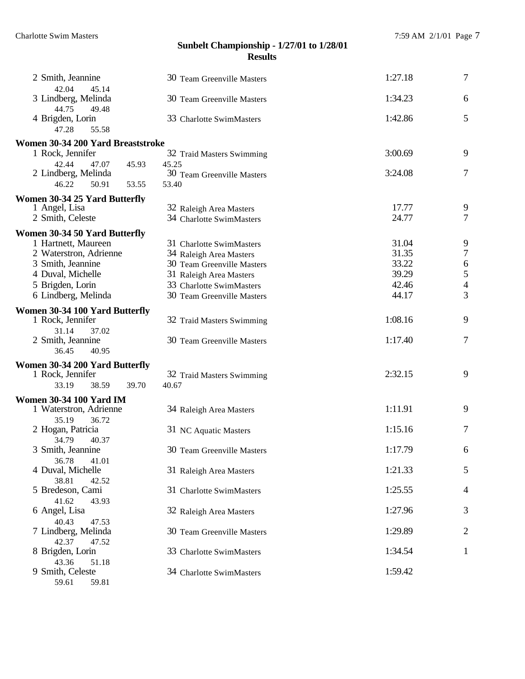| 2 Smith, Jeannine                                        | 30 Team Greenville Masters | 1:27.18 | $\overline{7}$           |
|----------------------------------------------------------|----------------------------|---------|--------------------------|
| 42.04<br>45.14<br>3 Lindberg, Melinda<br>44.75<br>49.48  | 30 Team Greenville Masters | 1:34.23 | 6                        |
| 4 Brigden, Lorin<br>47.28<br>55.58                       | 33 Charlotte SwimMasters   | 1:42.86 | 5                        |
| Women 30-34 200 Yard Breaststroke                        |                            |         |                          |
| 1 Rock, Jennifer                                         | 32 Traid Masters Swimming  | 3:00.69 | 9                        |
| 42.44<br>47.07<br>45.93                                  | 45.25                      |         |                          |
| 2 Lindberg, Melinda                                      | 30 Team Greenville Masters | 3:24.08 | 7                        |
| 46.22<br>50.91<br>53.55                                  | 53.40                      |         |                          |
| Women 30-34 25 Yard Butterfly                            |                            |         |                          |
| 1 Angel, Lisa                                            | 32 Raleigh Area Masters    | 17.77   | 9                        |
| 2 Smith, Celeste                                         | 34 Charlotte SwimMasters   | 24.77   | 7                        |
| Women 30-34 50 Yard Butterfly                            |                            |         |                          |
| 1 Hartnett, Maureen                                      | 31 Charlotte SwimMasters   | 31.04   | 9                        |
| 2 Waterstron, Adrienne                                   | 34 Raleigh Area Masters    | 31.35   | $\overline{7}$           |
| 3 Smith, Jeannine                                        | 30 Team Greenville Masters | 33.22   | $\frac{6}{5}$            |
| 4 Duval, Michelle                                        | 31 Raleigh Area Masters    | 39.29   |                          |
| 5 Brigden, Lorin                                         | 33 Charlotte SwimMasters   | 42.46   | $\overline{\mathcal{A}}$ |
| 6 Lindberg, Melinda                                      | 30 Team Greenville Masters | 44.17   | 3                        |
| Women 30-34 100 Yard Butterfly                           |                            |         |                          |
| 1 Rock, Jennifer                                         | 32 Traid Masters Swimming  | 1:08.16 | 9                        |
| 31.14<br>37.02                                           |                            |         |                          |
| 2 Smith, Jeannine<br>36.45<br>40.95                      | 30 Team Greenville Masters | 1:17.40 | 7                        |
|                                                          |                            |         |                          |
| Women 30-34 200 Yard Butterfly<br>1 Rock, Jennifer       | 32 Traid Masters Swimming  | 2:32.15 | 9                        |
| 33.19<br>38.59<br>39.70                                  | 40.67                      |         |                          |
|                                                          |                            |         |                          |
| <b>Women 30-34 100 Yard IM</b><br>1 Waterstron, Adrienne | 34 Raleigh Area Masters    | 1:11.91 | 9                        |
| 35.19<br>36.72                                           |                            |         |                          |
| 2 Hogan, Patricia                                        | 31 NC Aquatic Masters      | 1:15.16 | 7                        |
| 34.79<br>40.37                                           |                            |         |                          |
| 3 Smith, Jeannine                                        | 30 Team Greenville Masters | 1:17.79 | 6                        |
| 36.78<br>41.01                                           |                            |         |                          |
| 4 Duval, Michelle                                        | 31 Raleigh Area Masters    | 1:21.33 | 5                        |
| 38.81<br>42.52                                           |                            |         |                          |
| 5 Bredeson, Cami                                         | 31 Charlotte SwimMasters   | 1:25.55 | 4                        |
| 41.62<br>43.93                                           |                            | 1:27.96 | 3                        |
| 6 Angel, Lisa<br>40.43<br>47.53                          | 32 Raleigh Area Masters    |         |                          |
| 7 Lindberg, Melinda                                      | 30 Team Greenville Masters | 1:29.89 | $\overline{2}$           |
| 42.37<br>47.52                                           |                            |         |                          |
| 8 Brigden, Lorin                                         | 33 Charlotte SwimMasters   | 1:34.54 | 1                        |
| 43.36<br>51.18                                           |                            |         |                          |
| 9 Smith, Celeste                                         | 34 Charlotte SwimMasters   | 1:59.42 |                          |
| 59.61<br>59.81                                           |                            |         |                          |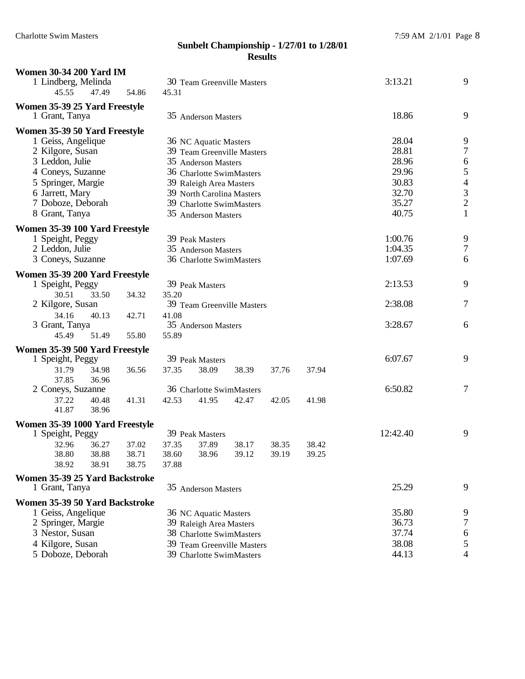| <b>Women 30-34 200 Yard IM</b><br>1 Lindberg, Melinda |                                             |                          | 30 Team Greenville Masters                           |       |       |         | 3:13.21        | 9                |
|-------------------------------------------------------|---------------------------------------------|--------------------------|------------------------------------------------------|-------|-------|---------|----------------|------------------|
| 45.55<br>47.49                                        | 54.86                                       | 45.31                    |                                                      |       |       |         |                |                  |
| Women 35-39 25 Yard Freestyle<br>1 Grant, Tanya       |                                             |                          | 35 Anderson Masters                                  |       |       |         | 18.86          | 9                |
| Women 35-39 50 Yard Freestyle                         |                                             |                          |                                                      |       |       |         |                |                  |
| 1 Geiss, Angelique                                    |                                             |                          | 36 NC Aquatic Masters                                |       |       |         | 28.04          | 9                |
| 2 Kilgore, Susan                                      |                                             |                          | 39 Team Greenville Masters                           |       |       |         | 28.81          | $\boldsymbol{7}$ |
| 3 Leddon, Julie                                       |                                             |                          | 35 Anderson Masters                                  |       |       |         | 28.96<br>29.96 | 65432            |
| 4 Coneys, Suzanne<br>5 Springer, Margie               |                                             |                          | 36 Charlotte SwimMasters                             |       |       |         | 30.83          |                  |
| 6 Jarrett, Mary                                       |                                             |                          | 39 Raleigh Area Masters<br>39 North Carolina Masters |       |       |         | 32.70          |                  |
| 7 Doboze, Deborah                                     |                                             |                          | 39 Charlotte SwimMasters                             |       |       |         | 35.27          |                  |
| 8 Grant, Tanya                                        |                                             |                          | 35 Anderson Masters                                  |       |       |         | 40.75          | $\mathbf{1}$     |
| Women 35-39 100 Yard Freestyle                        |                                             |                          |                                                      |       |       |         |                |                  |
| 1 Speight, Peggy                                      |                                             |                          | 39 Peak Masters                                      |       |       |         | 1:00.76        | 9                |
| 2 Leddon, Julie                                       |                                             |                          | 35 Anderson Masters                                  |       |       |         | 1:04.35        | 7                |
| 3 Coneys, Suzanne                                     |                                             |                          | 36 Charlotte SwimMasters                             |       |       |         | 1:07.69        | 6                |
| Women 35-39 200 Yard Freestyle                        |                                             |                          |                                                      |       |       |         |                |                  |
| 1 Speight, Peggy                                      |                                             |                          | 39 Peak Masters                                      |       |       |         | 2:13.53        | 9                |
| 30.51<br>33.50                                        | 34.32                                       | 35.20                    |                                                      |       |       |         |                |                  |
| 2 Kilgore, Susan                                      |                                             |                          | 39 Team Greenville Masters                           |       |       |         | 2:38.08        | 7                |
| 34.16<br>40.13<br>3 Grant, Tanya                      | 42.71                                       | 41.08                    | 35 Anderson Masters                                  |       |       | 3:28.67 | 6              |                  |
| 45.49<br>51.49                                        | 55.80                                       | 55.89                    |                                                      |       |       |         |                |                  |
| Women 35-39 500 Yard Freestyle                        |                                             |                          |                                                      |       |       |         |                |                  |
| 1 Speight, Peggy                                      |                                             |                          | 39 Peak Masters                                      |       |       |         | 6:07.67        | 9                |
| 31.79<br>34.98                                        | 36.56                                       | 37.35                    | 38.09                                                | 38.39 | 37.76 | 37.94   |                |                  |
| 37.85<br>36.96                                        |                                             |                          |                                                      |       |       |         |                |                  |
| 2 Coneys, Suzanne                                     |                                             |                          | 36 Charlotte SwimMasters                             |       |       |         | 6:50.82        | 7                |
| 37.22<br>40.48<br>41.87<br>38.96                      | 41.31                                       | 42.53                    | 41.95                                                | 42.47 | 42.05 | 41.98   |                |                  |
|                                                       |                                             |                          |                                                      |       |       |         |                |                  |
| Women 35-39 1000 Yard Freestyle<br>1 Speight, Peggy   |                                             |                          | 39 Peak Masters                                      |       |       |         | 12:42.40       | 9                |
| 32.96<br>36.27                                        | 37.02                                       | 37.35                    | 37.89                                                | 38.17 | 38.35 | 38.42   |                |                  |
| 38.80<br>38.88                                        | 38.71                                       | 38.60                    | 38.96                                                | 39.12 | 39.19 | 39.25   |                |                  |
| 38.91<br>38.92                                        | 38.75                                       | 37.88                    |                                                      |       |       |         |                |                  |
| Women 35-39 25 Yard Backstroke                        |                                             |                          |                                                      |       |       |         |                |                  |
| 1 Grant, Tanya                                        |                                             |                          | 35 Anderson Masters                                  |       |       |         | 25.29          | 9                |
| Women 35-39 50 Yard Backstroke                        |                                             |                          |                                                      |       |       |         | 35.80          |                  |
|                                                       | 1 Geiss, Angelique<br>36 NC Aquatic Masters |                          |                                                      |       |       |         |                | 9                |
| 2 Springer, Margie                                    |                                             |                          | 39 Raleigh Area Masters                              |       |       |         | 36.73          | 7                |
| 3 Nestor, Susan                                       |                                             |                          | 38 Charlotte SwimMasters                             |       |       |         | 37.74          | 6                |
| 4 Kilgore, Susan                                      |                                             |                          | 39 Team Greenville Masters                           |       |       |         | 38.08          | 5                |
| 5 Doboze, Deborah                                     |                                             | 39 Charlotte SwimMasters | 44.13                                                | 4     |       |         |                |                  |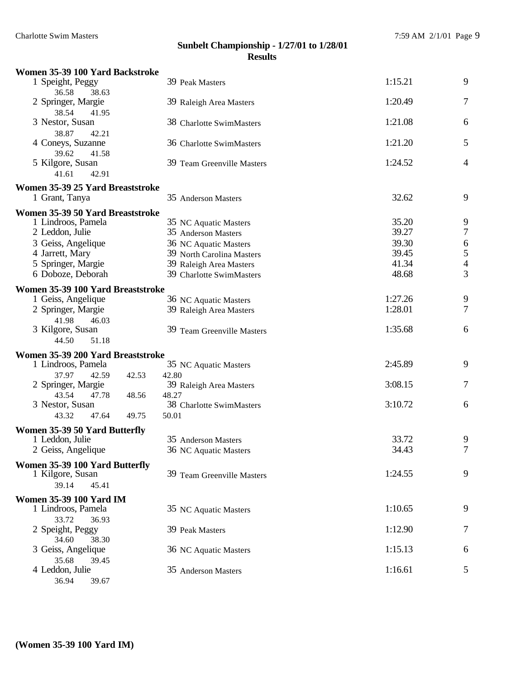| Women 35-39 100 Yard Backstroke                    |                            |         |                          |
|----------------------------------------------------|----------------------------|---------|--------------------------|
| 1 Speight, Peggy<br>36.58<br>38.63                 | 39 Peak Masters            | 1:15.21 | 9                        |
| 2 Springer, Margie<br>38.54<br>41.95               | 39 Raleigh Area Masters    | 1:20.49 | 7                        |
| 3 Nestor, Susan<br>38.87<br>42.21                  | 38 Charlotte SwimMasters   | 1:21.08 | 6                        |
| 4 Coneys, Suzanne<br>39.62<br>41.58                | 36 Charlotte SwimMasters   | 1:21.20 | 5                        |
| 5 Kilgore, Susan<br>41.61<br>42.91                 | 39 Team Greenville Masters | 1:24.52 | $\overline{4}$           |
|                                                    |                            |         |                          |
| Women 35-39 25 Yard Breaststroke<br>1 Grant, Tanya | 35 Anderson Masters        | 32.62   | 9                        |
| Women 35-39 50 Yard Breaststroke                   |                            |         |                          |
| 1 Lindroos, Pamela                                 | 35 NC Aquatic Masters      | 35.20   | 9                        |
| 2 Leddon, Julie                                    | 35 Anderson Masters        | 39.27   | $\tau$                   |
| 3 Geiss, Angelique                                 | 36 NC Aquatic Masters      | 39.30   | 6                        |
| 4 Jarrett, Mary                                    | 39 North Carolina Masters  | 39.45   | 5                        |
| 5 Springer, Margie                                 | 39 Raleigh Area Masters    | 41.34   | $\overline{\mathcal{A}}$ |
| 6 Doboze, Deborah                                  | 39 Charlotte SwimMasters   | 48.68   | 3                        |
| Women 35-39 100 Yard Breaststroke                  |                            |         |                          |
| 1 Geiss, Angelique                                 | 36 NC Aquatic Masters      | 1:27.26 | 9                        |
| 2 Springer, Margie                                 | 39 Raleigh Area Masters    | 1:28.01 | 7                        |
| 41.98<br>46.03                                     |                            |         |                          |
| 3 Kilgore, Susan                                   | 39 Team Greenville Masters | 1:35.68 | 6                        |
| 44.50<br>51.18                                     |                            |         |                          |
| Women 35-39 200 Yard Breaststroke                  |                            |         |                          |
| 1 Lindroos, Pamela                                 | 35 NC Aquatic Masters      | 2:45.89 | 9                        |
| 37.97<br>42.59<br>42.53                            | 42.80                      |         |                          |
| 2 Springer, Margie                                 | 39 Raleigh Area Masters    | 3:08.15 | 7                        |
| 43.54<br>47.78<br>48.56                            | 48.27                      |         |                          |
| 3 Nestor, Susan                                    | 38 Charlotte SwimMasters   | 3:10.72 | 6                        |
| 43.32<br>47.64<br>49.75                            | 50.01                      |         |                          |
| Women 35-39 50 Yard Butterfly                      |                            |         |                          |
| 1 Leddon, Julie                                    | 35 Anderson Masters        | 33.72   | 9                        |
| 2 Geiss, Angelique                                 | 36 NC Aquatic Masters      | 34.43   | 7                        |
| Women 35-39 100 Yard Butterfly                     |                            |         |                          |
| 1 Kilgore, Susan                                   | 39 Team Greenville Masters | 1:24.55 | 9                        |
| 39.14<br>45.41                                     |                            |         |                          |
| <b>Women 35-39 100 Yard IM</b>                     |                            |         |                          |
| 1 Lindroos, Pamela                                 | 35 NC Aquatic Masters      | 1:10.65 | 9                        |
| 33.72<br>36.93                                     |                            |         |                          |
| 2 Speight, Peggy                                   | 39 Peak Masters            | 1:12.90 | 7                        |
| 34.60<br>38.30                                     |                            |         |                          |
| 3 Geiss, Angelique                                 | 36 NC Aquatic Masters      | 1:15.13 | 6                        |
| 35.68<br>39.45                                     |                            |         |                          |
| 4 Leddon, Julie                                    | 35 Anderson Masters        | 1:16.61 | 5                        |
| 36.94<br>39.67                                     |                            |         |                          |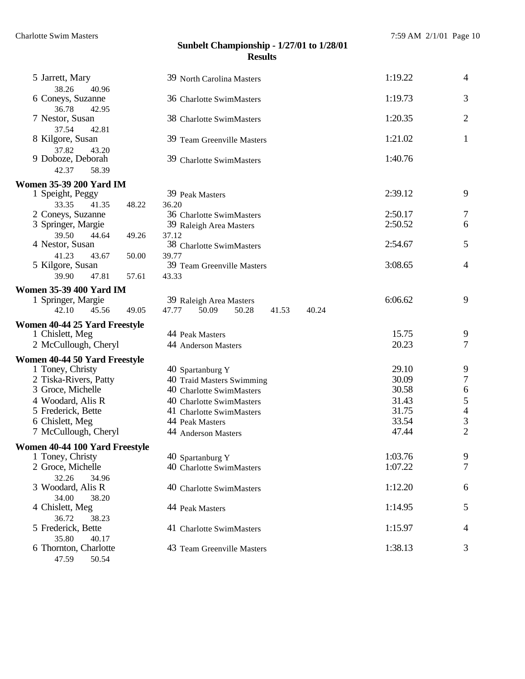| 5 Jarrett, Mary                                    | 39 North Carolina Masters                             | 1:19.22 | $\overline{4}$                             |
|----------------------------------------------------|-------------------------------------------------------|---------|--------------------------------------------|
| 38.26<br>40.96                                     |                                                       |         |                                            |
| 6 Coneys, Suzanne                                  | 36 Charlotte SwimMasters                              | 1:19.73 | 3                                          |
| 36.78<br>42.95<br>7 Nestor, Susan                  | 38 Charlotte SwimMasters                              | 1:20.35 | $\mathbf{2}$                               |
| 37.54<br>42.81                                     |                                                       |         |                                            |
| 8 Kilgore, Susan                                   | 39 Team Greenville Masters                            | 1:21.02 | $\mathbf{1}$                               |
| 37.82<br>43.20                                     |                                                       |         |                                            |
| 9 Doboze, Deborah                                  | 39 Charlotte SwimMasters                              | 1:40.76 |                                            |
| 42.37<br>58.39                                     |                                                       |         |                                            |
| <b>Women 35-39 200 Yard IM</b><br>1 Speight, Peggy | 39 Peak Masters                                       | 2:39.12 | 9                                          |
| 33.35<br>48.22<br>41.35                            | 36.20                                                 |         |                                            |
| 2 Coneys, Suzanne                                  | 36 Charlotte SwimMasters                              | 2:50.17 | 7                                          |
| 3 Springer, Margie                                 | 39 Raleigh Area Masters                               | 2:50.52 | 6                                          |
| 39.50<br>44.64<br>49.26                            | 37.12                                                 |         |                                            |
| 4 Nestor, Susan                                    | 38 Charlotte SwimMasters                              | 2:54.67 | 5                                          |
| 41.23<br>43.67<br>50.00                            | 39.77                                                 |         |                                            |
| 5 Kilgore, Susan                                   | 39 Team Greenville Masters                            | 3:08.65 | $\overline{4}$                             |
| 39.90<br>47.81<br>57.61                            | 43.33                                                 |         |                                            |
| <b>Women 35-39 400 Yard IM</b>                     |                                                       |         |                                            |
| 1 Springer, Margie                                 | 39 Raleigh Area Masters                               | 6:06.62 | 9                                          |
| 42.10<br>45.56<br>49.05                            | 47.77<br>50.09<br>50.28<br>41.53<br>40.24             |         |                                            |
| Women 40-44 25 Yard Freestyle                      |                                                       | 15.75   |                                            |
| 1 Chislett, Meg<br>2 McCullough, Cheryl            | 44 Peak Masters<br>44 Anderson Masters                | 20.23   | 9<br>$\tau$                                |
|                                                    |                                                       |         |                                            |
| Women 40-44 50 Yard Freestyle                      |                                                       | 29.10   |                                            |
| 1 Toney, Christy<br>2 Tiska-Rivers, Patty          | 40 Spartanburg Y                                      | 30.09   | 9<br>$\boldsymbol{7}$                      |
| 3 Groce, Michelle                                  | 40 Traid Masters Swimming<br>40 Charlotte SwimMasters | 30.58   | $\boldsymbol{6}$                           |
| 4 Woodard, Alis R                                  |                                                       | 31.43   |                                            |
| 5 Frederick, Bette                                 | 40 Charlotte SwimMasters                              | 31.75   | $\begin{array}{c} 5 \\ 4 \\ 3 \end{array}$ |
|                                                    | 41 Charlotte SwimMasters                              | 33.54   |                                            |
| 6 Chislett, Meg                                    | 44 Peak Masters                                       | 47.44   | $\overline{2}$                             |
| 7 McCullough, Cheryl                               | 44 Anderson Masters                                   |         |                                            |
| Women 40-44 100 Yard Freestyle                     |                                                       |         |                                            |
| 1 Toney, Christy                                   | 40 Spartanburg Y                                      | 1:03.76 | 9                                          |
| 2 Groce, Michelle                                  | 40 Charlotte SwimMasters                              | 1:07.22 | $\overline{7}$                             |
| 32.26<br>34.96                                     |                                                       |         |                                            |
| 3 Woodard, Alis R<br>34.00<br>38.20                | 40 Charlotte SwimMasters                              | 1:12.20 | 6                                          |
| 4 Chislett, Meg                                    | 44 Peak Masters                                       | 1:14.95 | 5                                          |
| 36.72<br>38.23                                     |                                                       |         |                                            |
| 5 Frederick, Bette                                 | 41 Charlotte SwimMasters                              | 1:15.97 | 4                                          |
| 35.80<br>40.17                                     |                                                       |         |                                            |
|                                                    |                                                       |         |                                            |
| 6 Thornton, Charlotte                              | 43 Team Greenville Masters                            | 1:38.13 | 3                                          |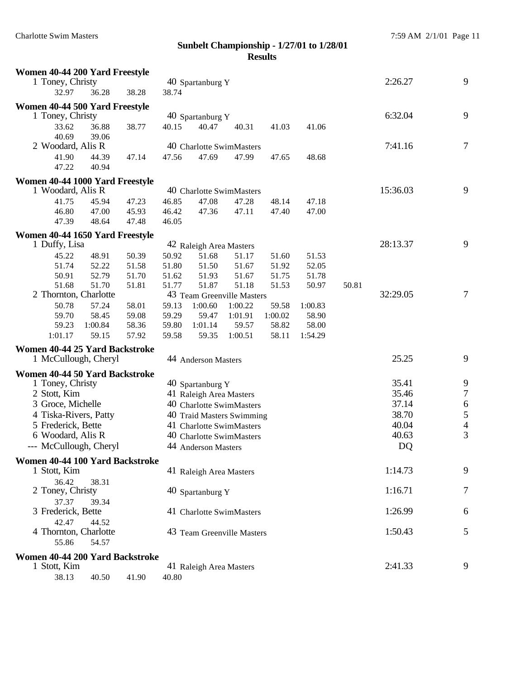| Women 40-44 200 Yard Freestyle                     |         |       |       |                                                       |         |         |         |         |          |            |
|----------------------------------------------------|---------|-------|-------|-------------------------------------------------------|---------|---------|---------|---------|----------|------------|
| 1 Toney, Christy                                   |         |       |       | 40 Spartanburg Y                                      |         |         |         | 2:26.27 | 9        |            |
| 32.97                                              | 36.28   | 38.28 | 38.74 |                                                       |         |         |         |         |          |            |
| Women 40-44 500 Yard Freestyle                     |         |       |       |                                                       |         |         |         |         |          |            |
| 1 Toney, Christy                                   |         |       |       | 40 Spartanburg Y                                      |         |         |         |         | 6:32.04  | 9          |
| 33.62                                              | 36.88   | 38.77 | 40.15 | 40.47                                                 | 40.31   | 41.03   | 41.06   |         |          |            |
| 40.69                                              | 39.06   |       |       |                                                       |         |         |         |         |          |            |
| 2 Woodard, Alis R                                  |         |       |       | 40 Charlotte SwimMasters                              |         |         |         |         | 7:41.16  | $\tau$     |
| 41.90                                              | 44.39   | 47.14 | 47.56 | 47.69                                                 | 47.99   | 47.65   | 48.68   |         |          |            |
| 47.22                                              | 40.94   |       |       |                                                       |         |         |         |         |          |            |
| Women 40-44 1000 Yard Freestyle                    |         |       |       |                                                       |         |         |         |         |          |            |
| 1 Woodard, Alis R                                  |         |       |       | 40 Charlotte SwimMasters                              |         |         |         |         | 15:36.03 | 9          |
| 41.75                                              | 45.94   | 47.23 | 46.85 | 47.08                                                 | 47.28   | 48.14   | 47.18   |         |          |            |
| 46.80                                              | 47.00   | 45.93 | 46.42 | 47.36                                                 | 47.11   | 47.40   | 47.00   |         |          |            |
| 47.39                                              | 48.64   | 47.48 | 46.05 |                                                       |         |         |         |         |          |            |
| Women 40-44 1650 Yard Freestyle                    |         |       |       |                                                       |         |         |         |         |          |            |
| 1 Duffy, Lisa                                      |         |       |       | 42 Raleigh Area Masters                               |         |         |         |         | 28:13.37 | 9          |
| 45.22                                              | 48.91   | 50.39 | 50.92 | 51.68                                                 | 51.17   | 51.60   | 51.53   |         |          |            |
| 51.74                                              | 52.22   | 51.58 | 51.80 | 51.50                                                 | 51.67   | 51.92   | 52.05   |         |          |            |
| 50.91                                              | 52.79   | 51.70 | 51.62 | 51.93                                                 | 51.67   | 51.75   | 51.78   |         |          |            |
| 51.68                                              | 51.70   | 51.81 | 51.77 | 51.87                                                 | 51.18   | 51.53   | 50.97   | 50.81   |          |            |
| 2 Thornton, Charlotte                              |         |       |       | 43 Team Greenville Masters                            |         |         |         |         | 32:29.05 | $\tau$     |
| 50.78                                              | 57.24   | 58.01 | 59.13 | 1:00.60                                               | 1:00.22 | 59.58   | 1:00.83 |         |          |            |
| 59.70                                              | 58.45   | 59.08 | 59.29 | 59.47                                                 | 1:01.91 | 1:00.02 | 58.90   |         |          |            |
| 59.23                                              | 1:00.84 | 58.36 | 59.80 | 1:01.14                                               | 59.57   | 58.82   | 58.00   |         |          |            |
| 1:01.17                                            | 59.15   | 57.92 | 59.58 | 59.35                                                 | 1:00.51 | 58.11   | 1:54.29 |         |          |            |
| Women 40-44 25 Yard Backstroke                     |         |       |       |                                                       |         |         |         |         |          |            |
| 1 McCullough, Cheryl                               |         |       |       | 44 Anderson Masters                                   |         |         |         |         | 25.25    | 9          |
|                                                    |         |       |       |                                                       |         |         |         |         |          |            |
| Women 40-44 50 Yard Backstroke<br>1 Toney, Christy |         |       |       |                                                       |         |         |         |         | 35.41    | 9          |
| 2 Stott, Kim                                       |         |       |       | 40 Spartanburg Y<br>41 Raleigh Area Masters           |         |         |         |         | 35.46    | $\tau$     |
| 3 Groce, Michelle                                  |         |       |       | 40 Charlotte SwimMasters                              |         |         |         |         | 37.14    | $\sqrt{6}$ |
| 4 Tiska-Rivers, Patty                              |         |       |       |                                                       |         |         |         |         | 38.70    | 5          |
| 5 Frederick, Bette                                 |         |       |       | 40 Traid Masters Swimming<br>41 Charlotte SwimMasters |         |         |         |         | 40.04    | 4          |
| 6 Woodard, Alis R                                  |         |       |       | 40 Charlotte SwimMasters                              |         |         |         |         | 40.63    | 3          |
| --- McCullough, Cheryl                             |         |       |       |                                                       |         |         |         |         | DQ       |            |
|                                                    |         |       |       | 44 Anderson Masters                                   |         |         |         |         |          |            |
| Women 40-44 100 Yard Backstroke                    |         |       |       |                                                       |         |         |         |         |          |            |
| 1 Stott, Kim                                       |         |       |       | 41 Raleigh Area Masters                               |         |         |         |         | 1:14.73  | 9          |
| 36.42                                              | 38.31   |       |       |                                                       |         |         |         |         |          |            |
| 2 Toney, Christy                                   |         |       |       | 40 Spartanburg Y                                      |         |         |         |         | 1:16.71  | 7          |
| 37.37                                              | 39.34   |       |       |                                                       |         |         |         |         |          |            |
| 3 Frederick, Bette                                 |         |       |       | 41 Charlotte SwimMasters                              |         |         |         |         | 1:26.99  | 6          |
| 42.47                                              | 44.52   |       |       |                                                       |         |         |         |         |          |            |
| 4 Thornton, Charlotte                              |         |       |       | 43 Team Greenville Masters                            |         |         |         |         | 1:50.43  | 5          |
| 55.86                                              | 54.57   |       |       |                                                       |         |         |         |         |          |            |
| Women 40-44 200 Yard Backstroke                    |         |       |       |                                                       |         |         |         |         |          |            |
| 1 Stott, Kim                                       |         |       |       | 41 Raleigh Area Masters                               |         |         |         |         | 2:41.33  | 9          |
| 38.13                                              | 40.50   | 41.90 | 40.80 |                                                       |         |         |         |         |          |            |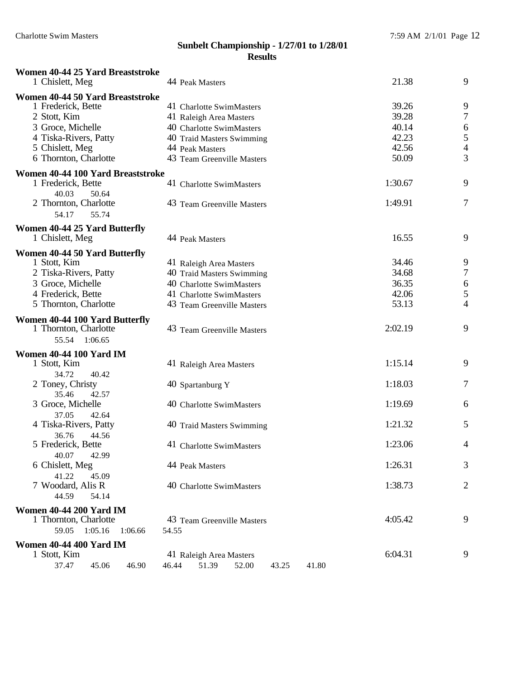| Women 40-44 25 Yard Breaststroke<br>1 Chislett, Meg | 44 Peak Masters                           | 21.38   | 9              |
|-----------------------------------------------------|-------------------------------------------|---------|----------------|
| Women 40-44 50 Yard Breaststroke                    |                                           |         |                |
| 1 Frederick, Bette                                  | 41 Charlotte SwimMasters                  | 39.26   | 9              |
| 2 Stott, Kim                                        | 41 Raleigh Area Masters                   | 39.28   | $\tau$         |
| 3 Groce, Michelle                                   | 40 Charlotte SwimMasters                  | 40.14   | 6              |
| 4 Tiska-Rivers, Patty                               | 40 Traid Masters Swimming                 | 42.23   | 5              |
| 5 Chislett, Meg                                     | 44 Peak Masters                           | 42.56   | 4              |
| 6 Thornton, Charlotte                               | 43 Team Greenville Masters                | 50.09   | 3              |
| Women 40-44 100 Yard Breaststroke                   |                                           |         |                |
| 1 Frederick, Bette                                  | 41 Charlotte SwimMasters                  | 1:30.67 | 9              |
| 40.03<br>50.64                                      |                                           |         |                |
| 2 Thornton, Charlotte                               | 43 Team Greenville Masters                | 1:49.91 | 7              |
| 54.17<br>55.74                                      |                                           |         |                |
| <b>Women 40-44 25 Yard Butterfly</b>                |                                           |         |                |
| 1 Chislett, Meg                                     | 44 Peak Masters                           | 16.55   | 9              |
| Women 40-44 50 Yard Butterfly                       |                                           |         |                |
| 1 Stott, Kim                                        | 41 Raleigh Area Masters                   | 34.46   | 9              |
| 2 Tiska-Rivers, Patty                               | 40 Traid Masters Swimming                 | 34.68   | $\tau$         |
| 3 Groce, Michelle                                   | 40 Charlotte SwimMasters                  | 36.35   | 6              |
| 4 Frederick, Bette                                  | 41 Charlotte SwimMasters                  | 42.06   | $\mathfrak{S}$ |
| 5 Thornton, Charlotte                               | 43 Team Greenville Masters                | 53.13   | 4              |
| Women 40-44 100 Yard Butterfly                      |                                           |         |                |
| 1 Thornton, Charlotte                               | 43 Team Greenville Masters                | 2:02.19 | 9              |
| 55.54 1:06.65                                       |                                           |         |                |
| <b>Women 40-44 100 Yard IM</b>                      |                                           |         |                |
| 1 Stott, Kim                                        | 41 Raleigh Area Masters                   | 1:15.14 | 9              |
| 34.72<br>40.42                                      |                                           |         |                |
| 2 Toney, Christy                                    | 40 Spartanburg Y                          | 1:18.03 | 7              |
| 35.46<br>42.57                                      |                                           |         |                |
| 3 Groce, Michelle                                   | 40 Charlotte SwimMasters                  | 1:19.69 | 6              |
| 37.05<br>42.64                                      |                                           |         |                |
| 4 Tiska-Rivers, Patty                               | 40 Traid Masters Swimming                 | 1:21.32 | 5              |
| 36.76<br>44.56<br>5 Frederick, Bette                | 41 Charlotte SwimMasters                  | 1:23.06 | 4              |
| 40.07<br>42.99                                      |                                           |         |                |
| 6 Chislett, Meg                                     | 44 Peak Masters                           | 1:26.31 | 3              |
| 41.22<br>45.09                                      |                                           |         |                |
| 7 Woodard, Alis R                                   | 40 Charlotte SwimMasters                  | 1:38.73 | $\overline{2}$ |
| 44.59<br>54.14                                      |                                           |         |                |
| <b>Women 40-44 200 Yard IM</b>                      |                                           |         |                |
| 1 Thornton, Charlotte                               | 43 Team Greenville Masters                | 4:05.42 | 9              |
| 59.05<br>1:05.16<br>1:06.66                         | 54.55                                     |         |                |
| <b>Women 40-44 400 Yard IM</b>                      |                                           |         |                |
| 1 Stott, Kim                                        | 41 Raleigh Area Masters                   | 6:04.31 | 9              |
| 37.47<br>45.06<br>46.90                             | 51.39<br>52.00<br>41.80<br>46.44<br>43.25 |         |                |
|                                                     |                                           |         |                |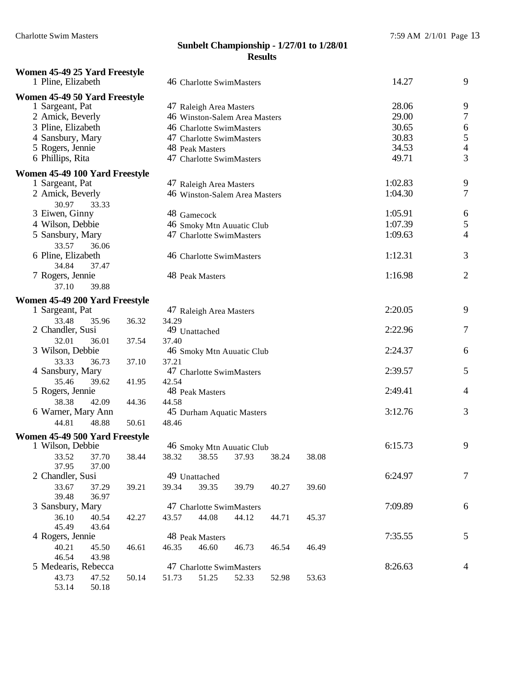| Women 45-49 25 Yard Freestyle<br>1 Pline, Elizabeth | 46 Charlotte SwimMasters                  | 14.27              | 9                                     |
|-----------------------------------------------------|-------------------------------------------|--------------------|---------------------------------------|
| Women 45-49 50 Yard Freestyle                       |                                           |                    |                                       |
| 1 Sargeant, Pat                                     | 47 Raleigh Area Masters                   | 28.06              | 9                                     |
| 2 Amick, Beverly                                    | 46 Winston-Salem Area Masters             | 29.00              | $\boldsymbol{7}$                      |
| 3 Pline, Elizabeth                                  | 46 Charlotte SwimMasters                  | 30.65              |                                       |
| 4 Sansbury, Mary                                    | 47 Charlotte SwimMasters                  | 30.83              | $\begin{array}{c} 6 \\ 5 \end{array}$ |
| 5 Rogers, Jennie                                    | 48 Peak Masters                           | 34.53              | $\overline{4}$                        |
| 6 Phillips, Rita                                    | 47 Charlotte SwimMasters                  | 49.71              | 3                                     |
|                                                     |                                           |                    |                                       |
| Women 45-49 100 Yard Freestyle                      |                                           |                    |                                       |
| 1 Sargeant, Pat                                     | 47 Raleigh Area Masters                   | 1:02.83<br>1:04.30 | 9<br>$\tau$                           |
| 2 Amick, Beverly                                    | 46 Winston-Salem Area Masters             |                    |                                       |
| 30.97<br>33.33<br>3 Eiwen, Ginny                    | 48 Gamecock                               | 1:05.91            | 6                                     |
| 4 Wilson, Debbie                                    |                                           | 1:07.39            |                                       |
|                                                     | 46 Smoky Mtn Auuatic Club                 | 1:09.63            | 5<br>$\overline{4}$                   |
| 5 Sansbury, Mary                                    | 47 Charlotte SwimMasters                  |                    |                                       |
| 33.57<br>36.06<br>6 Pline, Elizabeth                |                                           | 1:12.31            | 3                                     |
| 34.84<br>37.47                                      | 46 Charlotte SwimMasters                  |                    |                                       |
| 7 Rogers, Jennie                                    | 48 Peak Masters                           | 1:16.98            | $\overline{2}$                        |
| 37.10<br>39.88                                      |                                           |                    |                                       |
|                                                     |                                           |                    |                                       |
| Women 45-49 200 Yard Freestyle                      |                                           |                    |                                       |
| 1 Sargeant, Pat                                     | 47 Raleigh Area Masters                   | 2:20.05            | 9                                     |
| 33.48<br>36.32<br>35.96                             | 34.29                                     |                    |                                       |
| 2 Chandler, Susi                                    | 49 Unattached                             | 2:22.96            | 7                                     |
| 32.01<br>36.01<br>37.54                             | 37.40                                     | 2:24.37            |                                       |
| 3 Wilson, Debbie                                    | 46 Smoky Mtn Auuatic Club                 |                    | 6                                     |
| 33.33<br>36.73<br>37.10                             | 37.21                                     | 2:39.57            | 5                                     |
| 4 Sansbury, Mary<br>35.46<br>39.62                  | 47 Charlotte SwimMasters<br>42.54         |                    |                                       |
| 41.95<br>5 Rogers, Jennie                           | 48 Peak Masters                           | 2:49.41            | 4                                     |
| 38.38<br>42.09                                      | 44.58                                     |                    |                                       |
| 44.36<br>6 Warner, Mary Ann                         |                                           | 3:12.76            | 3                                     |
| 44.81<br>48.88                                      | 45 Durham Aquatic Masters<br>48.46        |                    |                                       |
| 50.61                                               |                                           |                    |                                       |
| Women 45-49 500 Yard Freestyle                      |                                           |                    |                                       |
| 1 Wilson, Debbie                                    | 46 Smoky Mtn Auuatic Club                 | 6:15.73            | 9                                     |
| 33.52<br>37.70<br>38.44                             | 38.32<br>38.55<br>37.93<br>38.24<br>38.08 |                    |                                       |
| 37.95<br>37.00                                      |                                           |                    |                                       |
| 2 Chandler, Susi                                    | 49 Unattached                             | 6:24.97            | 7                                     |
| 33.67<br>37.29<br>39.21<br>39.48                    | 39.34<br>39.35<br>39.79<br>40.27<br>39.60 |                    |                                       |
| 36.97<br>3 Sansbury, Mary                           | 47 Charlotte SwimMasters                  | 7:09.89            | 6                                     |
| 36.10<br>40.54                                      | 44.08<br>43.57<br>44.12<br>45.37          |                    |                                       |
| 42.27<br>45.49<br>43.64                             | 44.71                                     |                    |                                       |
| 4 Rogers, Jennie                                    | 48 Peak Masters                           | 7:35.55            | 5                                     |
| 40.21<br>45.50<br>46.61                             | 46.60<br>46.35<br>46.73<br>46.54<br>46.49 |                    |                                       |
| 46.54<br>43.98                                      |                                           |                    |                                       |
| 5 Medearis, Rebecca                                 | 47 Charlotte SwimMasters                  | 8:26.63            | 4                                     |
| 43.73<br>47.52<br>50.14                             | 51.25<br>51.73<br>52.33<br>52.98<br>53.63 |                    |                                       |
| 53.14<br>50.18                                      |                                           |                    |                                       |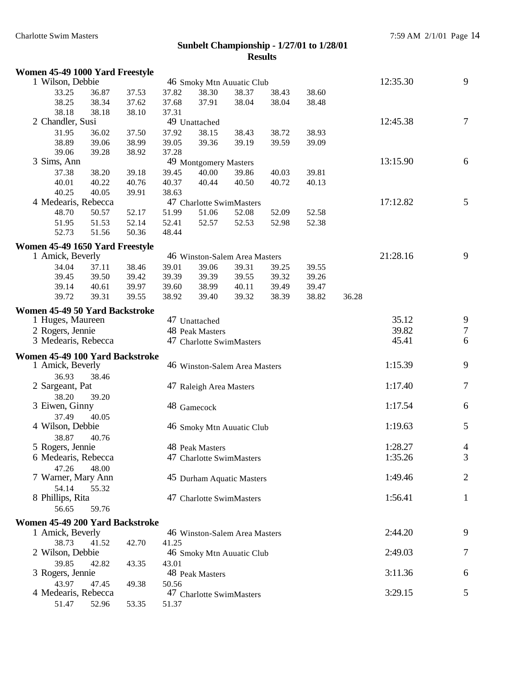| Women 45-49 1000 Yard Freestyle |       |       |       |                         |                               |       |       |       |          |                |
|---------------------------------|-------|-------|-------|-------------------------|-------------------------------|-------|-------|-------|----------|----------------|
| 1 Wilson, Debbie                |       |       |       |                         | 46 Smoky Mtn Auuatic Club     |       |       |       | 12:35.30 | 9              |
| 33.25                           | 36.87 | 37.53 | 37.82 | 38.30                   | 38.37                         | 38.43 | 38.60 |       |          |                |
| 38.25                           | 38.34 | 37.62 | 37.68 | 37.91                   | 38.04                         | 38.04 | 38.48 |       |          |                |
| 38.18                           | 38.18 | 38.10 | 37.31 |                         |                               |       |       |       |          |                |
| 2 Chandler, Susi                |       |       |       | 49 Unattached           |                               |       |       |       | 12:45.38 | 7              |
| 31.95                           | 36.02 | 37.50 | 37.92 | 38.15                   | 38.43                         | 38.72 | 38.93 |       |          |                |
| 38.89                           | 39.06 | 38.99 | 39.05 | 39.36                   | 39.19                         | 39.59 | 39.09 |       |          |                |
| 39.06                           | 39.28 | 38.92 | 37.28 |                         |                               |       |       |       |          |                |
| 3 Sims, Ann                     |       |       |       | 49 Montgomery Masters   |                               |       |       |       | 13:15.90 | 6              |
| 37.38                           | 38.20 | 39.18 | 39.45 | 40.00                   | 39.86                         | 40.03 | 39.81 |       |          |                |
| 40.01                           | 40.22 | 40.76 | 40.37 | 40.44                   | 40.50                         | 40.72 | 40.13 |       |          |                |
| 40.25                           | 40.05 | 39.91 | 38.63 |                         |                               |       |       |       |          |                |
| 4 Medearis, Rebecca             |       |       |       |                         | 47 Charlotte SwimMasters      |       |       |       | 17:12.82 | $\mathfrak{S}$ |
| 48.70                           | 50.57 | 52.17 | 51.99 | 51.06                   | 52.08                         | 52.09 | 52.58 |       |          |                |
| 51.95                           | 51.53 | 52.14 | 52.41 | 52.57                   | 52.53                         | 52.98 | 52.38 |       |          |                |
| 52.73                           | 51.56 | 50.36 | 48.44 |                         |                               |       |       |       |          |                |
| Women 45-49 1650 Yard Freestyle |       |       |       |                         |                               |       |       |       |          |                |
| 1 Amick, Beverly                |       |       |       |                         | 46 Winston-Salem Area Masters |       |       |       | 21:28.16 | 9              |
| 34.04                           | 37.11 | 38.46 | 39.01 | 39.06                   | 39.31                         | 39.25 | 39.55 |       |          |                |
| 39.45                           | 39.50 | 39.42 | 39.39 | 39.39                   | 39.55                         | 39.32 | 39.26 |       |          |                |
| 39.14                           | 40.61 | 39.97 | 39.60 | 38.99                   | 40.11                         | 39.49 | 39.47 |       |          |                |
| 39.72                           | 39.31 | 39.55 | 38.92 | 39.40                   | 39.32                         | 38.39 | 38.82 | 36.28 |          |                |
|                                 |       |       |       |                         |                               |       |       |       |          |                |
| Women 45-49 50 Yard Backstroke  |       |       |       |                         |                               |       |       |       |          |                |
| 1 Huges, Maureen                |       |       |       | 47 Unattached           |                               |       |       |       | 35.12    | 9              |
| 2 Rogers, Jennie                |       |       |       | 48 Peak Masters         |                               |       |       |       | 39.82    | $\tau$         |
| 3 Medearis, Rebecca             |       |       |       |                         | 47 Charlotte SwimMasters      |       |       |       | 45.41    | 6              |
| Women 45-49 100 Yard Backstroke |       |       |       |                         |                               |       |       |       |          |                |
| 1 Amick, Beverly                |       |       |       |                         | 46 Winston-Salem Area Masters |       |       |       | 1:15.39  | 9              |
| 36.93                           | 38.46 |       |       |                         |                               |       |       |       |          |                |
| 2 Sargeant, Pat                 |       |       |       | 47 Raleigh Area Masters |                               |       |       |       | 1:17.40  | $\tau$         |
| 38.20                           | 39.20 |       |       |                         |                               |       |       |       |          |                |
| 3 Eiwen, Ginny                  |       |       |       | 48 Gamecock             |                               |       |       |       | 1:17.54  | 6              |
| 37.49                           | 40.05 |       |       |                         |                               |       |       |       |          |                |
| 4 Wilson, Debbie                |       |       |       |                         | 46 Smoky Mtn Auuatic Club     |       |       |       | 1:19.63  | $\mathfrak{S}$ |
| 38.87                           | 40.76 |       |       |                         |                               |       |       |       |          |                |
| 5 Rogers, Jennie                |       |       |       | 48 Peak Masters         |                               |       |       |       | 1:28.27  | 4              |
| 6 Medearis, Rebecca             |       |       |       |                         | 47 Charlotte SwimMasters      |       |       |       | 1:35.26  | 3              |
| 47.26                           | 48.00 |       |       |                         |                               |       |       |       |          |                |
| 7 Warner, Mary Ann              |       |       |       |                         | 45 Durham Aquatic Masters     |       |       |       | 1:49.46  | $\overline{2}$ |
| 54.14                           | 55.32 |       |       |                         |                               |       |       |       |          |                |
| 8 Phillips, Rita                |       |       |       |                         | 47 Charlotte SwimMasters      |       |       |       | 1:56.41  | $\mathbf{1}$   |
| 56.65                           | 59.76 |       |       |                         |                               |       |       |       |          |                |
|                                 |       |       |       |                         |                               |       |       |       |          |                |
| Women 45-49 200 Yard Backstroke |       |       |       |                         |                               |       |       |       |          |                |
| 1 Amick, Beverly                |       |       |       |                         | 46 Winston-Salem Area Masters |       |       |       | 2:44.20  | 9              |
| 38.73                           | 41.52 | 42.70 | 41.25 |                         |                               |       |       |       |          |                |
| 2 Wilson, Debbie                |       |       |       |                         | 46 Smoky Mtn Auuatic Club     |       |       |       | 2:49.03  | 7              |
| 39.85                           | 42.82 | 43.35 | 43.01 |                         |                               |       |       |       |          |                |
| 3 Rogers, Jennie                |       |       |       | 48 Peak Masters         |                               |       |       |       | 3:11.36  | 6              |
| 43.97                           | 47.45 | 49.38 | 50.56 |                         |                               |       |       |       |          |                |
| 4 Medearis, Rebecca             |       |       |       |                         | 47 Charlotte SwimMasters      |       |       |       | 3:29.15  | 5              |
| 51.47                           | 52.96 | 53.35 | 51.37 |                         |                               |       |       |       |          |                |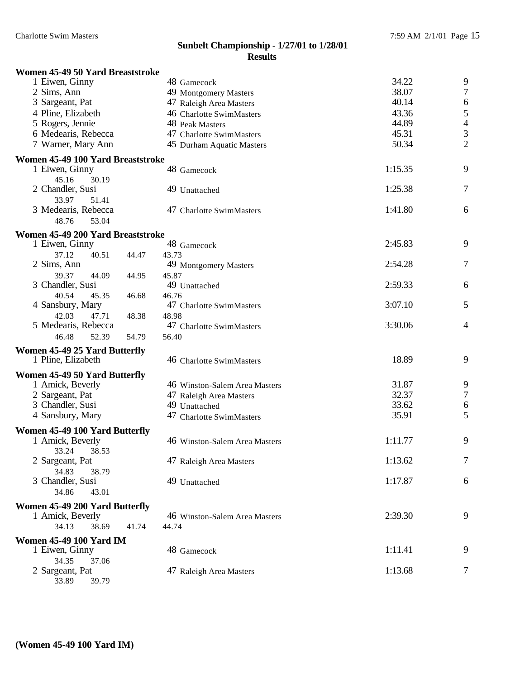| Women 45-49 50 Yard Breaststroke    |       |                               |         |                |
|-------------------------------------|-------|-------------------------------|---------|----------------|
| 1 Eiwen, Ginny                      |       | 48 Gamecock                   | 34.22   | 9              |
| 2 Sims, Ann                         |       | 49 Montgomery Masters         | 38.07   | $\overline{7}$ |
| 3 Sargeant, Pat                     |       | 47 Raleigh Area Masters       | 40.14   | 6              |
| 4 Pline, Elizabeth                  |       | 46 Charlotte SwimMasters      | 43.36   | 5              |
| 5 Rogers, Jennie                    |       | 48 Peak Masters               | 44.89   | $\overline{4}$ |
| 6 Medearis, Rebecca                 |       | 47 Charlotte SwimMasters      | 45.31   | 3              |
| 7 Warner, Mary Ann                  |       | 45 Durham Aquatic Masters     | 50.34   | $\overline{c}$ |
| Women 45-49 100 Yard Breaststroke   |       |                               |         |                |
| 1 Eiwen, Ginny                      |       | 48 Gamecock                   | 1:15.35 | 9              |
| 45.16<br>30.19                      |       |                               |         |                |
| 2 Chandler, Susi                    |       | 49 Unattached                 | 1:25.38 | 7              |
| 33.97<br>51.41                      |       |                               |         |                |
| 3 Medearis, Rebecca                 |       | 47 Charlotte SwimMasters      | 1:41.80 | 6              |
| 48.76<br>53.04                      |       |                               |         |                |
| Women 45-49 200 Yard Breaststroke   |       |                               |         |                |
| 1 Eiwen, Ginny                      |       | 48 Gamecock                   | 2:45.83 | 9              |
| 37.12<br>40.51                      | 44.47 | 43.73                         |         |                |
| 2 Sims, Ann                         |       | 49 Montgomery Masters         | 2:54.28 | $\overline{7}$ |
| 39.37<br>44.09                      | 44.95 | 45.87                         |         |                |
| 3 Chandler, Susi                    |       | 49 Unattached                 | 2:59.33 | 6              |
| 40.54<br>45.35                      | 46.68 | 46.76                         |         |                |
| 4 Sansbury, Mary                    |       | 47 Charlotte SwimMasters      | 3:07.10 | 5              |
| 42.03<br>47.71                      | 48.38 | 48.98                         |         |                |
| 5 Medearis, Rebecca                 |       | 47 Charlotte SwimMasters      | 3:30.06 | 4              |
| 46.48<br>52.39                      | 54.79 | 56.40                         |         |                |
| Women 45-49 25 Yard Butterfly       |       |                               |         |                |
| 1 Pline, Elizabeth                  |       | 46 Charlotte SwimMasters      | 18.89   | 9              |
|                                     |       |                               |         |                |
| Women 45-49 50 Yard Butterfly       |       |                               | 31.87   | 9              |
| 1 Amick, Beverly                    |       | 46 Winston-Salem Area Masters | 32.37   | $\overline{7}$ |
| 2 Sargeant, Pat<br>3 Chandler, Susi |       | 47 Raleigh Area Masters       | 33.62   | 6              |
|                                     |       | 49 Unattached                 | 35.91   | 5              |
| 4 Sansbury, Mary                    |       | 47 Charlotte SwimMasters      |         |                |
| Women 45-49 100 Yard Butterfly      |       |                               |         |                |
| 1 Amick, Beverly                    |       | 46 Winston-Salem Area Masters | 1:11.77 | 9              |
| 33.24 38.53                         |       |                               |         |                |
| 2 Sargeant, Pat                     |       | 47 Raleigh Area Masters       | 1:13.62 | 7              |
| 34.83<br>38.79                      |       |                               |         |                |
| 3 Chandler, Susi                    |       | 49 Unattached                 | 1:17.87 | 6              |
| 34.86<br>43.01                      |       |                               |         |                |
| Women 45-49 200 Yard Butterfly      |       |                               |         |                |
| 1 Amick, Beverly                    |       | 46 Winston-Salem Area Masters | 2:39.30 | 9              |
| 34.13<br>38.69                      | 41.74 | 44.74                         |         |                |
| <b>Women 45-49 100 Yard IM</b>      |       |                               |         |                |
| 1 Eiwen, Ginny                      |       | 48 Gamecock                   | 1:11.41 | 9              |
| 34.35<br>37.06                      |       |                               |         |                |
| 2 Sargeant, Pat                     |       | 47 Raleigh Area Masters       | 1:13.68 | 7              |
| 33.89<br>39.79                      |       |                               |         |                |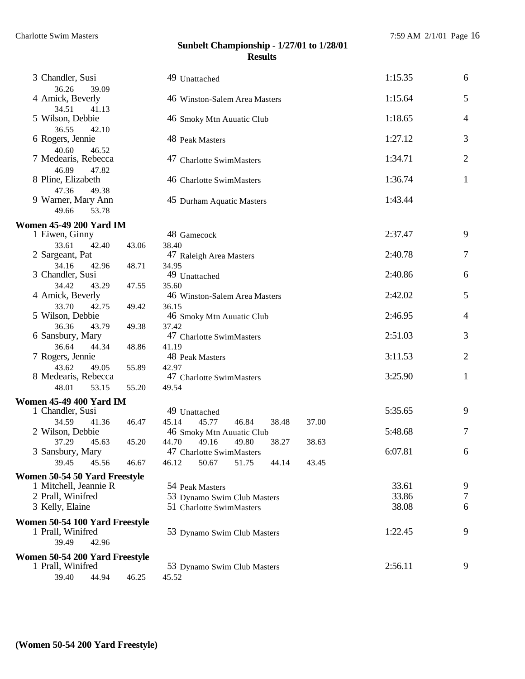| 3 Chandler, Susi                                       |                | 49 Unattached                                                                                                       | 1:15.35 | $\boldsymbol{6}$ |
|--------------------------------------------------------|----------------|---------------------------------------------------------------------------------------------------------------------|---------|------------------|
| 36.26<br>39.09<br>4 Amick, Beverly                     |                | 46 Winston-Salem Area Masters                                                                                       | 1:15.64 | $\mathfrak{S}$   |
| 34.51<br>41.13<br>5 Wilson, Debbie                     |                | 46 Smoky Mtn Auuatic Club                                                                                           | 1:18.65 | $\overline{4}$   |
| 36.55<br>42.10<br>6 Rogers, Jennie                     |                | 48 Peak Masters                                                                                                     | 1:27.12 | 3                |
| 40.60<br>46.52<br>7 Medearis, Rebecca                  |                | 47 Charlotte SwimMasters                                                                                            | 1:34.71 | $\sqrt{2}$       |
| 46.89<br>47.82<br>8 Pline, Elizabeth                   |                | 46 Charlotte SwimMasters                                                                                            | 1:36.74 | $\mathbf{1}$     |
| 47.36<br>49.38<br>9 Warner, Mary Ann<br>49.66<br>53.78 |                | 45 Durham Aquatic Masters                                                                                           | 1:43.44 |                  |
| <b>Women 45-49 200 Yard IM</b>                         |                |                                                                                                                     |         |                  |
| 1 Eiwen, Ginny                                         |                | 48 Gamecock                                                                                                         | 2:37.47 | 9                |
| 33.61<br>42.40<br>2 Sargeant, Pat                      | 43.06          | 38.40<br>47 Raleigh Area Masters                                                                                    | 2:40.78 | $\tau$           |
| 34.16<br>42.96<br>3 Chandler, Susi                     | 48.71          | 34.95<br>49 Unattached                                                                                              | 2:40.86 | $\boldsymbol{6}$ |
| 34.42<br>43.29<br>4 Amick, Beverly                     | 47.55          | 35.60<br>46 Winston-Salem Area Masters                                                                              | 2:42.02 | 5                |
| 33.70<br>42.75<br>5 Wilson, Debbie                     | 49.42          | 36.15<br>46 Smoky Mtn Auuatic Club                                                                                  | 2:46.95 | $\overline{4}$   |
| 36.36<br>43.79<br>6 Sansbury, Mary                     | 49.38          | 37.42<br>47 Charlotte SwimMasters                                                                                   | 2:51.03 | $\mathfrak{Z}$   |
| 36.64<br>44.34<br>7 Rogers, Jennie                     | 48.86          | 41.19<br>48 Peak Masters                                                                                            | 3:11.53 | $\sqrt{2}$       |
| 43.62<br>49.05<br>8 Medearis, Rebecca                  | 55.89          | 42.97<br>47 Charlotte SwimMasters                                                                                   | 3:25.90 | $\mathbf{1}$     |
| 48.01<br>53.15                                         | 55.20          | 49.54                                                                                                               |         |                  |
| <b>Women 45-49 400 Yard IM</b>                         |                |                                                                                                                     |         |                  |
| 1 Chandler, Susi                                       |                | 49 Unattached                                                                                                       | 5:35.65 | 9                |
| 34.59<br>41.36<br>2 Wilson, Debbie<br>37.29<br>45.63   | 46.47<br>45.20 | 45.14<br>45.77<br>46.84<br>38.48<br>37.00<br>46 Smoky Mtn Auuatic Club<br>44.70<br>49.16<br>38.63<br>49.80<br>38.27 | 5:48.68 | $\tau$           |
| 3 Sansbury, Mary<br>39.45<br>45.56                     | 46.67          | 47 Charlotte SwimMasters<br>50.67<br>51.75<br>44.14<br>46.12<br>43.45                                               | 6:07.81 | 6                |
|                                                        |                |                                                                                                                     |         |                  |
| Women 50-54 50 Yard Freestyle<br>1 Mitchell, Jeannie R |                | 54 Peak Masters                                                                                                     | 33.61   | 9                |
| 2 Prall, Winifred                                      |                | 53 Dynamo Swim Club Masters                                                                                         | 33.86   | 7                |
| 3 Kelly, Elaine                                        |                | 51 Charlotte SwimMasters                                                                                            | 38.08   | 6                |
| Women 50-54 100 Yard Freestyle                         |                |                                                                                                                     |         |                  |
| 1 Prall, Winifred<br>39.49<br>42.96                    |                | 53 Dynamo Swim Club Masters                                                                                         | 1:22.45 | 9                |
| Women 50-54 200 Yard Freestyle                         |                |                                                                                                                     |         |                  |
| 1 Prall, Winifred<br>39.40<br>44.94                    | 46.25          | 53 Dynamo Swim Club Masters<br>45.52                                                                                | 2:56.11 | 9                |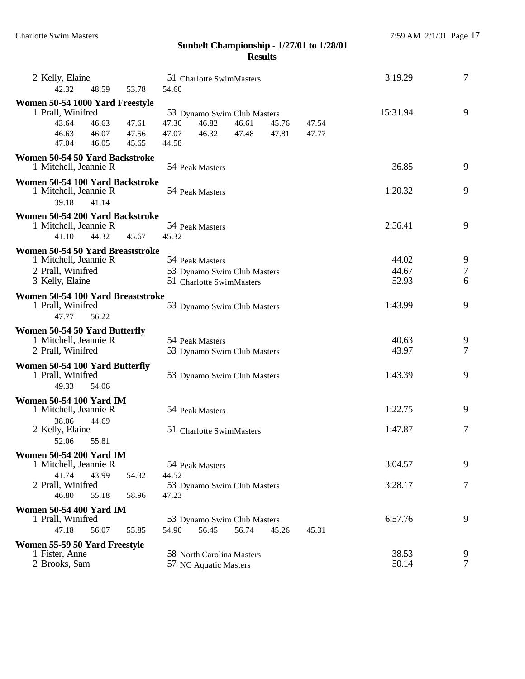| 2 Kelly, Elaine<br>42.32<br>48.59<br>53.78                                          | 51 Charlotte SwimMasters<br>54.60                                             | 3:19.29        | $\overline{7}$ |
|-------------------------------------------------------------------------------------|-------------------------------------------------------------------------------|----------------|----------------|
| Women 50-54 1000 Yard Freestyle                                                     |                                                                               |                |                |
| 1 Prall, Winifred<br>43.64                                                          | 53 Dynamo Swim Club Masters<br>46.82                                          | 15:31.94       | 9              |
| 46.63<br>47.61<br>46.63<br>46.07<br>47.56                                           | 47.30<br>46.61<br>45.76<br>47.54<br>46.32<br>47.07<br>47.48<br>47.81<br>47.77 |                |                |
| 47.04<br>46.05<br>45.65                                                             | 44.58                                                                         |                |                |
| Women 50-54 50 Yard Backstroke<br>1 Mitchell, Jeannie R                             | 54 Peak Masters                                                               | 36.85          | 9              |
| Women 50-54 100 Yard Backstroke<br>1 Mitchell, Jeannie R<br>39.18<br>41.14          | 54 Peak Masters                                                               | 1:20.32        | 9              |
| Women 50-54 200 Yard Backstroke<br>1 Mitchell, Jeannie R<br>44.32<br>41.10<br>45.67 | 54 Peak Masters<br>45.32                                                      | 2:56.41        | 9              |
| Women 50-54 50 Yard Breaststroke                                                    |                                                                               |                |                |
| 1 Mitchell, Jeannie R                                                               | 54 Peak Masters                                                               | 44.02          | 9              |
| 2 Prall, Winifred                                                                   | 53 Dynamo Swim Club Masters                                                   | 44.67          | $\tau$         |
| 3 Kelly, Elaine                                                                     | 51 Charlotte SwimMasters                                                      | 52.93          | 6              |
| Women 50-54 100 Yard Breaststroke<br>1 Prall, Winifred<br>47.77<br>56.22            | 53 Dynamo Swim Club Masters                                                   | 1:43.99        | 9              |
| Women 50-54 50 Yard Butterfly                                                       |                                                                               |                |                |
| 1 Mitchell, Jeannie R                                                               | 54 Peak Masters                                                               | 40.63          | 9              |
| 2 Prall, Winifred                                                                   | 53 Dynamo Swim Club Masters                                                   | 43.97          | 7              |
| Women 50-54 100 Yard Butterfly<br>1 Prall, Winifred<br>49.33<br>54.06               | 53 Dynamo Swim Club Masters                                                   | 1:43.39        | 9              |
| <b>Women 50-54 100 Yard IM</b><br>1 Mitchell, Jeannie R                             | 54 Peak Masters                                                               | 1:22.75        | 9              |
| 38.06<br>44.69<br>2 Kelly, Elaine<br>52.06<br>55.81                                 | 51 Charlotte SwimMasters                                                      | 1:47.87        | 7              |
| <b>Women 50-54 200 Yard IM</b>                                                      |                                                                               |                |                |
| 1 Mitchell, Jeannie R                                                               | 54 Peak Masters                                                               | 3:04.57        | 9              |
| 41.74<br>43.99<br>54.32<br>2 Prall, Winifred                                        | 44.52                                                                         | 3:28.17        | 7              |
| 46.80<br>55.18<br>58.96                                                             | 53 Dynamo Swim Club Masters<br>47.23                                          |                |                |
| <b>Women 50-54 400 Yard IM</b><br>1 Prall, Winifred                                 | 53 Dynamo Swim Club Masters                                                   | 6:57.76        | 9              |
| 47.18<br>56.07<br>55.85                                                             | 56.45<br>54.90<br>56.74<br>45.26<br>45.31                                     |                |                |
| Women 55-59 50 Yard Freestyle                                                       |                                                                               |                |                |
| 1 Fister, Anne<br>2 Brooks, Sam                                                     | 58 North Carolina Masters<br>57 NC Aquatic Masters                            | 38.53<br>50.14 | 9<br>7         |
|                                                                                     |                                                                               |                |                |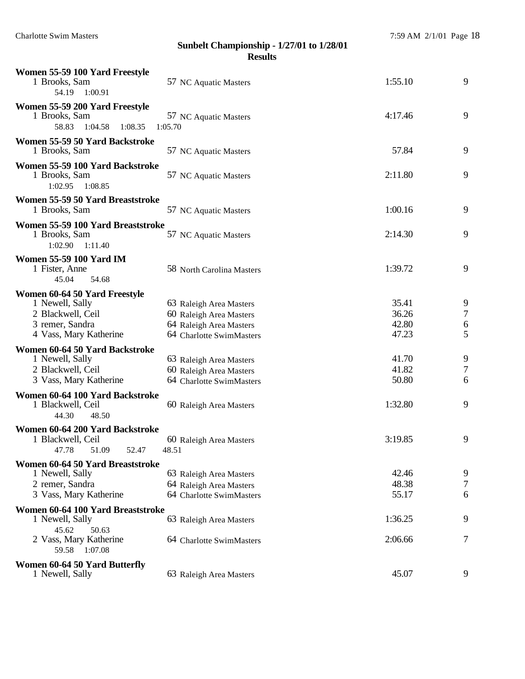| Women 55-59 100 Yard Freestyle<br>1 Brooks, Sam<br>54.19<br>1:00.91            | 57 NC Aquatic Masters            | 1:55.10 | 9      |
|--------------------------------------------------------------------------------|----------------------------------|---------|--------|
| Women 55-59 200 Yard Freestyle<br>1 Brooks, Sam<br>58.83<br>1:04.58<br>1:08.35 | 57 NC Aquatic Masters<br>1:05.70 | 4:17.46 | 9      |
| Women 55-59 50 Yard Backstroke<br>1 Brooks, Sam                                | 57 NC Aquatic Masters            | 57.84   | 9      |
| Women 55-59 100 Yard Backstroke<br>1 Brooks, Sam<br>1:02.95<br>1:08.85         | 57 NC Aquatic Masters            | 2:11.80 | 9      |
| Women 55-59 50 Yard Breaststroke<br>1 Brooks, Sam                              | 57 NC Aquatic Masters            | 1:00.16 | 9      |
|                                                                                |                                  |         |        |
| Women 55-59 100 Yard Breaststroke<br>1 Brooks, Sam<br>1:02.90<br>1:11.40       | 57 NC Aquatic Masters            | 2:14.30 | 9      |
| <b>Women 55-59 100 Yard IM</b><br>1 Fister, Anne<br>45.04<br>54.68             | 58 North Carolina Masters        | 1:39.72 | 9      |
| Women 60-64 50 Yard Freestyle                                                  |                                  |         |        |
| 1 Newell, Sally                                                                | 63 Raleigh Area Masters          | 35.41   | 9      |
| 2 Blackwell, Ceil                                                              | 60 Raleigh Area Masters          | 36.26   | $\tau$ |
| 3 remer, Sandra                                                                | 64 Raleigh Area Masters          | 42.80   | 6      |
| 4 Vass, Mary Katherine                                                         | 64 Charlotte SwimMasters         | 47.23   | 5      |
| Women 60-64 50 Yard Backstroke                                                 |                                  |         |        |
| 1 Newell, Sally                                                                | 63 Raleigh Area Masters          | 41.70   | 9      |
| 2 Blackwell, Ceil                                                              | 60 Raleigh Area Masters          | 41.82   | $\tau$ |
| 3 Vass, Mary Katherine                                                         | 64 Charlotte SwimMasters         | 50.80   | 6      |
| Women 60-64 100 Yard Backstroke                                                |                                  |         |        |
| 1 Blackwell, Ceil                                                              | 60 Raleigh Area Masters          | 1:32.80 | 9      |
| 44.30<br>48.50                                                                 |                                  |         |        |
| Women 60-64 200 Yard Backstroke                                                |                                  |         |        |
| 1 Blackwell, Ceil                                                              | 60 Raleigh Area Masters          | 3:19.85 | 9      |
| 47.78 51.09<br>52.47                                                           | 48.51                            |         |        |
| Women 60-64 50 Yard Breaststroke                                               |                                  |         |        |
| 1 Newell, Sally                                                                | 63 Raleigh Area Masters          | 42.46   | 9      |
| 2 remer, Sandra                                                                | 64 Raleigh Area Masters          | 48.38   | 7      |
| 3 Vass, Mary Katherine                                                         | 64 Charlotte SwimMasters         | 55.17   | 6      |
| Women 60-64 100 Yard Breaststroke<br>1 Newell, Sally                           | 63 Raleigh Area Masters          | 1:36.25 | 9      |
| 45.62<br>50.63<br>2 Vass, Mary Katherine<br>59.58 1:07.08                      | 64 Charlotte SwimMasters         | 2:06.66 | 7      |
| Women 60-64 50 Yard Butterfly                                                  |                                  |         |        |
| 1 Newell, Sally                                                                | 63 Raleigh Area Masters          | 45.07   | 9      |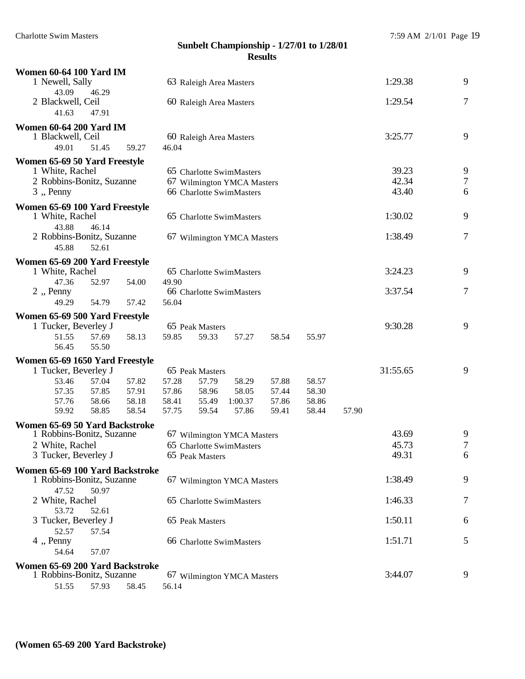| <b>Women 60-64 100 Yard IM</b>                         |       |       |       |                         |                            |       |       |       |          |                  |
|--------------------------------------------------------|-------|-------|-------|-------------------------|----------------------------|-------|-------|-------|----------|------------------|
| 1 Newell, Sally                                        |       |       |       | 63 Raleigh Area Masters |                            |       |       |       | 1:29.38  | 9                |
| 43.09                                                  | 46.29 |       |       |                         |                            |       |       |       |          |                  |
| 2 Blackwell, Ceil                                      |       |       |       | 60 Raleigh Area Masters |                            |       |       |       | 1:29.54  | $\boldsymbol{7}$ |
| 41.63                                                  | 47.91 |       |       |                         |                            |       |       |       |          |                  |
| <b>Women 60-64 200 Yard IM</b>                         |       |       |       |                         |                            |       |       |       |          |                  |
| 1 Blackwell, Ceil                                      |       |       |       | 60 Raleigh Area Masters |                            |       |       |       | 3:25.77  | 9                |
| 49.01                                                  | 51.45 | 59.27 | 46.04 |                         |                            |       |       |       |          |                  |
|                                                        |       |       |       |                         |                            |       |       |       |          |                  |
| Women 65-69 50 Yard Freestyle                          |       |       |       |                         |                            |       |       |       | 39.23    | 9                |
| 1 White, Rachel                                        |       |       |       |                         | 65 Charlotte SwimMasters   |       |       |       | 42.34    | $\overline{7}$   |
| 2 Robbins-Bonitz, Suzanne                              |       |       |       |                         | 67 Wilmington YMCA Masters |       |       |       | 43.40    | 6                |
| $3$ , Penny                                            |       |       |       |                         | 66 Charlotte SwimMasters   |       |       |       |          |                  |
| Women 65-69 100 Yard Freestyle                         |       |       |       |                         |                            |       |       |       |          |                  |
| 1 White, Rachel                                        |       |       |       |                         | 65 Charlotte SwimMasters   |       |       |       | 1:30.02  | 9                |
| 43.88                                                  | 46.14 |       |       |                         |                            |       |       |       |          |                  |
| 2 Robbins-Bonitz, Suzanne                              |       |       |       |                         | 67 Wilmington YMCA Masters |       |       |       | 1:38.49  | 7                |
| 45.88                                                  | 52.61 |       |       |                         |                            |       |       |       |          |                  |
| Women 65-69 200 Yard Freestyle                         |       |       |       |                         |                            |       |       |       |          |                  |
| 1 White, Rachel                                        |       |       |       |                         | 65 Charlotte SwimMasters   |       |       |       | 3:24.23  | 9                |
| 47.36                                                  | 52.97 | 54.00 | 49.90 |                         |                            |       |       |       |          |                  |
| $2$ , Penny                                            |       |       |       |                         | 66 Charlotte SwimMasters   |       |       |       | 3:37.54  | 7                |
| 49.29                                                  | 54.79 | 57.42 | 56.04 |                         |                            |       |       |       |          |                  |
|                                                        |       |       |       |                         |                            |       |       |       |          |                  |
| Women 65-69 500 Yard Freestyle<br>1 Tucker, Beverley J |       |       |       | 65 Peak Masters         |                            |       |       |       | 9:30.28  | 9                |
|                                                        | 57.69 | 58.13 | 59.85 |                         |                            |       |       |       |          |                  |
| 51.55<br>56.45                                         | 55.50 |       |       | 59.33                   | 57.27                      | 58.54 | 55.97 |       |          |                  |
|                                                        |       |       |       |                         |                            |       |       |       |          |                  |
| Women 65-69 1650 Yard Freestyle                        |       |       |       |                         |                            |       |       |       |          |                  |
| 1 Tucker, Beverley J                                   |       |       |       | 65 Peak Masters         |                            |       |       |       | 31:55.65 | 9                |
| 53.46                                                  | 57.04 | 57.82 | 57.28 | 57.79                   | 58.29                      | 57.88 | 58.57 |       |          |                  |
| 57.35                                                  | 57.85 | 57.91 | 57.86 | 58.96                   | 58.05                      | 57.44 | 58.30 |       |          |                  |
| 57.76                                                  | 58.66 | 58.18 | 58.41 | 55.49                   | 1:00.37                    | 57.86 | 58.86 |       |          |                  |
| 59.92                                                  | 58.85 | 58.54 | 57.75 | 59.54                   | 57.86                      | 59.41 | 58.44 | 57.90 |          |                  |
| Women 65-69 50 Yard Backstroke                         |       |       |       |                         |                            |       |       |       |          |                  |
| 1 Robbins-Bonitz, Suzanne                              |       |       |       |                         | 67 Wilmington YMCA Masters |       |       |       | 43.69    | 9                |
| 2 White, Rachel                                        |       |       |       |                         | 65 Charlotte SwimMasters   |       |       |       | 45.73    | $\tau$           |
| 3 Tucker, Beverley J                                   |       |       |       | 65 Peak Masters         |                            |       |       |       | 49.31    | 6                |
| Women 65-69 100 Yard Backstroke                        |       |       |       |                         |                            |       |       |       |          |                  |
| 1 Robbins-Bonitz, Suzanne                              |       |       |       |                         | 67 Wilmington YMCA Masters |       |       |       | 1:38.49  | 9                |
| 47.52                                                  | 50.97 |       |       |                         |                            |       |       |       |          |                  |
| 2 White, Rachel                                        |       |       |       |                         | 65 Charlotte SwimMasters   |       |       |       | 1:46.33  | 7                |
| 53.72                                                  | 52.61 |       |       |                         |                            |       |       |       |          |                  |
| 3 Tucker, Beverley J                                   |       |       |       | 65 Peak Masters         |                            |       |       |       | 1:50.11  | 6                |
| 52.57                                                  | 57.54 |       |       |                         |                            |       |       |       |          |                  |
| 4, Penny                                               |       |       |       |                         | 66 Charlotte SwimMasters   |       |       |       | 1:51.71  | 5                |
| 54.64                                                  | 57.07 |       |       |                         |                            |       |       |       |          |                  |
| Women 65-69 200 Yard Backstroke                        |       |       |       |                         |                            |       |       |       |          |                  |
| 1 Robbins-Bonitz, Suzanne                              |       |       |       |                         | 67 Wilmington YMCA Masters |       |       |       | 3:44.07  | 9                |
| 51.55                                                  | 57.93 | 58.45 | 56.14 |                         |                            |       |       |       |          |                  |
|                                                        |       |       |       |                         |                            |       |       |       |          |                  |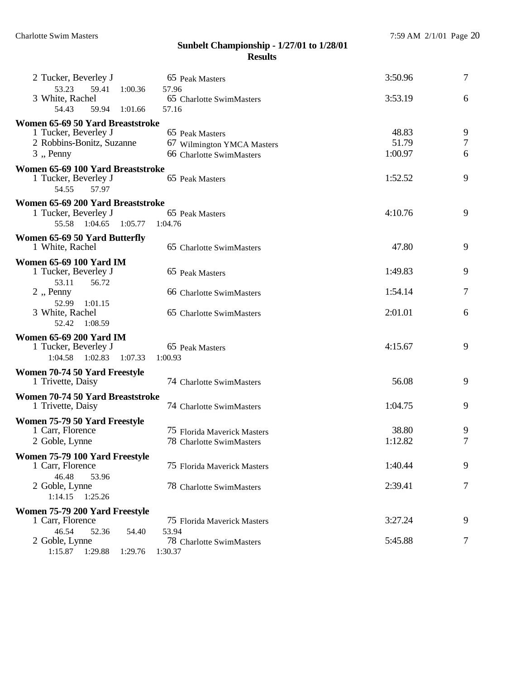| 2 Tucker, Beverley J                                                      | 65 Peak Masters                            | 3:50.96 | $\tau$ |
|---------------------------------------------------------------------------|--------------------------------------------|---------|--------|
| 53.23<br>59.41<br>1:00.36<br>3 White, Rachel<br>54.43<br>59.94<br>1:01.66 | 57.96<br>65 Charlotte SwimMasters<br>57.16 | 3:53.19 | 6      |
| Women 65-69 50 Yard Breaststroke                                          |                                            |         |        |
| 1 Tucker, Beverley J                                                      | 65 Peak Masters                            | 48.83   | 9      |
| 2 Robbins-Bonitz, Suzanne                                                 | 67 Wilmington YMCA Masters                 | 51.79   | 7      |
| $3$ , Penny                                                               | 66 Charlotte SwimMasters                   | 1:00.97 | 6      |
| Women 65-69 100 Yard Breaststroke                                         |                                            |         |        |
| 1 Tucker, Beverley J<br>54.55<br>57.97                                    | 65 Peak Masters                            | 1:52.52 | 9      |
| Women 65-69 200 Yard Breaststroke                                         |                                            |         |        |
| 1 Tucker, Beverley J                                                      | 65 Peak Masters                            | 4:10.76 | 9      |
| 55.58<br>1:04.65<br>1:05.77                                               | 1:04.76                                    |         |        |
|                                                                           |                                            |         |        |
| Women 65-69 50 Yard Butterfly                                             |                                            | 47.80   | 9      |
| 1 White, Rachel                                                           | 65 Charlotte SwimMasters                   |         |        |
| <b>Women 65-69 100 Yard IM</b>                                            |                                            |         |        |
| 1 Tucker, Beverley J                                                      | 65 Peak Masters                            | 1:49.83 | 9      |
| 53.11<br>56.72                                                            |                                            |         |        |
| 2, Penny                                                                  | 66 Charlotte SwimMasters                   | 1:54.14 | 7      |
| 52.99<br>1:01.15                                                          |                                            |         |        |
| 3 White, Rachel                                                           | 65 Charlotte SwimMasters                   | 2:01.01 | 6      |
| 52.42<br>1:08.59                                                          |                                            |         |        |
| <b>Women 65-69 200 Yard IM</b>                                            |                                            |         |        |
| 1 Tucker, Beverley J                                                      | 65 Peak Masters                            | 4:15.67 | 9      |
| 1:04.58<br>1:02.83<br>1:07.33                                             | 1:00.93                                    |         |        |
| Women 70-74 50 Yard Freestyle                                             |                                            |         |        |
| 1 Trivette, Daisy                                                         | 74 Charlotte SwimMasters                   | 56.08   | 9      |
|                                                                           |                                            |         |        |
| Women 70-74 50 Yard Breaststroke<br>1 Trivette, Daisy                     | 74 Charlotte SwimMasters                   | 1:04.75 | 9      |
|                                                                           |                                            |         |        |
| Women 75-79 50 Yard Freestyle                                             |                                            |         |        |
| 1 Carr, Florence                                                          | 75 Florida Maverick Masters                | 38.80   | 9      |
| 2 Goble, Lynne                                                            | 78 Charlotte SwimMasters                   | 1:12.82 | 7      |
| Women 75-79 100 Yard Freestyle                                            |                                            |         |        |
| 1 Carr, Florence                                                          | 75 Florida Maverick Masters                | 1:40.44 | 9      |
| 46.48<br>53.96                                                            |                                            |         |        |
| 2 Goble, Lynne                                                            | 78 Charlotte SwimMasters                   | 2:39.41 | 7      |
| 1:14.15<br>1:25.26                                                        |                                            |         |        |
| Women 75-79 200 Yard Freestyle                                            |                                            |         |        |
| 1 Carr, Florence                                                          | 75 Florida Maverick Masters                | 3:27.24 | 9      |
| 46.54<br>52.36<br>54.40                                                   | 53.94                                      |         |        |
| 2 Goble, Lynne                                                            | 78 Charlotte SwimMasters                   | 5:45.88 | 7      |
| 1:15.87  1:29.88<br>1:29.76                                               | 1:30.37                                    |         |        |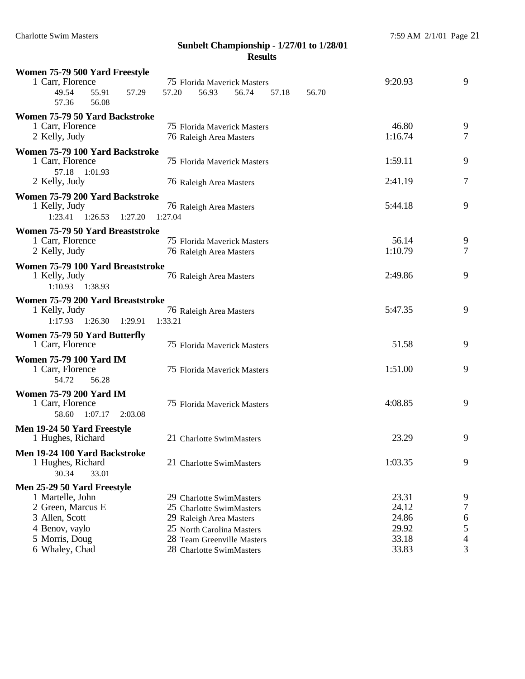| Women 75-79 500 Yard Freestyle                     |         |                                                      |                             |       |       |         |   |
|----------------------------------------------------|---------|------------------------------------------------------|-----------------------------|-------|-------|---------|---|
| 1 Carr, Florence                                   |         |                                                      | 75 Florida Maverick Masters |       |       | 9:20.93 | 9 |
| 49.54<br>55.91<br>57.29                            | 57.20   | 56.93                                                | 56.74                       | 57.18 | 56.70 |         |   |
| 56.08<br>57.36                                     |         |                                                      |                             |       |       |         |   |
| Women 75-79 50 Yard Backstroke                     |         |                                                      |                             |       |       |         |   |
| 1 Carr, Florence                                   |         |                                                      | 75 Florida Maverick Masters |       |       | 46.80   | 9 |
| 2 Kelly, Judy                                      |         | 76 Raleigh Area Masters                              |                             |       |       | 1:16.74 | 7 |
| Women 75-79 100 Yard Backstroke                    |         |                                                      |                             |       |       |         |   |
| 1 Carr, Florence                                   |         |                                                      | 75 Florida Maverick Masters |       |       | 1:59.11 | 9 |
| 57.18 1:01.93                                      |         |                                                      |                             |       |       |         |   |
| 2 Kelly, Judy                                      |         | 76 Raleigh Area Masters                              |                             |       |       | 2:41.19 | 7 |
| Women 75-79 200 Yard Backstroke                    |         |                                                      |                             |       |       |         |   |
| 1 Kelly, Judy                                      |         | 76 Raleigh Area Masters                              |                             |       |       | 5:44.18 | 9 |
| $1:23.41$ $1:26.53$<br>1:27.20                     | 1:27.04 |                                                      |                             |       |       |         |   |
| Women 75-79 50 Yard Breaststroke                   |         |                                                      |                             |       |       |         |   |
| 1 Carr, Florence                                   |         |                                                      | 75 Florida Maverick Masters |       |       | 56.14   | 9 |
| 2 Kelly, Judy                                      |         | 76 Raleigh Area Masters                              |                             |       |       | 1:10.79 | 7 |
| Women 75-79 100 Yard Breaststroke                  |         |                                                      |                             |       |       |         |   |
| 1 Kelly, Judy                                      |         | 76 Raleigh Area Masters                              |                             |       |       | 2:49.86 | 9 |
| 1:10.93<br>1:38.93                                 |         |                                                      |                             |       |       |         |   |
| Women 75-79 200 Yard Breaststroke                  |         |                                                      |                             |       |       |         |   |
| 1 Kelly, Judy                                      |         | 76 Raleigh Area Masters                              |                             |       |       | 5:47.35 | 9 |
| 1:17.93<br>1:26.30<br>1:29.91                      | 1:33.21 |                                                      |                             |       |       |         |   |
| Women 75-79 50 Yard Butterfly                      |         |                                                      |                             |       |       |         |   |
| 1 Carr, Florence                                   |         |                                                      | 75 Florida Maverick Masters |       |       | 51.58   | 9 |
| <b>Women 75-79 100 Yard IM</b>                     |         |                                                      |                             |       |       |         |   |
| 1 Carr, Florence                                   |         |                                                      | 75 Florida Maverick Masters |       |       | 1:51.00 | 9 |
| 54.72<br>56.28                                     |         |                                                      |                             |       |       |         |   |
| <b>Women 75-79 200 Yard IM</b>                     |         |                                                      |                             |       |       |         |   |
| 1 Carr, Florence                                   |         |                                                      | 75 Florida Maverick Masters |       |       | 4:08.85 | 9 |
| 1:07.17<br>58.60<br>2:03.08                        |         |                                                      |                             |       |       |         |   |
| Men 19-24 50 Yard Freestyle                        |         |                                                      |                             |       |       |         |   |
| 1 Hughes, Richard                                  |         | 21 Charlotte SwimMasters                             |                             |       |       | 23.29   | 9 |
|                                                    |         |                                                      |                             |       |       |         |   |
| Men 19-24 100 Yard Backstroke<br>1 Hughes, Richard |         | 21 Charlotte SwimMasters                             |                             |       |       | 1:03.35 | 9 |
| 30.34<br>33.01                                     |         |                                                      |                             |       |       |         |   |
|                                                    |         |                                                      |                             |       |       |         |   |
| Men 25-29 50 Yard Freestyle<br>1 Martelle, John    |         |                                                      |                             |       |       | 23.31   | 9 |
| 2 Green, Marcus E                                  |         | 29 Charlotte SwimMasters<br>25 Charlotte SwimMasters |                             |       |       | 24.12   | 7 |
| 3 Allen, Scott                                     |         | 29 Raleigh Area Masters                              |                             |       |       | 24.86   | 6 |
| 4 Benov, vaylo                                     |         | 25 North Carolina Masters                            |                             |       |       | 29.92   | 5 |
| 5 Morris, Doug                                     |         |                                                      | 28 Team Greenville Masters  |       |       | 33.18   | 4 |
| 6 Whaley, Chad                                     |         | 28 Charlotte SwimMasters                             |                             |       |       | 33.83   | 3 |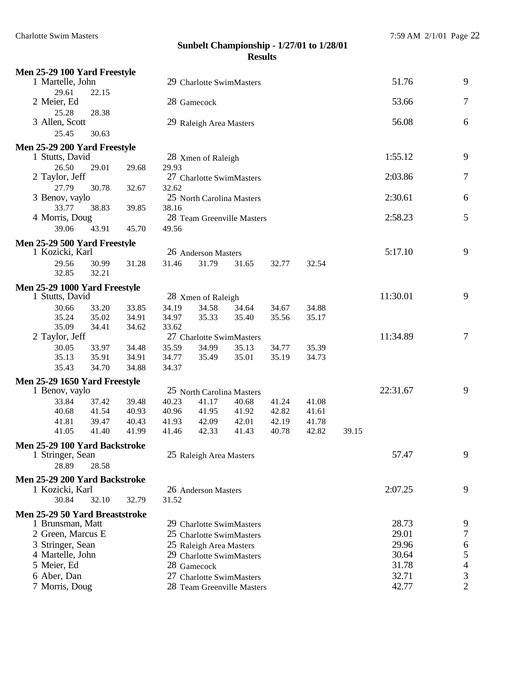| Men 25-29 100 Yard Freestyle   |       |       |       |                            |       |       |       |       |          |                |
|--------------------------------|-------|-------|-------|----------------------------|-------|-------|-------|-------|----------|----------------|
| 1 Martelle, John               |       |       |       | 29 Charlotte SwimMasters   |       |       |       |       | 51.76    | 9              |
| 29.61                          | 22.15 |       |       |                            |       |       |       |       |          |                |
| 2 Meier, Ed                    |       |       |       | 28 Gamecock                |       |       |       |       | 53.66    | 7              |
| 25.28                          | 28.38 |       |       |                            |       |       |       |       |          |                |
| 3 Allen, Scott                 |       |       |       | 29 Raleigh Area Masters    |       |       |       |       | 56.08    | 6              |
| 25.45                          | 30.63 |       |       |                            |       |       |       |       |          |                |
| Men 25-29 200 Yard Freestyle   |       |       |       |                            |       |       |       |       |          |                |
| 1 Stutts, David                |       |       |       | 28 Xmen of Raleigh         |       |       |       |       | 1:55.12  | 9              |
| 26.50                          | 29.01 | 29.68 | 29.93 |                            |       |       |       |       |          |                |
| 2 Taylor, Jeff                 |       |       |       | 27 Charlotte SwimMasters   |       |       |       |       | 2:03.86  | 7              |
| 27.79                          | 30.78 | 32.67 | 32.62 |                            |       |       |       |       |          |                |
| 3 Benov, vaylo                 |       |       |       | 25 North Carolina Masters  |       |       |       |       | 2:30.61  | 6              |
| 33.77                          | 38.83 | 39.85 | 38.16 |                            |       |       |       |       |          |                |
| 4 Morris, Doug                 |       |       |       | 28 Team Greenville Masters |       |       |       |       | 2:58.23  | 5              |
| 39.06                          | 43.91 | 45.70 | 49.56 |                            |       |       |       |       |          |                |
| Men 25-29 500 Yard Freestyle   |       |       |       |                            |       |       |       |       |          |                |
| 1 Kozicki, Karl                |       |       |       | 26 Anderson Masters        |       |       |       |       | 5:17.10  | 9              |
| 29.56                          | 30.99 | 31.28 | 31.46 | 31.79                      | 31.65 | 32.77 | 32.54 |       |          |                |
| 32.85                          | 32.21 |       |       |                            |       |       |       |       |          |                |
| Men 25-29 1000 Yard Freestyle  |       |       |       |                            |       |       |       |       |          |                |
| 1 Stutts, David                |       |       |       | 28 Xmen of Raleigh         |       |       |       |       | 11:30.01 | 9              |
| 30.66                          | 33.20 | 33.85 | 34.19 | 34.58                      | 34.64 | 34.67 | 34.88 |       |          |                |
| 35.24                          | 35.02 | 34.91 | 34.97 | 35.33                      | 35.40 | 35.56 | 35.17 |       |          |                |
| 35.09                          | 34.41 | 34.62 | 33.62 |                            |       |       |       |       |          |                |
| 2 Taylor, Jeff                 |       |       |       | 27 Charlotte SwimMasters   |       |       |       |       | 11:34.89 | 7              |
| 30.05                          | 33.97 | 34.48 | 35.59 | 34.99                      | 35.13 | 34.77 | 35.39 |       |          |                |
| 35.13                          | 35.91 | 34.91 | 34.77 | 35.49                      | 35.01 | 35.19 | 34.73 |       |          |                |
| 35.43                          | 34.70 | 34.88 | 34.37 |                            |       |       |       |       |          |                |
| Men 25-29 1650 Yard Freestyle  |       |       |       |                            |       |       |       |       |          |                |
| 1 Benov, vaylo                 |       |       |       | 25 North Carolina Masters  |       |       |       |       | 22:31.67 | 9              |
| 33.84                          | 37.42 | 39.48 | 40.23 | 41.17                      | 40.68 | 41.24 | 41.08 |       |          |                |
| 40.68                          | 41.54 | 40.93 | 40.96 | 41.95                      | 41.92 | 42.82 | 41.61 |       |          |                |
| 41.81                          | 39.47 | 40.43 | 41.93 | 42.09                      | 42.01 | 42.19 | 41.78 |       |          |                |
| 41.05                          | 41.40 | 41.99 | 41.46 | 42.33                      | 41.43 | 40.78 | 42.82 | 39.15 |          |                |
| Men 25-29 100 Yard Backstroke  |       |       |       |                            |       |       |       |       |          |                |
| 1 Stringer, Sean               |       |       |       | 25 Raleigh Area Masters    |       |       |       |       | 57.47    | 9              |
| 28.89                          | 28.58 |       |       |                            |       |       |       |       |          |                |
| Men 25-29 200 Yard Backstroke  |       |       |       |                            |       |       |       |       |          |                |
| 1 Kozicki, Karl                |       |       |       | 26 Anderson Masters        |       |       |       |       | 2:07.25  | 9              |
| 30.84                          | 32.10 | 32.79 | 31.52 |                            |       |       |       |       |          |                |
| Men 25-29 50 Yard Breaststroke |       |       |       |                            |       |       |       |       |          |                |
| 1 Brunsman, Matt               |       |       |       | 29 Charlotte SwimMasters   |       |       |       |       | 28.73    | 9              |
| 2 Green, Marcus E              |       |       |       | 25 Charlotte SwimMasters   |       |       |       |       | 29.01    | 7              |
| 3 Stringer, Sean               |       |       |       | 25 Raleigh Area Masters    |       |       |       |       | 29.96    | 6              |
| 4 Martelle, John               |       |       |       | 29 Charlotte SwimMasters   |       |       |       |       | 30.64    | 5              |
| 5 Meier, Ed                    |       |       |       | 28 Gamecock                |       |       |       |       | 31.78    | $\overline{4}$ |
| 6 Aber, Dan                    |       |       |       | 27 Charlotte SwimMasters   |       |       |       |       | 32.71    | 3              |
| 7 Morris, Doug                 |       |       |       | 28 Team Greenville Masters |       |       |       |       | 42.77    | $\overline{2}$ |
|                                |       |       |       |                            |       |       |       |       |          |                |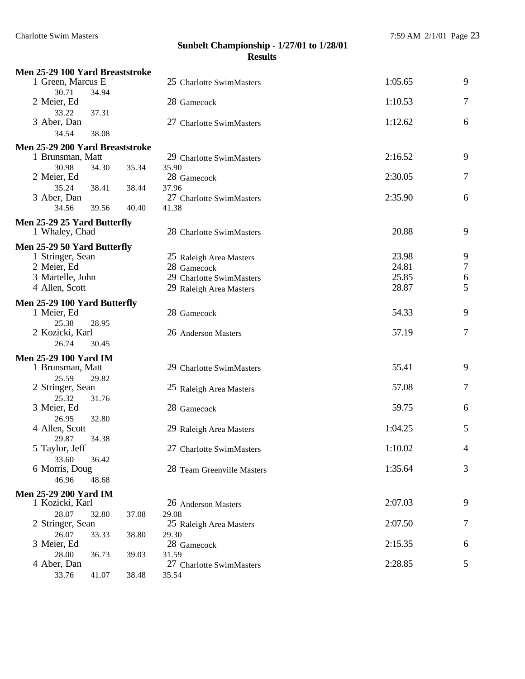| Men 25-29 100 Yard Breaststroke |                |                            |         |                  |
|---------------------------------|----------------|----------------------------|---------|------------------|
| 1 Green, Marcus E               |                | 25 Charlotte SwimMasters   | 1:05.65 | 9                |
| 30.71                           | 34.94          |                            |         |                  |
| 2 Meier, Ed                     |                | 28 Gamecock                | 1:10.53 | 7                |
| 33.22                           | 37.31          |                            |         |                  |
| 3 Aber, Dan                     |                | 27 Charlotte SwimMasters   | 1:12.62 | 6                |
| 34.54                           | 38.08          |                            |         |                  |
| Men 25-29 200 Yard Breaststroke |                |                            |         |                  |
| 1 Brunsman, Matt                |                | 29 Charlotte SwimMasters   | 2:16.52 | 9                |
| 30.98                           | 34.30<br>35.34 | 35.90                      |         |                  |
| 2 Meier, Ed                     |                | 28 Gamecock                | 2:30.05 | 7                |
| 35.24                           | 38.41<br>38.44 | 37.96                      |         |                  |
| 3 Aber, Dan                     |                | 27 Charlotte SwimMasters   | 2:35.90 | 6                |
| 34.56                           | 39.56<br>40.40 | 41.38                      |         |                  |
| Men 25-29 25 Yard Butterfly     |                |                            |         |                  |
| 1 Whaley, Chad                  |                | 28 Charlotte SwimMasters   | 20.88   | 9                |
| Men 25-29 50 Yard Butterfly     |                |                            |         |                  |
| 1 Stringer, Sean                |                | 25 Raleigh Area Masters    | 23.98   | 9                |
| 2 Meier, Ed                     |                | 28 Gamecock                | 24.81   | $\sqrt{ }$       |
| 3 Martelle, John                |                | 29 Charlotte SwimMasters   | 25.85   | 6                |
| 4 Allen, Scott                  |                | 29 Raleigh Area Masters    | 28.87   | 5                |
|                                 |                |                            |         |                  |
| Men 25-29 100 Yard Butterfly    |                |                            |         |                  |
| 1 Meier, Ed                     |                | 28 Gamecock                | 54.33   | 9                |
| 25.38<br>2 Kozicki, Karl        | 28.95          | 26 Anderson Masters        | 57.19   | $\boldsymbol{7}$ |
| 26.74                           | 30.45          |                            |         |                  |
|                                 |                |                            |         |                  |
| <b>Men 25-29 100 Yard IM</b>    |                |                            | 55.41   | 9                |
| 1 Brunsman, Matt                |                | 29 Charlotte SwimMasters   |         |                  |
| 25.59<br>2 Stringer, Sean       | 29.82          | 25 Raleigh Area Masters    | 57.08   | 7                |
| 25.32                           | 31.76          |                            |         |                  |
| 3 Meier, Ed                     |                | 28 Gamecock                | 59.75   | 6                |
| 26.95                           | 32.80          |                            |         |                  |
| 4 Allen, Scott                  |                | 29 Raleigh Area Masters    | 1:04.25 | 5                |
| 29.87                           | 34.38          |                            |         |                  |
| 5 Taylor, Jeff                  |                | 27 Charlotte SwimMasters   | 1:10.02 | 4                |
| 33.60                           | 36.42          |                            |         |                  |
| 6 Morris, Doug                  |                | 28 Team Greenville Masters | 1:35.64 | 3                |
| 46.96                           | 48.68          |                            |         |                  |
| <b>Men 25-29 200 Yard IM</b>    |                |                            |         |                  |
| 1 Kozicki, Karl                 |                | 26 Anderson Masters        | 2:07.03 | 9                |
| 28.07                           | 32.80<br>37.08 | 29.08                      |         |                  |
| 2 Stringer, Sean                |                | 25 Raleigh Area Masters    | 2:07.50 | 7                |
| 26.07                           | 38.80<br>33.33 | 29.30                      |         |                  |
| 3 Meier, Ed                     |                | 28 Gamecock                | 2:15.35 | 6                |
| 28.00                           | 36.73<br>39.03 | 31.59                      |         |                  |
| 4 Aber, Dan                     |                | 27 Charlotte SwimMasters   | 2:28.85 | 5                |
| 33.76                           | 41.07<br>38.48 | 35.54                      |         |                  |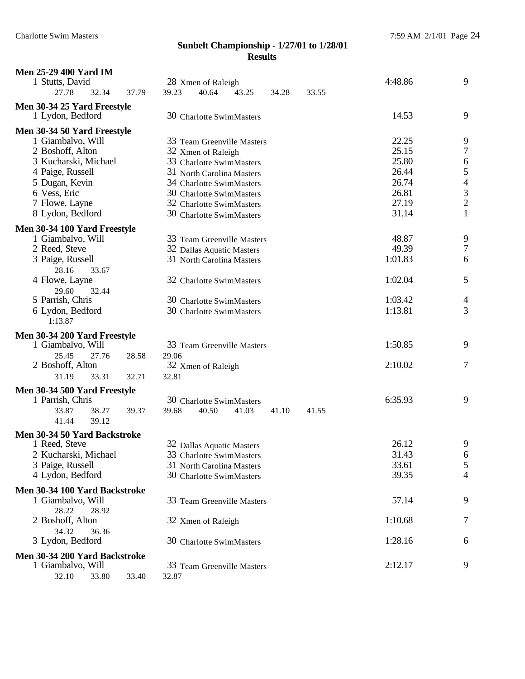| <b>Men 25-29 400 Yard IM</b><br>1 Stutts, David<br>27.78<br>32.34                                                                                                                        | 37.79          | 28 Xmen of Raleigh<br>39.23<br>40.64<br>43.25                                                                                                                                                                             | 34.28 | 33.55 | 4:48.86                                                              | 9                                                                                           |
|------------------------------------------------------------------------------------------------------------------------------------------------------------------------------------------|----------------|---------------------------------------------------------------------------------------------------------------------------------------------------------------------------------------------------------------------------|-------|-------|----------------------------------------------------------------------|---------------------------------------------------------------------------------------------|
| Men 30-34 25 Yard Freestyle<br>1 Lydon, Bedford                                                                                                                                          |                | 30 Charlotte SwimMasters                                                                                                                                                                                                  |       |       | 14.53                                                                | 9                                                                                           |
| Men 30-34 50 Yard Freestyle<br>1 Giambalvo, Will<br>2 Boshoff, Alton<br>3 Kucharski, Michael<br>4 Paige, Russell<br>5 Dugan, Kevin<br>6 Vess, Eric<br>7 Flowe, Layne<br>8 Lydon, Bedford |                | 33 Team Greenville Masters<br>32 Xmen of Raleigh<br>33 Charlotte SwimMasters<br>31 North Carolina Masters<br>34 Charlotte SwimMasters<br>30 Charlotte SwimMasters<br>32 Charlotte SwimMasters<br>30 Charlotte SwimMasters |       |       | 22.25<br>25.15<br>25.80<br>26.44<br>26.74<br>26.81<br>27.19<br>31.14 | 9<br>$\overline{7}$<br>6<br>5<br>$\begin{array}{c} 4 \\ 3 \\ 2 \end{array}$<br>$\mathbf{1}$ |
| Men 30-34 100 Yard Freestyle                                                                                                                                                             |                |                                                                                                                                                                                                                           |       |       |                                                                      |                                                                                             |
| 1 Giambalvo, Will<br>2 Reed, Steve<br>3 Paige, Russell<br>28.16<br>33.67<br>4 Flowe, Layne<br>29.60<br>32.44<br>5 Parrish, Chris                                                         |                | 33 Team Greenville Masters<br>32 Dallas Aquatic Masters<br>31 North Carolina Masters<br>32 Charlotte SwimMasters<br>30 Charlotte SwimMasters                                                                              |       |       | 48.87<br>49.39<br>1:01.83<br>1:02.04<br>1:03.42                      | 9<br>$\overline{7}$<br>6<br>5<br>4                                                          |
| 6 Lydon, Bedford<br>1:13.87                                                                                                                                                              |                | 30 Charlotte SwimMasters                                                                                                                                                                                                  |       |       | 1:13.81                                                              | 3                                                                                           |
| Men 30-34 200 Yard Freestyle<br>1 Giambalvo, Will<br>25.45<br>27.76<br>2 Boshoff, Alton<br>31.19<br>33.31                                                                                | 28.58<br>32.71 | 33 Team Greenville Masters<br>29.06<br>32 Xmen of Raleigh<br>32.81                                                                                                                                                        |       |       | 1:50.85<br>2:10.02                                                   | 9<br>$\tau$                                                                                 |
| Men 30-34 500 Yard Freestyle<br>1 Parrish, Chris<br>33.87<br>38.27<br>39.12<br>41.44                                                                                                     | 39.37          | 30 Charlotte SwimMasters<br>39.68<br>40.50<br>41.03                                                                                                                                                                       | 41.10 | 41.55 | 6:35.93                                                              | 9                                                                                           |
| Men 30-34 50 Yard Backstroke<br>1 Reed, Steve<br>2 Kucharski, Michael<br>3 Paige, Russell<br>4 Lydon, Bedford                                                                            |                | 32 Dallas Aquatic Masters<br>33 Charlotte SwimMasters<br>31 North Carolina Masters<br>30 Charlotte SwimMasters                                                                                                            |       |       | 26.12<br>31.43<br>33.61<br>39.35                                     | 9<br>6<br>5<br>4                                                                            |
| Men 30-34 100 Yard Backstroke                                                                                                                                                            |                |                                                                                                                                                                                                                           |       |       |                                                                      |                                                                                             |
| 1 Giambalvo, Will<br>28.22<br>28.92                                                                                                                                                      |                | 33 Team Greenville Masters                                                                                                                                                                                                |       |       | 57.14                                                                | 9                                                                                           |
| 2 Boshoff, Alton<br>34.32<br>36.36                                                                                                                                                       |                | 32 Xmen of Raleigh                                                                                                                                                                                                        |       |       | 1:10.68                                                              | 7                                                                                           |
| 3 Lydon, Bedford                                                                                                                                                                         |                | 30 Charlotte SwimMasters                                                                                                                                                                                                  |       |       | 1:28.16                                                              | 6                                                                                           |
| Men 30-34 200 Yard Backstroke<br>1 Giambalvo, Will<br>32.10<br>33.80                                                                                                                     | 33.40          | 33 Team Greenville Masters<br>32.87                                                                                                                                                                                       |       |       | 2:12.17                                                              | 9                                                                                           |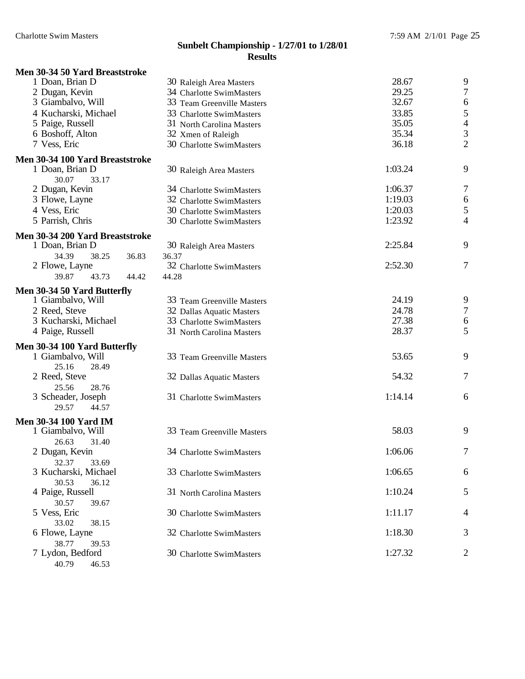## **Men 30-34 50 Yard Breaststroke**

| 1 Doan, Brian D                                    | 30 Raleigh Area Masters          | 28.67   | 9                |
|----------------------------------------------------|----------------------------------|---------|------------------|
| 2 Dugan, Kevin                                     | 34 Charlotte SwimMasters         | 29.25   | $\tau$           |
| 3 Giambalvo, Will                                  | 33 Team Greenville Masters       | 32.67   | $\sqrt{6}$       |
| 4 Kucharski, Michael                               | 33 Charlotte SwimMasters         | 33.85   | 5                |
| 5 Paige, Russell                                   | 31 North Carolina Masters        | 35.05   | $\overline{4}$   |
| 6 Boshoff, Alton                                   | 32 Xmen of Raleigh               | 35.34   | $\mathfrak{Z}$   |
| 7 Vess, Eric                                       | 30 Charlotte SwimMasters         | 36.18   | $\overline{2}$   |
| Men 30-34 100 Yard Breaststroke                    |                                  |         |                  |
| 1 Doan, Brian D                                    | 30 Raleigh Area Masters          | 1:03.24 | 9                |
| 30.07<br>33.17                                     |                                  |         |                  |
| 2 Dugan, Kevin                                     | 34 Charlotte SwimMasters         | 1:06.37 | 7                |
| 3 Flowe, Layne                                     | 32 Charlotte SwimMasters         | 1:19.03 | $\boldsymbol{6}$ |
| 4 Vess, Eric                                       | 30 Charlotte SwimMasters         | 1:20.03 | 5                |
| 5 Parrish, Chris                                   | 30 Charlotte SwimMasters         | 1:23.92 | 4                |
|                                                    |                                  |         |                  |
| Men 30-34 200 Yard Breaststroke<br>1 Doan, Brian D |                                  | 2:25.84 | 9                |
| 34.39<br>38.25<br>36.83                            | 30 Raleigh Area Masters<br>36.37 |         |                  |
| 2 Flowe, Layne                                     | 32 Charlotte SwimMasters         | 2:52.30 | $\tau$           |
| 39.87<br>43.73<br>44.42                            | 44.28                            |         |                  |
|                                                    |                                  |         |                  |
| Men 30-34 50 Yard Butterfly                        |                                  |         |                  |
| 1 Giambalvo, Will                                  | 33 Team Greenville Masters       | 24.19   | 9                |
| 2 Reed, Steve                                      | 32 Dallas Aquatic Masters        | 24.78   | $\tau$           |
| 3 Kucharski, Michael                               | 33 Charlotte SwimMasters         | 27.38   | 6                |
| 4 Paige, Russell                                   | 31 North Carolina Masters        | 28.37   | 5                |
| Men 30-34 100 Yard Butterfly                       |                                  |         |                  |
| 1 Giambalvo, Will                                  | 33 Team Greenville Masters       | 53.65   | 9                |
| 25.16<br>28.49                                     |                                  |         |                  |
| 2 Reed, Steve                                      | 32 Dallas Aquatic Masters        | 54.32   | $\tau$           |
| 25.56<br>28.76                                     |                                  |         |                  |
| 3 Scheader, Joseph                                 | 31 Charlotte SwimMasters         | 1:14.14 | 6                |
| 29.57<br>44.57                                     |                                  |         |                  |
| <b>Men 30-34 100 Yard IM</b>                       |                                  |         |                  |
| 1 Giambalvo, Will                                  | 33 Team Greenville Masters       | 58.03   | 9                |
| 26.63<br>31.40                                     |                                  |         |                  |
| 2 Dugan, Kevin                                     | 34 Charlotte SwimMasters         | 1:06.06 | 7                |
| 32.37<br>33.69                                     |                                  |         |                  |
| 3 Kucharski, Michael                               | 33 Charlotte SwimMasters         | 1:06.65 | 6                |
| 30.53<br>36.12                                     |                                  |         |                  |
| 4 Paige, Russell                                   | 31 North Carolina Masters        | 1:10.24 | 5                |
| 30.57<br>39.67                                     |                                  |         |                  |
| 5 Vess, Eric                                       | 30 Charlotte SwimMasters         | 1:11.17 | 4                |
| 33.02<br>38.15                                     |                                  |         |                  |
| 6 Flowe, Layne                                     | 32 Charlotte SwimMasters         | 1:18.30 | 3                |
| 38.77<br>39.53                                     |                                  |         |                  |
| 7 Lydon, Bedford                                   | 30 Charlotte SwimMasters         | 1:27.32 | 2                |
| 40.79<br>46.53                                     |                                  |         |                  |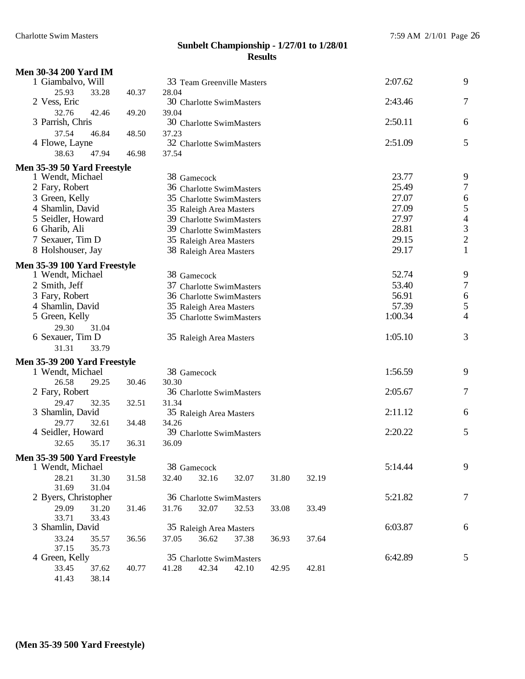| <b>Men 30-34 200 Yard IM</b>          |       |                                                     |                  |                     |                |                                            |
|---------------------------------------|-------|-----------------------------------------------------|------------------|---------------------|----------------|--------------------------------------------|
| 1 Giambalvo, Will                     |       | 33 Team Greenville Masters                          |                  |                     | 2:07.62        | 9                                          |
| 25.93<br>33.28                        | 40.37 | 28.04                                               |                  |                     |                |                                            |
| 2 Vess, Eric                          |       | 30 Charlotte SwimMasters                            |                  |                     | 2:43.46        | 7                                          |
| 32.76<br>42.46                        | 49.20 | 39.04                                               |                  |                     |                |                                            |
| 3 Parrish, Chris                      |       | 30 Charlotte SwimMasters                            |                  |                     | 2:50.11        | 6                                          |
| 37.54<br>46.84                        | 48.50 | 37.23                                               |                  |                     |                |                                            |
| 4 Flowe, Layne                        |       | 32 Charlotte SwimMasters<br>37.54                   |                  |                     | 2:51.09        | 5                                          |
| 38.63<br>47.94                        | 46.98 |                                                     |                  |                     |                |                                            |
| Men 35-39 50 Yard Freestyle           |       |                                                     |                  |                     |                |                                            |
| 1 Wendt, Michael                      |       | 38 Gamecock                                         |                  |                     | 23.77          | 9<br>$\boldsymbol{7}$                      |
| 2 Fary, Robert                        |       | 36 Charlotte SwimMasters                            |                  |                     | 25.49          |                                            |
| 3 Green, Kelly                        |       | 35 Charlotte SwimMasters                            |                  |                     | 27.07<br>27.09 | 6                                          |
| 4 Shamlin, David<br>5 Seidler, Howard |       | 35 Raleigh Area Masters                             |                  |                     | 27.97          | 5                                          |
| 6 Gharib, Ali                         |       | 39 Charlotte SwimMasters                            |                  |                     | 28.81          | $\begin{array}{c} 4 \\ 3 \\ 2 \end{array}$ |
| 7 Sexauer, Tim D                      |       | 39 Charlotte SwimMasters                            |                  |                     | 29.15          |                                            |
| 8 Holshouser, Jay                     |       | 35 Raleigh Area Masters                             |                  |                     | 29.17          | $\mathbf{1}$                               |
|                                       |       | 38 Raleigh Area Masters                             |                  |                     |                |                                            |
| Men 35-39 100 Yard Freestyle          |       |                                                     |                  |                     |                |                                            |
| 1 Wendt, Michael                      |       | 38 Gamecock                                         | 52.74            | 9                   |                |                                            |
| 2 Smith, Jeff                         |       | 37 Charlotte SwimMasters                            | 53.40            | $\boldsymbol{7}$    |                |                                            |
| 3 Fary, Robert                        |       | 36 Charlotte SwimMasters                            | 56.91            | $\boldsymbol{6}$    |                |                                            |
| 4 Shamlin, David                      |       | 35 Raleigh Area Masters                             | 57.39<br>1:00.34 | 5<br>$\overline{4}$ |                |                                            |
| 5 Green, Kelly<br>29.30               |       | 35 Charlotte SwimMasters                            |                  |                     |                |                                            |
| 31.04<br>6 Sexauer, Tim D             |       |                                                     |                  |                     | 1:05.10        | 3                                          |
| 31.31<br>33.79                        |       | 35 Raleigh Area Masters                             |                  |                     |                |                                            |
|                                       |       |                                                     |                  |                     |                |                                            |
| Men 35-39 200 Yard Freestyle          |       |                                                     |                  |                     | 1:56.59        |                                            |
| 1 Wendt, Michael<br>26.58<br>29.25    | 30.46 | 38 Gamecock<br>30.30                                |                  |                     |                | 9                                          |
| 2 Fary, Robert                        |       | 36 Charlotte SwimMasters                            |                  |                     | 2:05.67        | 7                                          |
| 29.47<br>32.35                        | 32.51 | 31.34                                               |                  |                     |                |                                            |
| 3 Shamlin, David                      |       | 35 Raleigh Area Masters                             |                  |                     | 2:11.12        | 6                                          |
| 29.77<br>32.61                        | 34.48 | 34.26                                               |                  |                     |                |                                            |
| 4 Seidler, Howard                     |       | 39 Charlotte SwimMasters                            |                  |                     | 2:20.22        | 5                                          |
| 32.65<br>35.17                        | 36.31 | 36.09                                               |                  |                     |                |                                            |
| Men 35-39 500 Yard Freestyle          |       |                                                     |                  |                     |                |                                            |
| 1 Wendt, Michael                      |       | 38 Gamecock                                         |                  |                     | 5:14.44        | 9                                          |
| 28.21<br>31.30                        | 31.58 | 32.40<br>32.16<br>32.07                             | 31.80            | 32.19               |                |                                            |
| 31.69<br>31.04                        |       |                                                     |                  |                     |                |                                            |
| 2 Byers, Christopher                  |       | 36 Charlotte SwimMasters                            |                  |                     | 5:21.82        | 7                                          |
| 29.09<br>31.20                        | 31.46 | 32.07<br>31.76<br>32.53                             | 33.08            | 33.49               |                |                                            |
| 33.71<br>33.43                        |       |                                                     |                  |                     |                |                                            |
| 3 Shamlin, David                      |       | 35 Raleigh Area Masters                             |                  |                     | 6:03.87        | 6                                          |
| 33.24<br>35.57                        | 36.56 | 37.05<br>36.62<br>37.38                             | 36.93            | 37.64               |                |                                            |
| 37.15<br>35.73                        |       |                                                     |                  |                     |                |                                            |
| 4 Green, Kelly<br>33.45<br>37.62      | 40.77 | 35 Charlotte SwimMasters<br>41.28<br>42.34<br>42.10 | 42.95            | 42.81               | 6:42.89        | 5                                          |
| 41.43<br>38.14                        |       |                                                     |                  |                     |                |                                            |
|                                       |       |                                                     |                  |                     |                |                                            |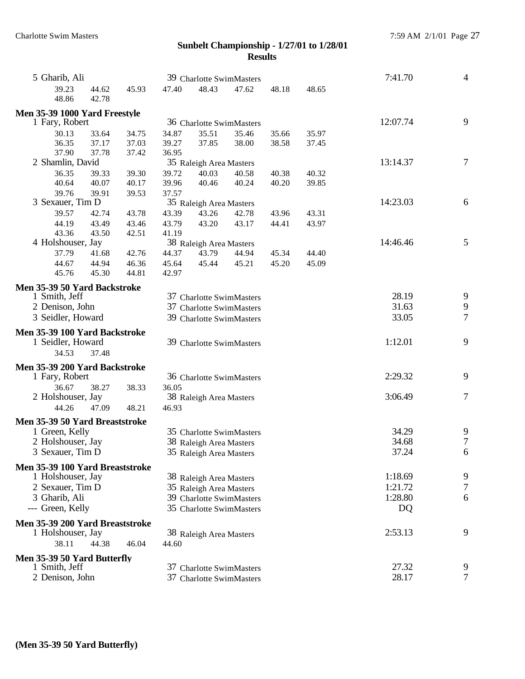| 5 Gharib, Ali                                |                |                |                         | 39 Charlotte SwimMasters |         |       | 7:41.70  | $\overline{4}$   |
|----------------------------------------------|----------------|----------------|-------------------------|--------------------------|---------|-------|----------|------------------|
| 39.23<br>44.62<br>48.86<br>42.78             | 45.93          | 47.40          | 48.43                   | 47.62                    | 48.18   | 48.65 |          |                  |
| Men 35-39 1000 Yard Freestyle                |                |                |                         |                          |         |       |          |                  |
| 1 Fary, Robert                               |                |                |                         | 36 Charlotte SwimMasters |         |       | 12:07.74 | 9                |
| 30.13<br>33.64                               | 34.75          | 34.87          | 35.51                   | 35.46                    | 35.66   | 35.97 |          |                  |
| 36.35<br>37.17                               | 37.03          | 39.27          | 37.85                   | 38.00                    | 38.58   | 37.45 |          |                  |
| 37.90<br>37.78                               | 37.42          | 36.95          |                         |                          |         |       |          |                  |
| 2 Shamlin, David                             |                |                | 35 Raleigh Area Masters |                          |         |       | 13:14.37 | $\boldsymbol{7}$ |
| 36.35<br>39.33                               | 39.30          | 39.72          | 40.03                   | 40.58                    | 40.38   | 40.32 |          |                  |
| 40.64<br>40.07                               | 40.17          | 39.96          | 40.46                   | 40.24                    | 40.20   | 39.85 |          |                  |
| 39.76<br>39.91                               | 39.53          | 37.57          |                         |                          |         |       |          |                  |
| 3 Sexauer, Tim D                             |                |                | 35 Raleigh Area Masters |                          |         |       | 14:23.03 | 6                |
| 39.57<br>42.74                               | 43.78          | 43.39          | 43.26                   | 42.78                    | 43.96   | 43.31 |          |                  |
| 44.19<br>43.49                               | 43.46          | 43.79          | 43.20                   | 43.17                    | 44.41   | 43.97 |          |                  |
| 43.36<br>43.50                               | 42.51          | 41.19          |                         |                          |         |       | 14:46.46 | $\mathfrak{S}$   |
| 4 Holshouser, Jay                            |                |                | 38 Raleigh Area Masters |                          |         |       |          |                  |
| 37.79<br>41.68<br>44.67                      | 42.76          | 44.37          | 43.79                   | 44.94                    | 45.34   | 44.40 |          |                  |
| 44.94<br>45.76<br>45.30                      | 46.36<br>44.81 | 45.64<br>42.97 | 45.44                   | 45.21                    | 45.20   | 45.09 |          |                  |
|                                              |                |                |                         |                          |         |       |          |                  |
| Men 35-39 50 Yard Backstroke                 |                |                |                         |                          |         |       | 28.19    | 9                |
| 1 Smith, Jeff<br>2 Denison, John             |                |                |                         | 37 Charlotte SwimMasters | 31.63   | 9     |          |                  |
| 3 Seidler, Howard                            |                |                |                         | 37 Charlotte SwimMasters |         |       | 33.05    | $\tau$           |
|                                              |                |                |                         | 39 Charlotte SwimMasters |         |       |          |                  |
| Men 35-39 100 Yard Backstroke                |                |                |                         |                          |         |       |          |                  |
| 1 Seidler, Howard                            |                |                |                         | 39 Charlotte SwimMasters | 1:12.01 | 9     |          |                  |
| 34.53<br>37.48                               |                |                |                         |                          |         |       |          |                  |
| Men 35-39 200 Yard Backstroke                |                |                |                         |                          |         |       |          |                  |
| 1 Fary, Robert                               |                |                |                         | 36 Charlotte SwimMasters |         |       | 2:29.32  | 9                |
| 36.67<br>38.27                               | 38.33          | 36.05          |                         |                          |         |       |          |                  |
| 2 Holshouser, Jay                            |                |                | 38 Raleigh Area Masters |                          |         |       | 3:06.49  | $\boldsymbol{7}$ |
| 44.26<br>47.09                               | 48.21          | 46.93          |                         |                          |         |       |          |                  |
| Men 35-39 50 Yard Breaststroke               |                |                |                         |                          |         |       |          |                  |
| 1 Green, Kelly                               |                |                |                         | 35 Charlotte SwimMasters |         |       | 34.29    | $\frac{9}{7}$    |
| 2 Holshouser, Jay                            |                |                | 38 Raleigh Area Masters |                          |         |       | 34.68    |                  |
| 3 Sexauer, Tim D                             |                |                | 35 Raleigh Area Masters |                          |         |       | 37.24    | 6                |
| Men 35-39 100 Yard Breaststroke              |                |                |                         |                          |         |       |          |                  |
| 1 Holshouser, Jay                            |                |                | 38 Raleigh Area Masters |                          |         |       | 1:18.69  | 9                |
| 2 Sexauer, Tim D                             |                |                | 35 Raleigh Area Masters |                          |         |       | 1:21.72  | $\tau$           |
| 3 Gharib, Ali                                |                |                |                         | 39 Charlotte SwimMasters |         |       | 1:28.80  | 6                |
| --- Green, Kelly                             |                |                |                         | 35 Charlotte SwimMasters |         |       | DQ       |                  |
| Men 35-39 200 Yard Breaststroke              |                |                |                         |                          |         |       |          |                  |
| 1 Holshouser, Jay                            |                |                | 38 Raleigh Area Masters |                          |         |       | 2:53.13  | 9                |
| 38.11<br>44.38                               | 46.04          | 44.60          |                         |                          |         |       |          |                  |
|                                              |                |                |                         |                          |         |       |          |                  |
| Men 35-39 50 Yard Butterfly<br>1 Smith, Jeff |                |                |                         | 37 Charlotte SwimMasters |         |       | 27.32    | 9                |
| 2 Denison, John                              |                |                |                         | 37 Charlotte SwimMasters |         |       | 28.17    | $\tau$           |
|                                              |                |                |                         |                          |         |       |          |                  |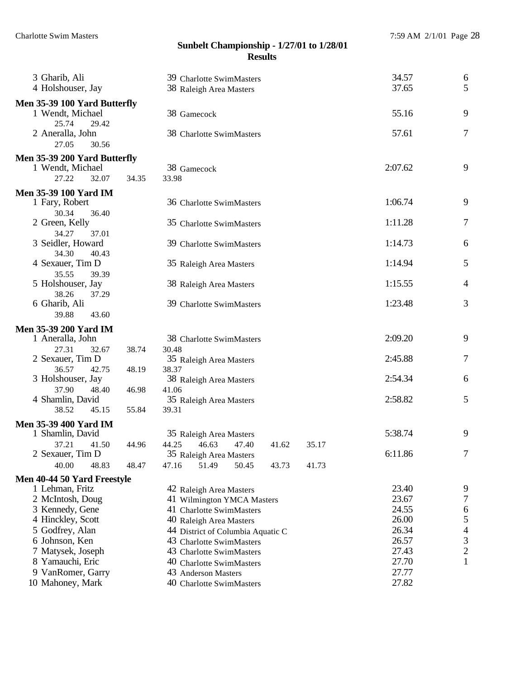| 3 Gharib, Ali<br>4 Holshouser, Jay                   |       | 39 Charlotte SwimMasters<br>38 Raleigh Area Masters | 34.57<br>37.65 | 6<br>5         |  |  |  |  |
|------------------------------------------------------|-------|-----------------------------------------------------|----------------|----------------|--|--|--|--|
| Men 35-39 100 Yard Butterfly<br>1 Wendt, Michael     |       | 38 Gamecock                                         | 55.16          | 9              |  |  |  |  |
| 25.74<br>29.42<br>2 Aneralla, John<br>27.05<br>30.56 |       | 38 Charlotte SwimMasters                            | 57.61          | $\tau$         |  |  |  |  |
| Men 35-39 200 Yard Butterfly                         |       |                                                     |                |                |  |  |  |  |
| 1 Wendt, Michael                                     |       | 38 Gamecock                                         | 2:07.62        | 9              |  |  |  |  |
| 27.22<br>32.07                                       | 34.35 | 33.98                                               |                |                |  |  |  |  |
| <b>Men 35-39 100 Yard IM</b>                         |       |                                                     |                |                |  |  |  |  |
| 1 Fary, Robert                                       |       | 36 Charlotte SwimMasters                            | 1:06.74        | 9              |  |  |  |  |
| 30.34<br>36.40                                       |       |                                                     |                |                |  |  |  |  |
| 2 Green, Kelly                                       |       | 35 Charlotte SwimMasters                            | 1:11.28        | 7              |  |  |  |  |
| 34.27<br>37.01                                       |       |                                                     |                |                |  |  |  |  |
| 3 Seidler, Howard                                    |       | 39 Charlotte SwimMasters                            | 1:14.73        | 6              |  |  |  |  |
| 34.30<br>40.43                                       |       |                                                     |                |                |  |  |  |  |
| 4 Sexauer, Tim D                                     |       | 35 Raleigh Area Masters                             | 1:14.94        | 5              |  |  |  |  |
| 35.55<br>39.39<br>5 Holshouser, Jay                  |       |                                                     | 1:15.55        | $\overline{4}$ |  |  |  |  |
| 38.26<br>37.29                                       |       | 38 Raleigh Area Masters                             |                |                |  |  |  |  |
| 6 Gharib, Ali                                        |       | 39 Charlotte SwimMasters                            | 1:23.48        | 3              |  |  |  |  |
| 39.88<br>43.60                                       |       |                                                     |                |                |  |  |  |  |
|                                                      |       |                                                     |                |                |  |  |  |  |
| <b>Men 35-39 200 Yard IM</b><br>1 Aneralla, John     |       | 38 Charlotte SwimMasters                            | 2:09.20        | 9              |  |  |  |  |
| 27.31<br>32.67                                       | 38.74 | 30.48                                               |                |                |  |  |  |  |
| 2 Sexauer, Tim D                                     |       | 35 Raleigh Area Masters                             | 2:45.88        | $\tau$         |  |  |  |  |
| 36.57<br>42.75                                       | 48.19 | 38.37                                               |                |                |  |  |  |  |
| 3 Holshouser, Jay                                    |       | 38 Raleigh Area Masters                             | 2:54.34        | 6              |  |  |  |  |
| 37.90<br>48.40                                       | 46.98 | 41.06                                               |                |                |  |  |  |  |
| 4 Shamlin, David                                     |       | 35 Raleigh Area Masters                             | 2:58.82        | 5              |  |  |  |  |
| 38.52<br>45.15                                       | 55.84 | 39.31                                               |                |                |  |  |  |  |
| <b>Men 35-39 400 Yard IM</b>                         |       |                                                     |                |                |  |  |  |  |
| 1 Shamlin, David                                     |       | 35 Raleigh Area Masters                             | 5:38.74        | 9              |  |  |  |  |
| 37.21<br>41.50                                       | 44.96 | 44.25<br>46.63<br>47.40<br>41.62<br>35.17           |                |                |  |  |  |  |
| 2 Sexauer, Tim D                                     |       | 35 Raleigh Area Masters                             | 6:11.86        | 7              |  |  |  |  |
| 40.00<br>48.83                                       | 48.47 | 47.16<br>51.49<br>50.45<br>43.73<br>41.73           |                |                |  |  |  |  |
| Men 40-44 50 Yard Freestyle                          |       |                                                     |                |                |  |  |  |  |
| 1 Lehman, Fritz                                      |       | 42 Raleigh Area Masters                             | 23.40          | 9              |  |  |  |  |
| 2 McIntosh, Doug                                     |       | 41 Wilmington YMCA Masters                          | 23.67          | $\tau$         |  |  |  |  |
| 3 Kennedy, Gene                                      |       | 41 Charlotte SwimMasters                            | 24.55          | 6<br>5         |  |  |  |  |
| 4 Hinckley, Scott                                    |       | 26.00<br>40 Raleigh Area Masters                    |                |                |  |  |  |  |
| 5 Godfrey, Alan                                      |       | 44 District of Columbia Aquatic C                   | 26.34          | $\overline{4}$ |  |  |  |  |
| 6 Johnson, Ken                                       |       | 43 Charlotte SwimMasters                            | 26.57          | 3              |  |  |  |  |
| 7 Matysek, Joseph                                    |       | 43 Charlotte SwimMasters                            | 27.43          | $\overline{c}$ |  |  |  |  |
| 8 Yamauchi, Eric                                     |       | 40 Charlotte SwimMasters                            | 27.70          | $\mathbf{1}$   |  |  |  |  |
| 9 VanRomer, Garry                                    |       | 43 Anderson Masters                                 | 27.77          |                |  |  |  |  |
| 10 Mahoney, Mark                                     |       | 40 Charlotte SwimMasters                            | 27.82          |                |  |  |  |  |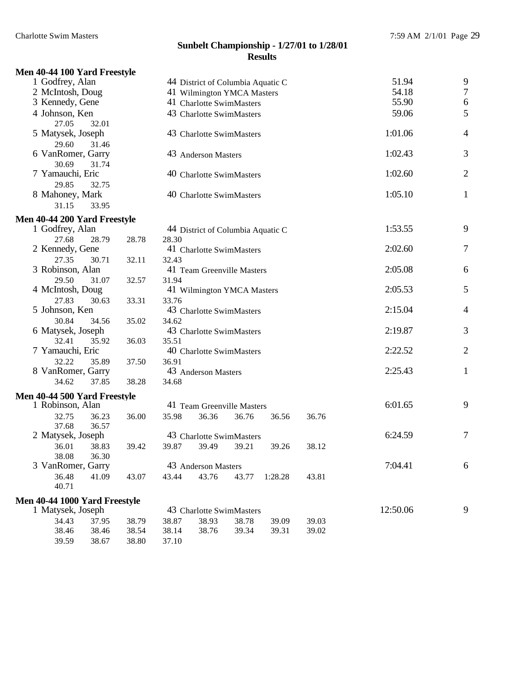|  |  | Men 40-44 100 Yard Freestyle |  |
|--|--|------------------------------|--|
|  |  |                              |  |

| 1 Godfrey, Alan              | 44 District of Columbia Aquatic C | 51.94   | 9              |
|------------------------------|-----------------------------------|---------|----------------|
| 2 McIntosh, Doug             | 41 Wilmington YMCA Masters        | 54.18   | $\overline{7}$ |
| 3 Kennedy, Gene              | 41 Charlotte SwimMasters          | 55.90   | $\sqrt{6}$     |
| 4 Johnson, Ken               | 43 Charlotte SwimMasters          | 59.06   | 5              |
| 27.05<br>32.01               |                                   |         |                |
| 5 Matysek, Joseph            | 43 Charlotte SwimMasters          | 1:01.06 | $\overline{4}$ |
| 29.60<br>31.46               |                                   |         |                |
| 6 VanRomer, Garry            | 43 Anderson Masters               | 1:02.43 | 3              |
| 30.69<br>31.74               |                                   |         |                |
| 7 Yamauchi, Eric             | 40 Charlotte SwimMasters          | 1:02.60 | $\overline{2}$ |
| 29.85<br>32.75               |                                   |         |                |
| 8 Mahoney, Mark              | 40 Charlotte SwimMasters          | 1:05.10 | $\mathbf{1}$   |
| 31.15<br>33.95               |                                   |         |                |
| Men 40-44 200 Yard Freestyle |                                   |         |                |
| 1 Godfrey, Alan              | 44 District of Columbia Aquatic C | 1:53.55 | 9              |
| 27.68<br>28.79<br>28.78      | 28.30                             |         |                |
| 2 Kennedy, Gene              | 41 Charlotte SwimMasters          | 2:02.60 | $\tau$         |
| 27.35<br>30.71<br>32.11      | 32.43                             |         |                |
| 3 Robinson, Alan             | 41 Team Greenville Masters        | 2:05.08 | 6              |
| 29.50<br>31.07<br>32.57      | 31.94                             |         |                |
| 4 McIntosh, Doug             | 41 Wilmington YMCA Masters        | 2:05.53 | 5              |
| 27.83<br>33.31<br>30.63      | 33.76                             |         |                |
| 5 Johnson, Ken               | 43 Charlotte SwimMasters          | 2:15.04 | $\overline{4}$ |
| 30.84<br>35.02<br>34.56      | 34.62                             |         |                |
| 6 Matysek, Joseph            | 43 Charlotte SwimMasters          | 2:19.87 | 3              |
| 32.41<br>35.92<br>36.03      | 35.51                             |         |                |
| 7 Yamauchi, Eric             | 40 Charlotte SwimMasters          | 2:22.52 | $\overline{2}$ |
| 32.22<br>35.89<br>37.50      | 36.91                             |         |                |
| 8 VanRomer, Garry            | 43 Anderson Masters               | 2:25.43 | $\mathbf{1}$   |
| 34.62<br>37.85<br>38.28      | 34.68                             |         |                |

**Men 40-44 500 Yard Freestyle**

| Ten To Theory Lang Liceporte                  |       |       |                            |       |         |         |         |   |
|-----------------------------------------------|-------|-------|----------------------------|-------|---------|---------|---------|---|
| 1 Robinson, Alan                              |       |       | 41 Team Greenville Masters |       |         | 6:01.65 | 9       |   |
| 36.23<br>32.75                                | 36.00 | 35.98 | 36.36                      | 36.76 | 36.56   | 36.76   |         |   |
| 37.68<br>36.57                                |       |       |                            |       |         |         |         |   |
| 2 Matysek, Joseph<br>43 Charlotte SwimMasters |       |       |                            |       |         |         | 6:24.59 |   |
| 38.83<br>36.01                                | 39.42 | 39.87 | 39.49                      | 39.21 | 39.26   | 38.12   |         |   |
| 38.08<br>36.30                                |       |       |                            |       |         |         |         |   |
| 3 VanRomer, Garry                             |       |       | 43 Anderson Masters        |       |         |         | 7:04.41 | 6 |
| 36.48<br>41.09                                | 43.07 | 43.44 | 43.76                      | 43.77 | 1:28.28 | 43.81   |         |   |
| 40.71                                         |       |       |                            |       |         |         |         |   |

# **Men 40-44 1000 Yard Freestyle**

| 1 Matysek, Joseph |       | 43 Charlotte SwimMasters            |                         |  |  |       |       | 12:50.06 |  |
|-------------------|-------|-------------------------------------|-------------------------|--|--|-------|-------|----------|--|
| 34.43             | 37.95 |                                     | 38.79 38.87 38.93 38.78 |  |  | 39.09 | 39.03 |          |  |
| 38.46             |       | 38.46 38.54 38.14 38.76 39.34 39.31 |                         |  |  |       | 39.02 |          |  |
| 39.59             | 38.67 | 38.80 37.10                         |                         |  |  |       |       |          |  |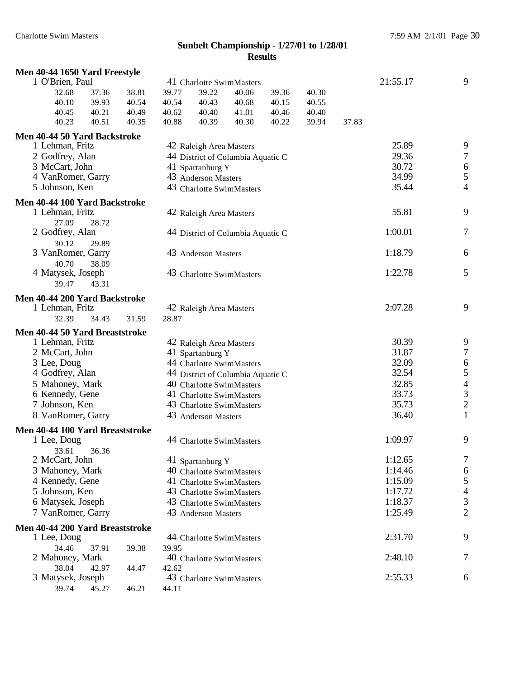| Men 40-44 1650 Yard Freestyle   |       |       |       |                                   |       |       |       |       |          |                                       |
|---------------------------------|-------|-------|-------|-----------------------------------|-------|-------|-------|-------|----------|---------------------------------------|
| 1 O'Brien, Paul                 |       |       |       | 41 Charlotte SwimMasters          |       |       |       |       | 21:55.17 | 9                                     |
| 32.68                           | 37.36 | 38.81 | 39.77 | 39.22                             | 40.06 | 39.36 | 40.30 |       |          |                                       |
| 40.10                           | 39.93 | 40.54 | 40.54 | 40.43                             | 40.68 | 40.15 | 40.55 |       |          |                                       |
| 40.45                           | 40.21 | 40.49 | 40.62 | 40.40                             | 41.01 | 40.46 | 40.40 |       |          |                                       |
| 40.23                           | 40.51 | 40.35 | 40.88 | 40.39                             | 40.30 | 40.22 | 39.94 | 37.83 |          |                                       |
| Men 40-44 50 Yard Backstroke    |       |       |       |                                   |       |       |       |       |          |                                       |
| 1 Lehman, Fritz                 |       |       |       | 42 Raleigh Area Masters           |       |       |       |       | 25.89    | 9                                     |
| 2 Godfrey, Alan                 |       |       |       | 44 District of Columbia Aquatic C |       |       |       |       | 29.36    | $\overline{7}$                        |
| 3 McCart, John                  |       |       |       | 41 Spartanburg Y                  |       |       |       |       | 30.72    | $\begin{array}{c} 6 \\ 5 \end{array}$ |
| 4 VanRomer, Garry               |       |       |       | 43 Anderson Masters               |       |       |       |       | 34.99    |                                       |
| 5 Johnson, Ken                  |       |       |       | 43 Charlotte SwimMasters          |       |       |       |       | 35.44    | $\overline{4}$                        |
| Men 40-44 100 Yard Backstroke   |       |       |       |                                   |       |       |       |       |          |                                       |
| 1 Lehman, Fritz                 |       |       |       | 42 Raleigh Area Masters           |       |       |       |       | 55.81    | 9                                     |
| 27.09                           | 28.72 |       |       |                                   |       |       |       |       |          |                                       |
| 2 Godfrey, Alan                 |       |       |       | 44 District of Columbia Aquatic C |       |       |       |       | 1:00.01  | $\tau$                                |
| 30.12                           | 29.89 |       |       |                                   |       |       |       |       |          |                                       |
| 3 VanRomer, Garry               |       |       |       | 43 Anderson Masters               |       |       |       |       | 1:18.79  | 6                                     |
| 40.70                           | 38.09 |       |       |                                   |       |       |       |       | 1:22.78  | 5                                     |
| 4 Matysek, Joseph<br>39.47      | 43.31 |       |       | 43 Charlotte SwimMasters          |       |       |       |       |          |                                       |
|                                 |       |       |       |                                   |       |       |       |       |          |                                       |
| Men 40-44 200 Yard Backstroke   |       |       |       |                                   |       |       |       |       |          |                                       |
| 1 Lehman, Fritz                 |       |       |       | 42 Raleigh Area Masters           |       |       |       |       | 2:07.28  | 9                                     |
| 32.39                           | 34.43 | 31.59 | 28.87 |                                   |       |       |       |       |          |                                       |
| Men 40-44 50 Yard Breaststroke  |       |       |       |                                   |       |       |       |       |          |                                       |
| 1 Lehman, Fritz                 |       |       |       | 42 Raleigh Area Masters           |       |       |       |       | 30.39    | 9                                     |
| 2 McCart, John                  |       |       |       | 41 Spartanburg Y                  |       |       |       |       | 31.87    | $\boldsymbol{7}$                      |
| 3 Lee, Doug                     |       |       |       | 44 Charlotte SwimMasters          |       |       |       |       | 32.09    | $\boldsymbol{6}$                      |
| 4 Godfrey, Alan                 |       |       |       | 44 District of Columbia Aquatic C |       |       |       |       | 32.54    | 5                                     |
| 5 Mahoney, Mark                 |       |       |       | 40 Charlotte SwimMasters          |       |       |       |       | 32.85    | $\overline{\mathcal{L}}$              |
| 6 Kennedy, Gene                 |       |       |       | 41 Charlotte SwimMasters          |       |       |       |       | 33.73    | $\overline{\mathbf{3}}$               |
| 7 Johnson, Ken                  |       |       |       | 43 Charlotte SwimMasters          |       |       |       |       | 35.73    | $\overline{c}$                        |
| 8 VanRomer, Garry               |       |       |       | 43 Anderson Masters               |       |       |       |       | 36.40    | $\mathbf{1}$                          |
| Men 40-44 100 Yard Breaststroke |       |       |       |                                   |       |       |       |       |          |                                       |
| 1 Lee, Doug                     |       |       |       | 44 Charlotte SwimMasters          |       |       |       |       | 1:09.97  | 9                                     |
| 33.61                           | 36.36 |       |       |                                   |       |       |       |       |          |                                       |
| 2 McCart, John                  |       |       |       | 41 Spartanburg Y                  |       |       |       |       | 1:12.65  | 7                                     |
| 3 Mahoney, Mark                 |       |       |       | 40 Charlotte SwimMasters          |       |       |       |       | 1:14.46  | 6                                     |
| 4 Kennedy, Gene                 |       |       |       | 41 Charlotte SwimMasters          |       |       |       |       | 1:15.09  | 5                                     |
| 5 Johnson, Ken                  |       |       |       | 43 Charlotte SwimMasters          |       |       |       |       | 1:17.72  | $\overline{\mathcal{A}}$              |
| 6 Matysek, Joseph               |       |       |       | 43 Charlotte SwimMasters          |       |       |       |       | 1:18.37  | $\mathfrak{Z}$                        |
| 7 VanRomer, Garry               |       |       |       | 43 Anderson Masters               |       |       |       |       | 1:25.49  | $\overline{2}$                        |
| Men 40-44 200 Yard Breaststroke |       |       |       |                                   |       |       |       |       |          |                                       |
| 1 Lee, Doug                     |       |       |       | 44 Charlotte SwimMasters          |       |       |       |       | 2:31.70  | 9                                     |
| 34.46                           | 37.91 | 39.38 | 39.95 |                                   |       |       |       |       |          |                                       |
| 2 Mahoney, Mark                 |       |       |       | 40 Charlotte SwimMasters          |       |       |       |       | 2:48.10  | 7                                     |
| 38.04                           | 42.97 | 44.47 | 42.62 |                                   |       |       |       |       |          |                                       |
| 3 Matysek, Joseph               |       |       |       | 43 Charlotte SwimMasters          |       |       |       |       | 2:55.33  | 6                                     |
| 39.74                           | 45.27 | 46.21 | 44.11 |                                   |       |       |       |       |          |                                       |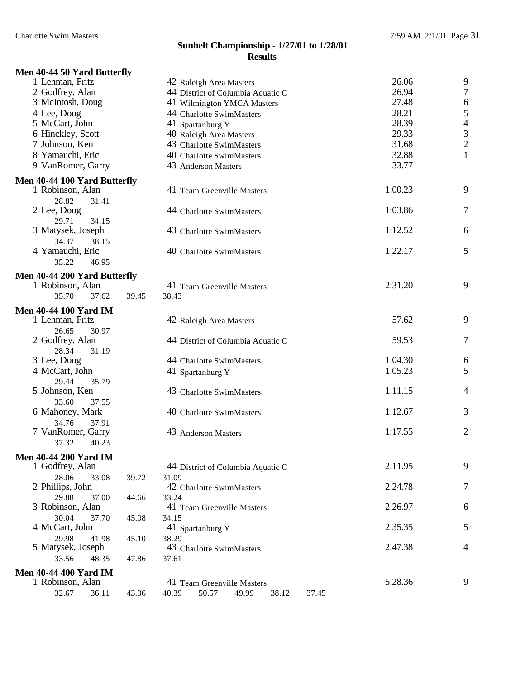# **Men 40-44 50 Yard Butterfly**

| 1 Lehman, Fritz                                  |       | 42 Raleigh Area Masters                   | 26.06   | 9              |
|--------------------------------------------------|-------|-------------------------------------------|---------|----------------|
| 2 Godfrey, Alan                                  |       | 44 District of Columbia Aquatic C         | 26.94   | $\overline{7}$ |
| 3 McIntosh, Doug                                 |       | 41 Wilmington YMCA Masters                | 27.48   | 6              |
| 4 Lee, Doug                                      |       | 44 Charlotte SwimMasters                  | 28.21   | 5              |
| 5 McCart, John                                   |       | 41 Spartanburg Y                          | 28.39   | $\overline{4}$ |
| 6 Hinckley, Scott                                |       | 40 Raleigh Area Masters                   | 29.33   | 3              |
| 7 Johnson, Ken                                   |       | 43 Charlotte SwimMasters                  | 31.68   | $\overline{2}$ |
| 8 Yamauchi, Eric                                 |       | 40 Charlotte SwimMasters                  | 32.88   | $\mathbf{1}$   |
| 9 VanRomer, Garry                                |       | 43 Anderson Masters                       | 33.77   |                |
| Men 40-44 100 Yard Butterfly                     |       |                                           |         |                |
| 1 Robinson, Alan                                 |       | 41 Team Greenville Masters                | 1:00.23 | 9              |
| 28.82<br>31.41                                   |       |                                           |         |                |
| 2 Lee, Doug                                      |       | 44 Charlotte SwimMasters                  | 1:03.86 | 7              |
| 29.71<br>34.15                                   |       |                                           |         |                |
| 3 Matysek, Joseph                                |       | 43 Charlotte SwimMasters                  | 1:12.52 | 6              |
| 34.37<br>38.15                                   |       |                                           |         |                |
| 4 Yamauchi, Eric                                 |       | 40 Charlotte SwimMasters                  | 1:22.17 | 5              |
| 35.22<br>46.95                                   |       |                                           |         |                |
|                                                  |       |                                           |         |                |
| Men 40-44 200 Yard Butterfly<br>1 Robinson, Alan |       | 41 Team Greenville Masters                | 2:31.20 | 9              |
| 35.70<br>37.62                                   | 39.45 | 38.43                                     |         |                |
|                                                  |       |                                           |         |                |
| <b>Men 40-44 100 Yard IM</b>                     |       |                                           |         |                |
| 1 Lehman, Fritz                                  |       | 42 Raleigh Area Masters                   | 57.62   | 9              |
| 26.65<br>30.97                                   |       |                                           |         |                |
| 2 Godfrey, Alan                                  |       | 44 District of Columbia Aquatic C         | 59.53   | 7              |
| 28.34<br>31.19                                   |       |                                           |         |                |
| 3 Lee, Doug                                      |       | 44 Charlotte SwimMasters                  | 1:04.30 | 6              |
| 4 McCart, John                                   |       | 41 Spartanburg Y                          | 1:05.23 | 5              |
| 29.44<br>35.79                                   |       |                                           | 1:11.15 |                |
| 5 Johnson, Ken                                   |       | 43 Charlotte SwimMasters                  |         | 4              |
| 33.60<br>37.55<br>6 Mahoney, Mark                |       | 40 Charlotte SwimMasters                  | 1:12.67 | 3              |
| 34.76                                            |       |                                           |         |                |
| 37.91<br>7 VanRomer, Garry                       |       | 43 Anderson Masters                       | 1:17.55 | $\overline{c}$ |
| 37.32<br>40.23                                   |       |                                           |         |                |
|                                                  |       |                                           |         |                |
| <b>Men 40-44 200 Yard IM</b>                     |       |                                           |         |                |
| 1 Godfrey, Alan                                  |       | 44 District of Columbia Aquatic C         | 2:11.95 | 9              |
| 28.06<br>33.08                                   | 39.72 | 31.09                                     |         |                |
| 2 Phillips, John                                 |       | 42 Charlotte SwimMasters                  | 2:24.78 | 7              |
| 29.88<br>37.00                                   | 44.66 | 33.24                                     | 2:26.97 |                |
| 3 Robinson, Alan                                 |       | 41 Team Greenville Masters                |         | 6              |
| 30.04<br>37.70<br>4 McCart, John                 | 45.08 | 34.15                                     | 2:35.35 | 5              |
|                                                  |       | 41 Spartanburg Y                          |         |                |
| 29.98<br>41.98<br>5 Matysek, Joseph              | 45.10 | 38.29<br>43 Charlotte SwimMasters         | 2:47.38 | $\overline{4}$ |
| 33.56<br>48.35                                   | 47.86 | 37.61                                     |         |                |
|                                                  |       |                                           |         |                |
| <b>Men 40-44 400 Yard IM</b>                     |       |                                           |         |                |
| 1 Robinson, Alan                                 |       | 41 Team Greenville Masters                | 5:28.36 | 9              |
| 32.67<br>36.11                                   | 43.06 | 40.39<br>50.57<br>49.99<br>38.12<br>37.45 |         |                |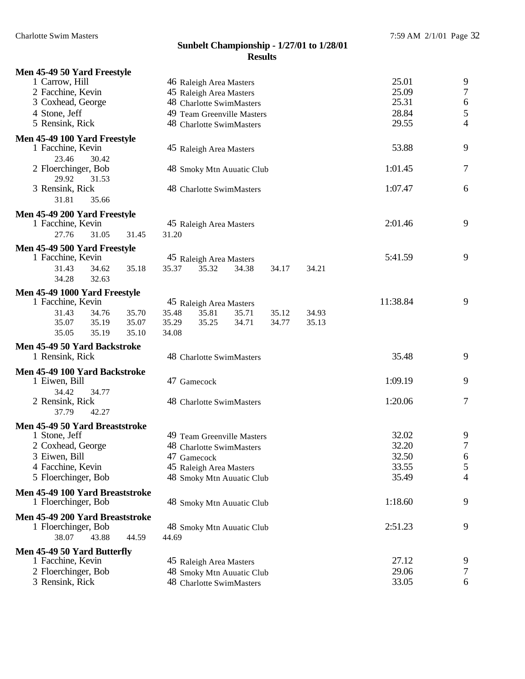| Men 45-49 50 Yard Freestyle                            |       |                          |                         |                            |          |         |                  |        |
|--------------------------------------------------------|-------|--------------------------|-------------------------|----------------------------|----------|---------|------------------|--------|
| 1 Carrow, Hill                                         |       |                          | 46 Raleigh Area Masters |                            |          | 25.01   | 9                |        |
| 2 Facchine, Kevin                                      |       |                          | 45 Raleigh Area Masters |                            |          | 25.09   | $\boldsymbol{7}$ |        |
| 3 Coxhead, George                                      |       |                          |                         | 48 Charlotte SwimMasters   |          |         | 25.31            | 6      |
| 4 Stone, Jeff                                          |       |                          |                         | 49 Team Greenville Masters |          | 28.84   | 5                |        |
| 5 Rensink, Rick                                        |       |                          |                         | 48 Charlotte SwimMasters   |          | 29.55   | $\overline{4}$   |        |
| Men 45-49 100 Yard Freestyle                           |       |                          |                         |                            |          |         |                  |        |
| 1 Facchine, Kevin                                      |       |                          | 45 Raleigh Area Masters |                            |          | 53.88   | 9                |        |
| 23.46<br>30.42                                         |       |                          |                         |                            |          |         |                  |        |
| 2 Floerchinger, Bob                                    |       |                          |                         | 48 Smoky Mtn Auuatic Club  |          |         | 1:01.45          | 7      |
| 29.92<br>31.53                                         |       |                          |                         |                            |          |         |                  |        |
| 3 Rensink, Rick                                        |       |                          |                         | 48 Charlotte SwimMasters   |          |         | 1:07.47          | 6      |
| 31.81<br>35.66                                         |       |                          |                         |                            |          |         |                  |        |
| Men 45-49 200 Yard Freestyle                           |       |                          |                         |                            |          |         |                  |        |
| 1 Facchine, Kevin                                      |       |                          | 45 Raleigh Area Masters |                            |          |         | 2:01.46          | 9      |
| 27.76<br>31.05                                         | 31.45 | 31.20                    |                         |                            |          |         |                  |        |
| Men 45-49 500 Yard Freestyle                           |       |                          |                         |                            |          |         |                  |        |
| 1 Facchine, Kevin                                      |       |                          | 45 Raleigh Area Masters |                            |          | 5:41.59 | 9                |        |
| 31.43<br>34.62                                         | 35.18 | 35.37                    | 35.32                   | 34.38                      | 34.17    | 34.21   |                  |        |
| 34.28<br>32.63                                         |       |                          |                         |                            |          |         |                  |        |
| Men 45-49 1000 Yard Freestyle                          |       |                          |                         |                            |          |         |                  |        |
| 1 Facchine, Kevin                                      |       |                          | 45 Raleigh Area Masters |                            | 11:38.84 | 9       |                  |        |
| 31.43<br>34.76                                         | 35.70 | 35.48                    | 35.81                   | 35.71                      | 35.12    | 34.93   |                  |        |
| 35.07<br>35.19                                         | 35.07 | 35.29                    | 35.25                   | 34.71                      | 34.77    | 35.13   |                  |        |
| 35.05<br>35.19                                         | 35.10 | 34.08                    |                         |                            |          |         |                  |        |
| Men 45-49 50 Yard Backstroke                           |       |                          |                         |                            |          |         |                  |        |
| 1 Rensink, Rick                                        |       | 48 Charlotte SwimMasters |                         |                            |          |         | 35.48            | 9      |
| Men 45-49 100 Yard Backstroke                          |       |                          |                         |                            |          |         |                  |        |
| 1 Eiwen, Bill                                          |       |                          | 47 Gamecock             |                            |          |         | 1:09.19          | 9      |
| 34.42<br>34.77                                         |       |                          |                         |                            |          |         |                  |        |
| 2 Rensink, Rick                                        |       |                          |                         | 48 Charlotte SwimMasters   |          |         | 1:20.06          | $\tau$ |
| 37.79<br>42.27                                         |       |                          |                         |                            |          |         |                  |        |
| Men 45-49 50 Yard Breaststroke                         |       |                          |                         |                            |          |         |                  |        |
| 1 Stone, Jeff                                          |       |                          |                         | 49 Team Greenville Masters |          |         | 32.02            | 9      |
| 2 Coxhead, George                                      |       |                          |                         | 48 Charlotte SwimMasters   |          |         | 32.20            | 7      |
| 3 Eiwen, Bill                                          |       |                          | 47 Gamecock             |                            |          |         | 32.50            | 6      |
| 4 Facchine, Kevin                                      |       |                          | 45 Raleigh Area Masters |                            |          |         | 33.55            | 5      |
| 5 Floerchinger, Bob                                    |       |                          |                         | 48 Smoky Mtn Auuatic Club  |          |         | 35.49            | 4      |
| Men 45-49 100 Yard Breaststroke                        |       |                          |                         |                            |          |         |                  |        |
| 1 Floerchinger, Bob                                    |       |                          |                         | 48 Smoky Mtn Auuatic Club  |          |         | 1:18.60          | 9      |
|                                                        |       |                          |                         |                            |          |         |                  |        |
| Men 45-49 200 Yard Breaststroke<br>1 Floerchinger, Bob |       |                          |                         |                            |          |         | 2:51.23          | 9      |
| 38.07<br>43.88                                         |       | 44.69                    |                         | 48 Smoky Mtn Auuatic Club  |          |         |                  |        |
|                                                        | 44.59 |                          |                         |                            |          |         |                  |        |
| Men 45-49 50 Yard Butterfly                            |       |                          |                         |                            |          |         |                  |        |
| 1 Facchine, Kevin                                      |       |                          | 45 Raleigh Area Masters |                            |          |         | 27.12            | 9      |
| 2 Floerchinger, Bob                                    |       |                          |                         | 48 Smoky Mtn Auuatic Club  |          |         | 29.06            | 7      |
| 3 Rensink, Rick                                        |       |                          |                         | 48 Charlotte SwimMasters   |          |         | 33.05            | 6      |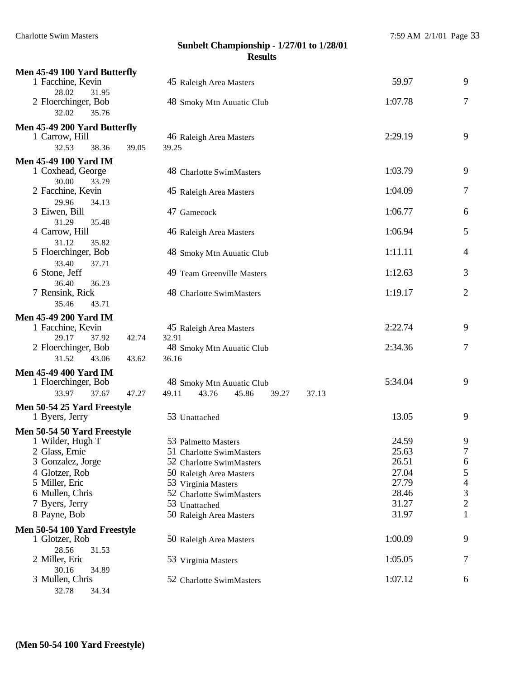| Men 45-49 100 Yard Butterfly     |       |                                           |         |                  |
|----------------------------------|-------|-------------------------------------------|---------|------------------|
| 1 Facchine, Kevin                |       | 45 Raleigh Area Masters                   | 59.97   | 9                |
| 28.02<br>31.95                   |       |                                           |         |                  |
| 2 Floerchinger, Bob              |       | 48 Smoky Mtn Auuatic Club                 | 1:07.78 | 7                |
| 32.02<br>35.76                   |       |                                           |         |                  |
| Men 45-49 200 Yard Butterfly     |       |                                           |         |                  |
| 1 Carrow, Hill                   |       | 46 Raleigh Area Masters                   | 2:29.19 | 9                |
| 32.53<br>38.36                   | 39.05 | 39.25                                     |         |                  |
| <b>Men 45-49 100 Yard IM</b>     |       |                                           |         |                  |
| 1 Coxhead, George                |       | 48 Charlotte SwimMasters                  | 1:03.79 | 9                |
| 30.00<br>33.79                   |       |                                           |         |                  |
| 2 Facchine, Kevin                |       | 45 Raleigh Area Masters                   | 1:04.09 | $\tau$           |
| 29.96<br>34.13                   |       |                                           |         |                  |
| 3 Eiwen, Bill                    |       | 47 Gamecock                               | 1:06.77 | 6                |
| 31.29<br>35.48<br>4 Carrow, Hill |       |                                           | 1:06.94 | 5                |
| 31.12<br>35.82                   |       | 46 Raleigh Area Masters                   |         |                  |
| 5 Floerchinger, Bob              |       | 48 Smoky Mtn Auuatic Club                 | 1:11.11 | $\overline{4}$   |
| 33.40<br>37.71                   |       |                                           |         |                  |
| 6 Stone, Jeff                    |       | 49 Team Greenville Masters                | 1:12.63 | 3                |
| 36.40<br>36.23                   |       |                                           |         |                  |
| 7 Rensink, Rick                  |       | 48 Charlotte SwimMasters                  | 1:19.17 | $\overline{2}$   |
| 35.46<br>43.71                   |       |                                           |         |                  |
| <b>Men 45-49 200 Yard IM</b>     |       |                                           |         |                  |
| 1 Facchine, Kevin                |       | 45 Raleigh Area Masters                   | 2:22.74 | 9                |
| 29.17<br>37.92                   | 42.74 | 32.91                                     |         |                  |
| 2 Floerchinger, Bob              |       | 48 Smoky Mtn Auuatic Club                 | 2:34.36 | $\tau$           |
| 31.52<br>43.06                   | 43.62 | 36.16                                     |         |                  |
| <b>Men 45-49 400 Yard IM</b>     |       |                                           |         |                  |
| 1 Floerchinger, Bob              |       | 48 Smoky Mtn Auuatic Club                 | 5:34.04 | 9                |
| 33.97<br>37.67                   | 47.27 | 49.11<br>43.76<br>45.86<br>39.27<br>37.13 |         |                  |
| Men 50-54 25 Yard Freestyle      |       |                                           |         |                  |
| 1 Byers, Jerry                   |       | 53 Unattached                             | 13.05   | 9                |
| Men 50-54 50 Yard Freestyle      |       |                                           |         |                  |
| 1 Wilder, Hugh T                 |       | 53 Palmetto Masters                       | 24.59   | 9                |
| 2 Glass, Ernie                   |       | 51 Charlotte SwimMasters                  | 25.63   | $\boldsymbol{7}$ |
| 3 Gonzalez, Jorge                |       | 52 Charlotte SwimMasters                  | 26.51   | 6                |
| 4 Glotzer, Rob                   |       | 50 Raleigh Area Masters                   | 27.04   | 5                |
| 5 Miller, Eric                   |       | 53 Virginia Masters                       | 27.79   | $\overline{4}$   |
| 6 Mullen, Chris                  |       | 52 Charlotte SwimMasters                  | 28.46   | 3                |
| 7 Byers, Jerry                   |       | 53 Unattached                             | 31.27   | $\overline{c}$   |
| 8 Payne, Bob                     |       | 50 Raleigh Area Masters                   | 31.97   | $\mathbf{1}$     |
| Men 50-54 100 Yard Freestyle     |       |                                           |         |                  |
| 1 Glotzer, Rob                   |       | 50 Raleigh Area Masters                   | 1:00.09 | 9                |
| 28.56<br>31.53                   |       |                                           |         |                  |
| 2 Miller, Eric<br>30.16<br>34.89 |       | 53 Virginia Masters                       | 1:05.05 | 7                |
| 3 Mullen, Chris                  |       | 52 Charlotte SwimMasters                  | 1:07.12 | 6                |
| 32.78<br>34.34                   |       |                                           |         |                  |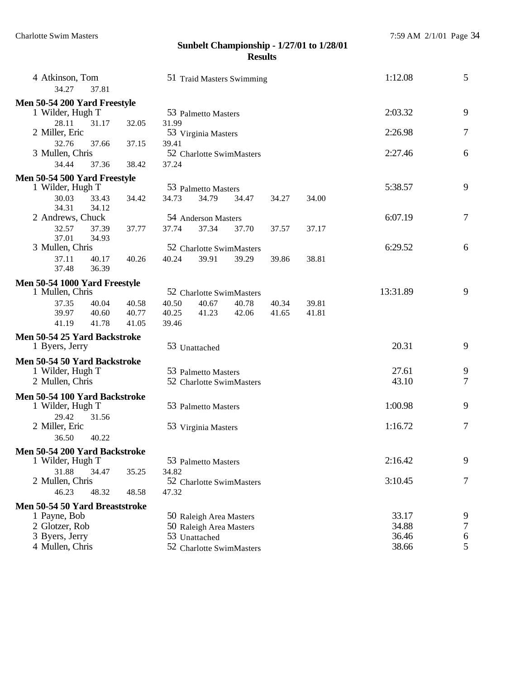| 4 Atkinson, Tom<br>34.27<br>37.81 |       | 51 Traid Masters Swimming |                         |                          |       |       | 1:12.08  | 5                |
|-----------------------------------|-------|---------------------------|-------------------------|--------------------------|-------|-------|----------|------------------|
| Men 50-54 200 Yard Freestyle      |       |                           |                         |                          |       |       |          |                  |
| 1 Wilder, Hugh T                  |       |                           | 53 Palmetto Masters     |                          |       |       | 2:03.32  | 9                |
| 28.11<br>31.17                    | 32.05 | 31.99                     |                         |                          |       |       |          |                  |
| 2 Miller, Eric                    |       |                           | 53 Virginia Masters     |                          |       |       | 2:26.98  | 7                |
| 32.76<br>37.66                    | 37.15 | 39.41                     |                         |                          |       |       |          |                  |
| 3 Mullen, Chris                   |       |                           |                         | 52 Charlotte SwimMasters |       |       | 2:27.46  | 6                |
| 34.44<br>37.36                    | 38.42 | 37.24                     |                         |                          |       |       |          |                  |
| Men 50-54 500 Yard Freestyle      |       |                           |                         |                          |       |       |          |                  |
| 1 Wilder, Hugh T                  |       |                           | 53 Palmetto Masters     |                          |       |       | 5:38.57  | 9                |
| 30.03<br>33.43                    | 34.42 | 34.73                     | 34.79                   | 34.47                    | 34.27 | 34.00 |          |                  |
| 34.31<br>34.12                    |       |                           |                         |                          |       |       |          |                  |
| 2 Andrews, Chuck                  |       |                           | 54 Anderson Masters     |                          |       |       | 6:07.19  | $\boldsymbol{7}$ |
| 32.57<br>37.39                    | 37.77 | 37.74                     | 37.34                   |                          |       |       |          |                  |
| 37.01                             |       |                           |                         | 37.70                    | 37.57 | 37.17 |          |                  |
| 34.93                             |       |                           |                         |                          |       |       | 6:29.52  | 6                |
| 3 Mullen, Chris                   |       |                           |                         | 52 Charlotte SwimMasters |       |       |          |                  |
| 37.11<br>40.17                    | 40.26 | 40.24                     | 39.91                   | 39.29                    | 39.86 | 38.81 |          |                  |
| 37.48<br>36.39                    |       |                           |                         |                          |       |       |          |                  |
| Men 50-54 1000 Yard Freestyle     |       |                           |                         |                          |       |       |          |                  |
| 1 Mullen, Chris                   |       |                           |                         | 52 Charlotte SwimMasters |       |       | 13:31.89 | 9                |
| 37.35<br>40.04                    | 40.58 | 40.50                     | 40.67                   | 40.78                    | 40.34 | 39.81 |          |                  |
| 39.97<br>40.60                    | 40.77 | 40.25                     | 41.23                   | 42.06                    | 41.65 | 41.81 |          |                  |
| 41.19<br>41.78                    | 41.05 | 39.46                     |                         |                          |       |       |          |                  |
| Men 50-54 25 Yard Backstroke      |       |                           |                         |                          |       |       |          |                  |
| 1 Byers, Jerry                    |       |                           | 53 Unattached           |                          |       |       | 20.31    | 9                |
| Men 50-54 50 Yard Backstroke      |       |                           |                         |                          |       |       |          |                  |
| 1 Wilder, Hugh T                  |       |                           | 53 Palmetto Masters     |                          |       |       | 27.61    | 9                |
| 2 Mullen, Chris                   |       |                           |                         | 52 Charlotte SwimMasters |       |       | 43.10    | 7                |
|                                   |       |                           |                         |                          |       |       |          |                  |
| Men 50-54 100 Yard Backstroke     |       |                           |                         |                          |       |       |          |                  |
| 1 Wilder, Hugh T                  |       |                           | 53 Palmetto Masters     |                          |       |       | 1:00.98  | 9                |
| 29.42<br>31.56                    |       |                           |                         |                          |       |       |          |                  |
| 2 Miller, Eric                    |       |                           | 53 Virginia Masters     |                          |       |       | 1:16.72  | 7                |
| 40.22<br>36.50                    |       |                           |                         |                          |       |       |          |                  |
| Men 50-54 200 Yard Backstroke     |       |                           |                         |                          |       |       |          |                  |
| 1 Wilder, Hugh T                  |       |                           | 53 Palmetto Masters     |                          |       |       | 2:16.42  | 9                |
| 31.88<br>34.47                    | 35.25 | 34.82                     |                         |                          |       |       |          |                  |
| 2 Mullen, Chris                   |       |                           |                         | 52 Charlotte SwimMasters |       |       | 3:10.45  | 7                |
| 46.23<br>48.32                    | 48.58 | 47.32                     |                         |                          |       |       |          |                  |
|                                   |       |                           |                         |                          |       |       |          |                  |
| Men 50-54 50 Yard Breaststroke    |       |                           |                         |                          |       |       |          |                  |
| 1 Payne, Bob                      |       |                           | 50 Raleigh Area Masters |                          |       |       | 33.17    | 9                |
| 2 Glotzer, Rob                    |       |                           | 50 Raleigh Area Masters |                          |       |       | 34.88    | 7                |
| 3 Byers, Jerry                    |       |                           | 53 Unattached           |                          |       |       | 36.46    | 6                |
| 4 Mullen, Chris                   |       |                           |                         | 52 Charlotte SwimMasters |       |       | 38.66    | 5                |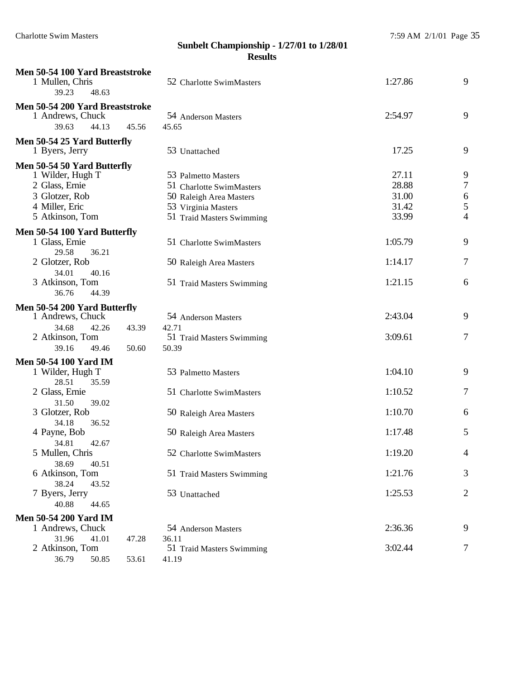| Men 50-54 100 Yard Breaststroke<br>1 Mullen, Chris                             | 52 Charlotte SwimMasters     | 1:27.86 | 9              |
|--------------------------------------------------------------------------------|------------------------------|---------|----------------|
| 39.23<br>48.63                                                                 |                              |         |                |
| Men 50-54 200 Yard Breaststroke<br>1 Andrews, Chuck<br>44.13<br>39.63<br>45.56 | 54 Anderson Masters<br>45.65 | 2:54.97 | 9              |
| Men 50-54 25 Yard Butterfly                                                    |                              |         |                |
| 1 Byers, Jerry                                                                 | 53 Unattached                | 17.25   | 9              |
| Men 50-54 50 Yard Butterfly                                                    |                              |         |                |
| 1 Wilder, Hugh T                                                               | 53 Palmetto Masters          | 27.11   | 9              |
| 2 Glass, Ernie                                                                 | 51 Charlotte SwimMasters     | 28.88   | 7              |
| 3 Glotzer, Rob                                                                 | 50 Raleigh Area Masters      | 31.00   | 6              |
| 4 Miller, Eric                                                                 | 53 Virginia Masters          | 31.42   | 5              |
| 5 Atkinson, Tom                                                                | 51 Traid Masters Swimming    | 33.99   | 4              |
| Men 50-54 100 Yard Butterfly                                                   |                              |         |                |
| 1 Glass, Ernie                                                                 | 51 Charlotte SwimMasters     | 1:05.79 | 9              |
| 29.58<br>36.21<br>2 Glotzer, Rob                                               |                              | 1:14.17 | 7              |
| 34.01<br>40.16                                                                 | 50 Raleigh Area Masters      |         |                |
| 3 Atkinson, Tom                                                                | 51 Traid Masters Swimming    | 1:21.15 | 6              |
| 36.76<br>44.39                                                                 |                              |         |                |
| Men 50-54 200 Yard Butterfly                                                   |                              |         |                |
| 1 Andrews, Chuck                                                               | 54 Anderson Masters          | 2:43.04 | 9              |
| 34.68<br>42.26<br>43.39                                                        | 42.71                        |         |                |
| 2 Atkinson, Tom                                                                | 51 Traid Masters Swimming    | 3:09.61 | 7              |
| 39.16<br>49.46<br>50.60                                                        | 50.39                        |         |                |
| <b>Men 50-54 100 Yard IM</b>                                                   |                              |         |                |
| 1 Wilder, Hugh T                                                               | 53 Palmetto Masters          | 1:04.10 | 9              |
| 28.51<br>35.59                                                                 |                              | 1:10.52 | 7              |
| 2 Glass, Ernie<br>31.50<br>39.02                                               | 51 Charlotte SwimMasters     |         |                |
| 3 Glotzer, Rob                                                                 | 50 Raleigh Area Masters      | 1:10.70 | 6              |
| 34.18<br>36.52                                                                 |                              |         |                |
| 4 Payne, Bob                                                                   | 50 Raleigh Area Masters      | 1:17.48 | 5              |
| 34.81<br>42.67                                                                 |                              |         |                |
| 5 Mullen, Chris                                                                | 52 Charlotte SwimMasters     | 1:19.20 | 4              |
| 38.69<br>40.51                                                                 |                              |         |                |
| 6 Atkinson, Tom<br>38.24<br>43.52                                              | 51 Traid Masters Swimming    | 1:21.76 | 3              |
| 7 Byers, Jerry                                                                 | 53 Unattached                | 1:25.53 | $\overline{c}$ |
| 40.88<br>44.65                                                                 |                              |         |                |
| <b>Men 50-54 200 Yard IM</b>                                                   |                              |         |                |
| 1 Andrews, Chuck                                                               | 54 Anderson Masters          | 2:36.36 | 9              |
| 31.96<br>41.01<br>47.28                                                        | 36.11                        |         |                |
| 2 Atkinson, Tom                                                                | 51 Traid Masters Swimming    | 3:02.44 | 7              |
| 36.79<br>50.85<br>53.61                                                        | 41.19                        |         |                |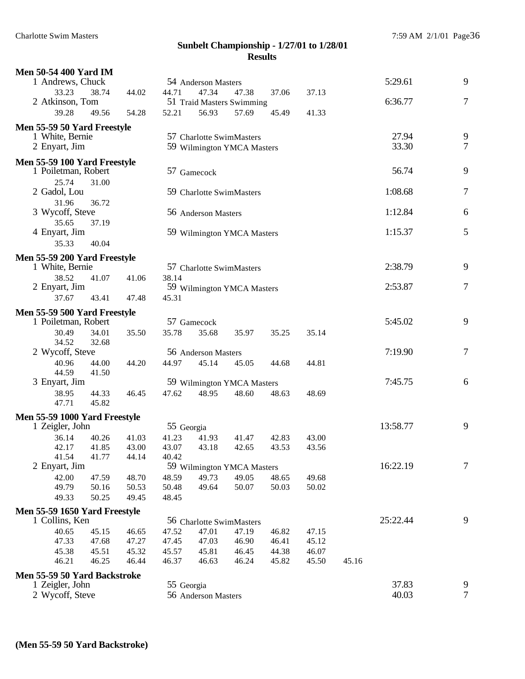| <b>Men 50-54 400 Yard IM</b>                    |       |                |            |                     |                                   |                |       |       |          |                |
|-------------------------------------------------|-------|----------------|------------|---------------------|-----------------------------------|----------------|-------|-------|----------|----------------|
| 1 Andrews, Chuck                                |       |                |            | 54 Anderson Masters |                                   |                |       |       | 5:29.61  | 9              |
| 33.23                                           | 38.74 | 44.02          | 44.71      | 47.34               | 47.38                             | 37.06          | 37.13 |       |          |                |
| 2 Atkinson, Tom                                 |       |                |            |                     | 51 Traid Masters Swimming         |                |       |       | 6:36.77  | $\overline{7}$ |
| 39.28                                           | 49.56 | 54.28          | 52.21      | 56.93               | 57.69                             | 45.49          | 41.33 |       |          |                |
| Men 55-59 50 Yard Freestyle                     |       |                |            |                     |                                   |                |       |       |          |                |
| 1 White, Bernie                                 |       |                |            |                     | 57 Charlotte SwimMasters          |                |       |       | 27.94    | 9              |
| 2 Enyart, Jim                                   |       |                |            |                     | 59 Wilmington YMCA Masters        |                |       |       | 33.30    | $\overline{7}$ |
| Men 55-59 100 Yard Freestyle                    |       |                |            |                     |                                   |                |       |       |          |                |
| 1 Poiletman, Robert                             |       |                |            | 57 Gamecock         |                                   |                |       |       | 56.74    | 9              |
| 25.74                                           | 31.00 |                |            |                     |                                   |                |       |       |          |                |
| 2 Gadol, Lou                                    |       |                |            |                     | 59 Charlotte SwimMasters          |                |       |       | 1:08.68  | 7              |
| 31.96                                           | 36.72 |                |            |                     |                                   |                |       |       |          |                |
| 3 Wycoff, Steve                                 |       |                |            | 56 Anderson Masters |                                   |                |       |       | 1:12.84  | 6              |
| 35.65<br>4 Enyart, Jim                          | 37.19 |                |            |                     | 59 Wilmington YMCA Masters        |                |       |       | 1:15.37  | 5              |
| 35.33                                           | 40.04 |                |            |                     |                                   |                |       |       |          |                |
|                                                 |       |                |            |                     |                                   |                |       |       |          |                |
| Men 55-59 200 Yard Freestyle<br>1 White, Bernie |       |                |            |                     | 57 Charlotte SwimMasters          |                |       |       | 2:38.79  | 9              |
| 38.52                                           | 41.07 | 41.06          | 38.14      |                     |                                   |                |       |       |          |                |
| 2 Enyart, Jim                                   |       |                |            |                     | 59 Wilmington YMCA Masters        |                |       |       | 2:53.87  | $\overline{7}$ |
| 37.67                                           | 43.41 | 47.48          | 45.31      |                     |                                   |                |       |       |          |                |
| Men 55-59 500 Yard Freestyle                    |       |                |            |                     |                                   |                |       |       |          |                |
| 1 Poiletman, Robert                             |       |                |            | 57 Gamecock         |                                   |                |       |       | 5:45.02  | 9              |
| 30.49                                           | 34.01 | 35.50          | 35.78      | 35.68               | 35.97                             | 35.25          | 35.14 |       |          |                |
| 34.52                                           | 32.68 |                |            |                     |                                   |                |       |       |          |                |
| 2 Wycoff, Steve                                 |       |                |            | 56 Anderson Masters |                                   |                |       |       | 7:19.90  | $\tau$         |
| 40.96                                           | 44.00 | 44.20          | 44.97      | 45.14               | 45.05                             | 44.68          | 44.81 |       |          |                |
| 44.59<br>3 Enyart, Jim                          | 41.50 |                |            |                     | 59 Wilmington YMCA Masters        |                |       |       | 7:45.75  | 6              |
| 38.95                                           | 44.33 | 46.45          | 47.62      | 48.95               | 48.60                             | 48.63          | 48.69 |       |          |                |
| 47.71                                           | 45.82 |                |            |                     |                                   |                |       |       |          |                |
| Men 55-59 1000 Yard Freestyle                   |       |                |            |                     |                                   |                |       |       |          |                |
| 1 Zeigler, John                                 |       |                | 55 Georgia |                     |                                   |                |       |       | 13:58.77 | 9              |
| 36.14                                           | 40.26 | 41.03          | 41.23      | 41.93               | 41.47                             | 42.83          | 43.00 |       |          |                |
| 42.17                                           | 41.85 | 43.00          | 43.07      | 43.18               | 42.65                             | 43.53          | 43.56 |       |          |                |
| 41.54                                           | 41.77 | 44.14          | 40.42      |                     |                                   |                |       |       |          |                |
| 2 Enyart, Jim                                   |       |                |            |                     | 59 Wilmington YMCA Masters        |                |       |       | 16:22.19 | 7              |
| 42.00                                           | 47.59 | 48.70          | 48.59      | 49.73               | 49.05                             | 48.65          | 49.68 |       |          |                |
| 49.79                                           | 50.16 | 50.53          | 50.48      | 49.64               | 50.07                             | 50.03          | 50.02 |       |          |                |
| 49.33                                           | 50.25 | 49.45          | 48.45      |                     |                                   |                |       |       |          |                |
| Men 55-59 1650 Yard Freestyle                   |       |                |            |                     |                                   |                |       |       | 25:22.44 | 9              |
| 1 Collins, Ken<br>40.65                         | 45.15 |                | 47.52      | 47.01               | 56 Charlotte SwimMasters<br>47.19 |                | 47.15 |       |          |                |
| 47.33                                           | 47.68 | 46.65<br>47.27 | 47.45      | 47.03               | 46.90                             | 46.82<br>46.41 | 45.12 |       |          |                |
| 45.38                                           | 45.51 | 45.32          | 45.57      | 45.81               | 46.45                             | 44.38          | 46.07 |       |          |                |
| 46.21                                           | 46.25 | 46.44          | 46.37      | 46.63               | 46.24                             | 45.82          | 45.50 | 45.16 |          |                |
| Men 55-59 50 Yard Backstroke                    |       |                |            |                     |                                   |                |       |       |          |                |
| 1 Zeigler, John                                 |       |                | 55 Georgia |                     |                                   |                |       |       | 37.83    | 9              |
| 2 Wycoff, Steve                                 |       |                |            | 56 Anderson Masters |                                   |                |       |       | 40.03    | 7              |
|                                                 |       |                |            |                     |                                   |                |       |       |          |                |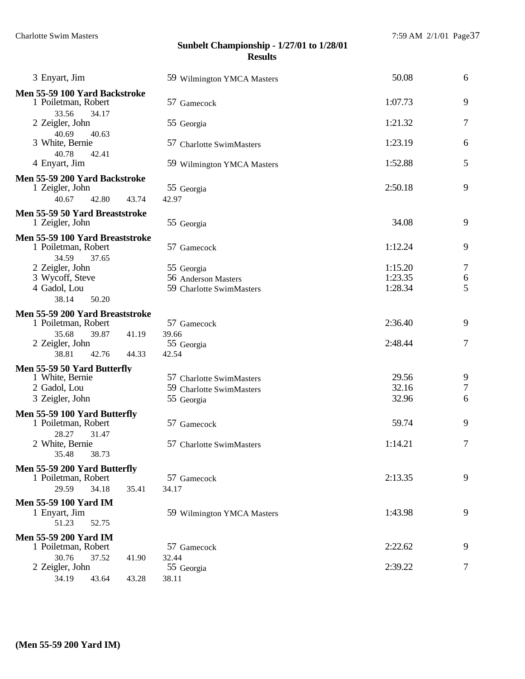| 3 Enyart, Jim                                        | 59 Wilmington YMCA Masters | 50.08              | 6                |
|------------------------------------------------------|----------------------------|--------------------|------------------|
| Men 55-59 100 Yard Backstroke<br>1 Poiletman, Robert | 57 Gamecock                | 1:07.73            | 9                |
| 33.56<br>34.17<br>2 Zeigler, John<br>40.69           | 55 Georgia                 | 1:21.32            | 7                |
| 40.63<br>3 White, Bernie<br>40.78<br>42.41           | 57 Charlotte SwimMasters   | 1:23.19            | 6                |
| 4 Enyart, Jim                                        | 59 Wilmington YMCA Masters | 1:52.88            | 5                |
| Men 55-59 200 Yard Backstroke                        |                            |                    |                  |
| 1 Zeigler, John                                      | 55 Georgia                 | 2:50.18            | 9                |
| 40.67<br>42.80<br>43.74                              | 42.97                      |                    |                  |
| Men 55-59 50 Yard Breaststroke<br>1 Zeigler, John    | 55 Georgia                 | 34.08              | 9                |
| Men 55-59 100 Yard Breaststroke                      |                            |                    |                  |
| 1 Poiletman, Robert                                  | 57 Gamecock                | 1:12.24            | 9                |
| 34.59<br>37.65                                       |                            |                    |                  |
| 2 Zeigler, John                                      | 55 Georgia                 | 1:15.20            | 7                |
| 3 Wycoff, Steve                                      | 56 Anderson Masters        | 1:23.35<br>1:28.34 | 6                |
| 4 Gadol, Lou<br>38.14<br>50.20                       | 59 Charlotte SwimMasters   |                    | 5                |
|                                                      |                            |                    |                  |
| Men 55-59 200 Yard Breaststroke                      |                            | 2:36.40            | 9                |
| 1 Poiletman, Robert                                  | 57 Gamecock                |                    |                  |
| 35.68<br>39.87<br>41.19<br>2 Zeigler, John           | 39.66<br>55 Georgia        | 2:48.44            | 7                |
| 38.81<br>42.76<br>44.33                              | 42.54                      |                    |                  |
|                                                      |                            |                    |                  |
| Men 55-59 50 Yard Butterfly<br>1 White, Bernie       | 57 Charlotte SwimMasters   | 29.56              | 9                |
| 2 Gadol, Lou                                         | 59 Charlotte SwimMasters   | 32.16              | $\boldsymbol{7}$ |
| 3 Zeigler, John                                      | 55 Georgia                 | 32.96              | 6                |
|                                                      |                            |                    |                  |
| Men 55-59 100 Yard Butterfly<br>1 Poiletman, Robert  | 57 Gamecock                | 59.74              | 9                |
| 28.27<br>31.47                                       |                            |                    |                  |
| 2 White, Bernie                                      | 57 Charlotte SwimMasters   | 1:14.21            | 7                |
| 38.73<br>35.48                                       |                            |                    |                  |
| Men 55-59 200 Yard Butterfly                         |                            |                    |                  |
| 1 Poiletman, Robert                                  | 57 Gamecock                | 2:13.35            | 9                |
| 34.18<br>29.59<br>35.41                              | 34.17                      |                    |                  |
| <b>Men 55-59 100 Yard IM</b>                         |                            |                    |                  |
| 1 Enyart, Jim                                        | 59 Wilmington YMCA Masters | 1:43.98            | 9                |
| 51.23<br>52.75                                       |                            |                    |                  |
| <b>Men 55-59 200 Yard IM</b>                         |                            |                    |                  |
| 1 Poiletman, Robert                                  | 57 Gamecock                | 2:22.62            | 9                |
| 30.76<br>37.52<br>41.90                              | 32.44                      |                    |                  |
| 2 Zeigler, John                                      | 55 Georgia                 | 2:39.22            | 7                |
| 34.19<br>43.64<br>43.28                              | 38.11                      |                    |                  |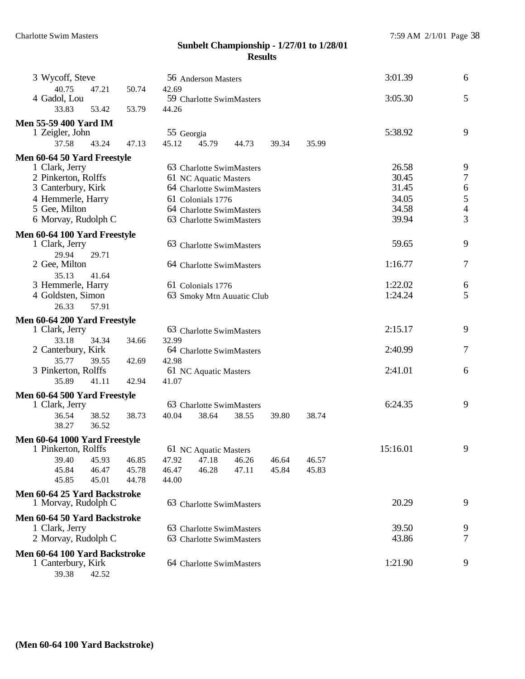| 3 Wycoff, Steve                                     |                |       |                                   | 56 Anderson Masters       |       |         |       | 3:01.39  | 6                                     |
|-----------------------------------------------------|----------------|-------|-----------------------------------|---------------------------|-------|---------|-------|----------|---------------------------------------|
| 40.75<br>4 Gadol, Lou                               | 47.21          | 50.74 | 42.69<br>59 Charlotte SwimMasters |                           |       |         |       | 3:05.30  | 5                                     |
| 33.83                                               | 53.42          | 53.79 | 44.26                             |                           |       |         |       |          |                                       |
| <b>Men 55-59 400 Yard IM</b>                        |                |       |                                   |                           |       |         |       |          |                                       |
| 1 Zeigler, John<br>37.58                            | 43.24          | 47.13 | 55 Georgia<br>45.12               | 45.79                     | 44.73 | 39.34   | 35.99 | 5:38.92  | 9                                     |
| Men 60-64 50 Yard Freestyle                         |                |       |                                   |                           |       |         |       |          |                                       |
| 1 Clark, Jerry                                      |                |       |                                   | 63 Charlotte SwimMasters  |       |         |       | 26.58    | 9                                     |
| 2 Pinkerton, Rolffs                                 |                |       |                                   | 61 NC Aquatic Masters     |       |         |       | 30.45    | $\tau$                                |
| 3 Canterbury, Kirk                                  |                |       |                                   | 64 Charlotte SwimMasters  |       |         |       | 31.45    |                                       |
| 4 Hemmerle, Harry                                   |                |       |                                   | 61 Colonials 1776         |       |         |       | 34.05    | $\begin{array}{c} 6 \\ 5 \end{array}$ |
| 5 Gee, Milton                                       |                |       |                                   | 64 Charlotte SwimMasters  |       |         |       | 34.58    | $\overline{4}$                        |
| 6 Morvay, Rudolph C                                 |                |       |                                   | 63 Charlotte SwimMasters  |       |         |       | 39.94    | 3                                     |
| Men 60-64 100 Yard Freestyle                        |                |       |                                   |                           |       |         |       |          |                                       |
| 1 Clark, Jerry                                      |                |       |                                   | 63 Charlotte SwimMasters  |       |         |       | 59.65    | 9                                     |
| 29.94                                               | 29.71          |       |                                   |                           |       |         |       |          |                                       |
| 2 Gee, Milton                                       |                |       |                                   | 64 Charlotte SwimMasters  |       |         |       | 1:16.77  | 7                                     |
| 35.13<br>3 Hemmerle, Harry                          | 41.64          |       |                                   | 61 Colonials 1776         |       |         |       | 1:22.02  | 6                                     |
| 4 Goldsten, Simon                                   |                |       |                                   | 63 Smoky Mtn Auuatic Club |       | 1:24.24 | 5     |          |                                       |
| 26.33                                               | 57.91          |       |                                   |                           |       |         |       |          |                                       |
| Men 60-64 200 Yard Freestyle                        |                |       |                                   |                           |       |         |       |          |                                       |
| 1 Clark, Jerry                                      |                |       |                                   | 63 Charlotte SwimMasters  |       |         |       | 2:15.17  | 9                                     |
| 33.18                                               | 34.34          | 34.66 | 32.99                             |                           |       |         |       |          |                                       |
| 2 Canterbury, Kirk                                  |                |       |                                   | 64 Charlotte SwimMasters  |       |         |       | 2:40.99  | 7                                     |
| 35.77                                               | 39.55          | 42.69 | 42.98                             |                           |       |         |       |          |                                       |
| 3 Pinkerton, Rolffs                                 |                |       |                                   | 61 NC Aquatic Masters     |       |         |       | 2:41.01  | 6                                     |
| 35.89                                               | 41.11          | 42.94 | 41.07                             |                           |       |         |       |          |                                       |
| Men 60-64 500 Yard Freestyle                        |                |       |                                   |                           |       |         |       |          |                                       |
| 1 Clark, Jerry                                      |                |       |                                   | 63 Charlotte SwimMasters  |       |         |       | 6:24.35  | 9                                     |
| 36.54<br>38.27                                      | 38.52<br>36.52 | 38.73 | 40.04                             | 38.64                     | 38.55 | 39.80   | 38.74 |          |                                       |
| Men 60-64 1000 Yard Freestyle                       |                |       |                                   |                           |       |         |       |          |                                       |
| 1 Pinkerton, Rolffs                                 |                |       |                                   | 61 NC Aquatic Masters     |       |         |       | 15:16.01 | 9                                     |
| 39.40                                               | 45.93          | 46.85 | 47.92                             | 47.18                     | 46.26 | 46.64   | 46.57 |          |                                       |
| 45.84                                               | 46.47          | 45.78 | 46.47                             | 46.28                     | 47.11 | 45.84   | 45.83 |          |                                       |
| 45.85                                               | 45.01          | 44.78 | 44.00                             |                           |       |         |       |          |                                       |
| Men 60-64 25 Yard Backstroke<br>1 Morvay, Rudolph C |                |       |                                   | 63 Charlotte SwimMasters  |       |         |       | 20.29    | 9                                     |
| Men 60-64 50 Yard Backstroke                        |                |       |                                   |                           |       |         |       |          |                                       |
| 1 Clark, Jerry                                      |                |       |                                   | 63 Charlotte SwimMasters  |       |         |       | 39.50    | 9                                     |
| 2 Morvay, Rudolph C                                 |                |       |                                   | 63 Charlotte SwimMasters  |       |         |       | 43.86    | 7                                     |
| Men 60-64 100 Yard Backstroke                       |                |       |                                   |                           |       |         |       |          |                                       |
| 1 Canterbury, Kirk                                  |                |       |                                   | 64 Charlotte SwimMasters  |       |         |       | 1:21.90  | 9                                     |
|                                                     |                |       |                                   |                           |       |         |       |          |                                       |

39.38 42.52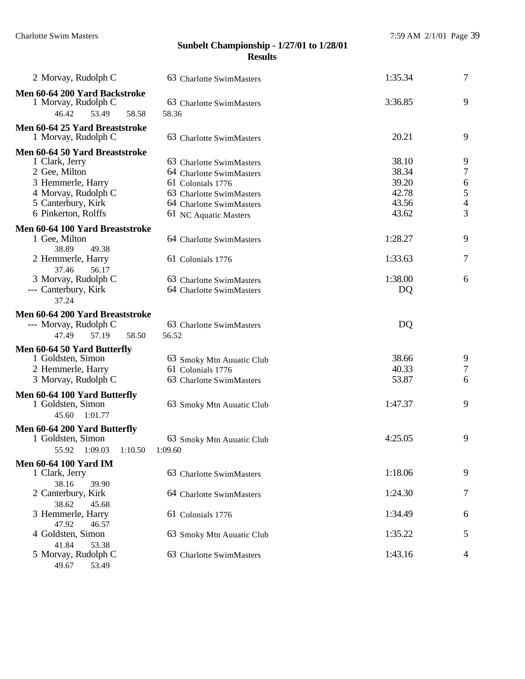| 2 Morvay, Rudolph C                                                                                                                                        | 63 Charlotte SwimMasters                                                                                                                                   | 1:35.34                                            | $\tau$                                                 |
|------------------------------------------------------------------------------------------------------------------------------------------------------------|------------------------------------------------------------------------------------------------------------------------------------------------------------|----------------------------------------------------|--------------------------------------------------------|
| Men 60-64 200 Yard Backstroke<br>1 Morvay, Rudolph C<br>53.49<br>58.58<br>46.42                                                                            | 63 Charlotte SwimMasters<br>58.36                                                                                                                          | 3:36.85                                            | 9                                                      |
| Men 60-64 25 Yard Breaststroke<br>1 Morvay, Rudolph C                                                                                                      | 63 Charlotte SwimMasters                                                                                                                                   | 20.21                                              | 9                                                      |
| Men 60-64 50 Yard Breaststroke<br>1 Clark, Jerry<br>2 Gee, Milton<br>3 Hemmerle, Harry<br>4 Morvay, Rudolph C<br>5 Canterbury, Kirk<br>6 Pinkerton, Rolffs | 63 Charlotte SwimMasters<br>64 Charlotte SwimMasters<br>61 Colonials 1776<br>63 Charlotte SwimMasters<br>64 Charlotte SwimMasters<br>61 NC Aquatic Masters | 38.10<br>38.34<br>39.20<br>42.78<br>43.56<br>43.62 | 9<br>$\boldsymbol{7}$<br>6<br>5<br>$\overline{4}$<br>3 |
| Men 60-64 100 Yard Breaststroke                                                                                                                            |                                                                                                                                                            |                                                    |                                                        |
| 1 Gee, Milton<br>38.89<br>49.38<br>2 Hemmerle, Harry<br>37.46<br>56.17<br>3 Morvay, Rudolph C                                                              | 64 Charlotte SwimMasters<br>61 Colonials 1776<br>63 Charlotte SwimMasters                                                                                  | 1:28.27<br>1:33.63<br>1:38.00                      | 9<br>7<br>6                                            |
| --- Canterbury, Kirk<br>37.24                                                                                                                              | 64 Charlotte SwimMasters                                                                                                                                   | DQ                                                 |                                                        |
| Men 60-64 200 Yard Breaststroke<br>--- Morvay, Rudolph C<br>57.19<br>47.49<br>58.50                                                                        | 63 Charlotte SwimMasters<br>56.52                                                                                                                          | DQ                                                 |                                                        |
| Men 60-64 50 Yard Butterfly<br>1 Goldsten, Simon<br>2 Hemmerle, Harry<br>3 Morvay, Rudolph C                                                               | 63 Smoky Mtn Auuatic Club<br>61 Colonials 1776<br>63 Charlotte SwimMasters                                                                                 | 38.66<br>40.33<br>53.87                            | 9<br>$\boldsymbol{7}$<br>6                             |
| Men 60-64 100 Yard Butterfly<br>1 Goldsten, Simon<br>45.60<br>1:01.77                                                                                      | 63 Smoky Mtn Auuatic Club                                                                                                                                  | 1:47.37                                            | 9                                                      |
| Men 60-64 200 Yard Butterfly<br>1 Goldsten, Simon<br>55.92<br>1:09.03<br>1:10.50                                                                           | 63 Smoky Mtn Auuatic Club<br>1:09.60                                                                                                                       | 4:25.05                                            | 9                                                      |
| <b>Men 60-64 100 Yard IM</b><br>1 Clark, Jerry<br>38.16<br>39.90                                                                                           | 63 Charlotte SwimMasters                                                                                                                                   | 1:18.06                                            | 9                                                      |
| 2 Canterbury, Kirk<br>38.62<br>45.68                                                                                                                       | 64 Charlotte SwimMasters                                                                                                                                   | 1:24.30                                            | 7                                                      |
| 3 Hemmerle, Harry<br>47.92<br>46.57                                                                                                                        | 61 Colonials 1776                                                                                                                                          | 1:34.49                                            | 6                                                      |
| 4 Goldsten, Simon<br>41.84<br>53.38                                                                                                                        | 63 Smoky Mtn Auuatic Club                                                                                                                                  | 1:35.22                                            | 5                                                      |
| 5 Morvay, Rudolph C<br>49.67<br>53.49                                                                                                                      | 63 Charlotte SwimMasters                                                                                                                                   | 1:43.16                                            | 4                                                      |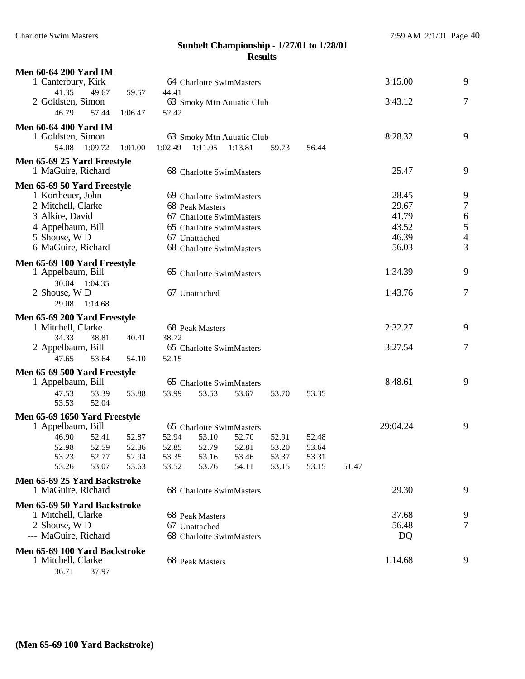| <b>Men 60-64 200 Yard IM</b>     |                |                |                           |                           |                |                |       |          |                |
|----------------------------------|----------------|----------------|---------------------------|---------------------------|----------------|----------------|-------|----------|----------------|
| 1 Canterbury, Kirk               |                |                | 64 Charlotte SwimMasters  |                           |                |                |       | 3:15.00  | 9              |
| 41.35<br>49.67                   | 59.57          | 44.41          |                           |                           |                |                |       |          |                |
| 2 Goldsten, Simon                |                |                | 63 Smoky Mtn Auuatic Club |                           |                |                |       | 3:43.12  | 7              |
| 46.79<br>57.44                   | 1:06.47        | 52.42          |                           |                           |                |                |       |          |                |
| <b>Men 60-64 400 Yard IM</b>     |                |                |                           |                           |                |                |       |          |                |
| 1 Goldsten, Simon                |                |                |                           | 63 Smoky Mtn Auuatic Club |                |                |       | 8:28.32  | 9              |
| 54.08 1:09.72                    | 1:01.00        | 1:02.49        | 1:11.05                   | 1:13.81                   | 59.73          | 56.44          |       |          |                |
| Men 65-69 25 Yard Freestyle      |                |                |                           |                           |                |                |       |          |                |
| 1 MaGuire, Richard               |                |                | 68 Charlotte SwimMasters  |                           |                |                |       | 25.47    | 9              |
| Men 65-69 50 Yard Freestyle      |                |                |                           |                           |                |                |       |          |                |
| 1 Kortheuer, John                |                |                | 69 Charlotte SwimMasters  |                           |                |                |       | 28.45    | 9              |
| 2 Mitchell, Clarke               |                |                | 68 Peak Masters           |                           |                |                |       | 29.67    | $\overline{7}$ |
| 3 Alkire, David                  |                |                | 67 Charlotte SwimMasters  |                           |                |                |       | 41.79    | 6              |
| 4 Appelbaum, Bill                |                |                | 65 Charlotte SwimMasters  |                           |                |                |       | 43.52    | 5              |
| 5 Shouse, W D                    |                |                | 67 Unattached             |                           |                |                |       | 46.39    | $\overline{4}$ |
| 6 MaGuire, Richard               |                |                | 68 Charlotte SwimMasters  |                           |                |                |       | 56.03    | 3              |
| Men 65-69 100 Yard Freestyle     |                |                |                           |                           |                |                |       |          |                |
| 1 Appelbaum, Bill                |                |                | 65 Charlotte SwimMasters  |                           |                |                |       | 1:34.39  | 9              |
| 30.04 1:04.35                    |                |                |                           |                           |                |                |       |          |                |
| 2 Shouse, W D                    |                |                | 67 Unattached             |                           |                |                |       | 1:43.76  | 7              |
| 29.08<br>1:14.68                 |                |                |                           |                           |                |                |       |          |                |
| Men 65-69 200 Yard Freestyle     |                |                |                           |                           |                |                |       |          |                |
| 1 Mitchell, Clarke               |                |                | 68 Peak Masters           |                           |                |                |       | 2:32.27  | 9              |
| 34.33<br>38.81                   | 40.41          | 38.72          |                           |                           |                |                |       |          |                |
| 2 Appelbaum, Bill                |                |                | 65 Charlotte SwimMasters  |                           |                |                |       | 3:27.54  | 7              |
| 47.65<br>53.64                   | 54.10          | 52.15          |                           |                           |                |                |       |          |                |
| Men 65-69 500 Yard Freestyle     |                |                |                           |                           |                |                |       |          |                |
| 1 Appelbaum, Bill                |                |                | 65 Charlotte SwimMasters  |                           |                |                |       | 8:48.61  | 9              |
| 47.53<br>53.39                   | 53.88          | 53.99          | 53.53                     | 53.67                     | 53.70          | 53.35          |       |          |                |
| 53.53<br>52.04                   |                |                |                           |                           |                |                |       |          |                |
| Men 65-69 1650 Yard Freestyle    |                |                |                           |                           |                |                |       |          |                |
| 1 Appelbaum, Bill                |                |                |                           | 65 Charlotte SwimMasters  |                |                |       | 29:04.24 | 9              |
| 46.90<br>52.41                   | 52.87          | 52.94          | 53.10                     | 52.70                     | 52.91          | 52.48          |       |          |                |
| 52.59<br>52.98                   | 52.36          | 52.85          | 52.79                     | 52.81                     | 53.20          | 53.64          |       |          |                |
| 53.23<br>52.77<br>53.26<br>53.07 | 52.94<br>53.63 | 53.35<br>53.52 | 53.16<br>53.76            | 53.46<br>54.11            | 53.37<br>53.15 | 53.31<br>53.15 | 51.47 |          |                |
|                                  |                |                |                           |                           |                |                |       |          |                |
| Men 65-69 25 Yard Backstroke     |                |                |                           |                           |                |                |       |          |                |
| 1 MaGuire, Richard               |                |                | 68 Charlotte SwimMasters  |                           |                |                |       | 29.30    | 9              |
| Men 65-69 50 Yard Backstroke     |                |                |                           |                           |                |                |       |          |                |
| 1 Mitchell, Clarke               |                |                | 68 Peak Masters           |                           |                |                |       | 37.68    | 9              |
| 2 Shouse, W D                    |                |                | 67 Unattached             |                           |                |                |       | 56.48    | 7              |
| --- MaGuire, Richard             |                |                | 68 Charlotte SwimMasters  |                           |                |                |       | DQ       |                |
| Men 65-69 100 Yard Backstroke    |                |                |                           |                           |                |                |       |          |                |
| 1 Mitchell, Clarke               |                |                | 68 Peak Masters           |                           |                |                |       | 1:14.68  | 9              |

36.71 37.97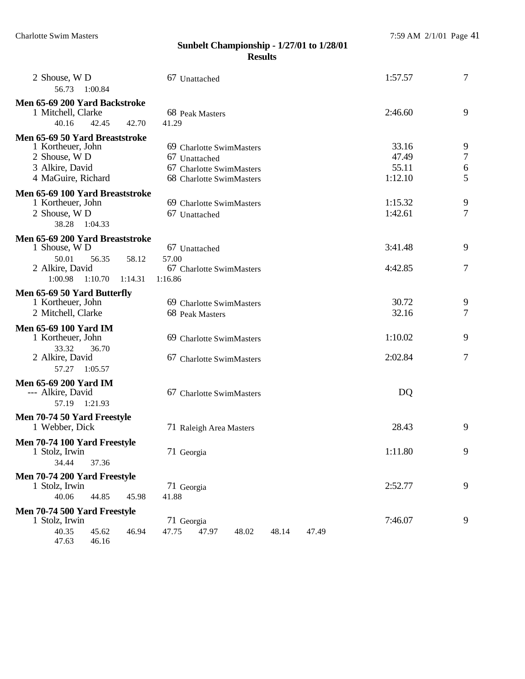| 2 Shouse, W D<br>56.73<br>1:00.84                                                                             | 67 Unattached                                                                                     | 1:57.57                            | $\tau$                |
|---------------------------------------------------------------------------------------------------------------|---------------------------------------------------------------------------------------------------|------------------------------------|-----------------------|
| Men 65-69 200 Yard Backstroke<br>1 Mitchell, Clarke<br>40.16<br>42.45                                         | 68 Peak Masters<br>42.70<br>41.29                                                                 | 2:46.60                            | 9                     |
| Men 65-69 50 Yard Breaststroke<br>1 Kortheuer, John<br>2 Shouse, W D<br>3 Alkire, David<br>4 MaGuire, Richard | 69 Charlotte SwimMasters<br>67 Unattached<br>67 Charlotte SwimMasters<br>68 Charlotte SwimMasters | 33.16<br>47.49<br>55.11<br>1:12.10 | 9<br>$\tau$<br>6<br>5 |
| Men 65-69 100 Yard Breaststroke<br>1 Kortheuer, John<br>2 Shouse, W D<br>38.28<br>1:04.33                     | 69 Charlotte SwimMasters<br>67 Unattached                                                         | 1:15.32<br>1:42.61                 | 9<br>$\overline{7}$   |
| Men 65-69 200 Yard Breaststroke<br>1 Shouse, W D<br>50.01<br>56.35<br>2 Alkire, David<br>1:00.98 1:10.70      | 67 Unattached<br>57.00<br>58.12<br>67 Charlotte SwimMasters<br>1:16.86<br>1:14.31                 | 3:41.48<br>4:42.85                 | 9<br>$\tau$           |
| Men 65-69 50 Yard Butterfly<br>1 Kortheuer, John<br>2 Mitchell, Clarke                                        | 69 Charlotte SwimMasters<br>68 Peak Masters                                                       | 30.72<br>32.16                     | 9<br>7                |
| <b>Men 65-69 100 Yard IM</b><br>1 Kortheuer, John<br>33.32<br>36.70<br>2 Alkire, David<br>57.27<br>1:05.57    | 69 Charlotte SwimMasters<br>67 Charlotte SwimMasters                                              | 1:10.02<br>2:02.84                 | 9<br>$\tau$           |
| <b>Men 65-69 200 Yard IM</b><br>--- Alkire, David<br>57.19 1:21.93                                            | 67 Charlotte SwimMasters                                                                          | DQ                                 |                       |
| Men 70-74 50 Yard Freestyle<br>1 Webber, Dick                                                                 | 71 Raleigh Area Masters                                                                           | 28.43                              | 9                     |
| Men 70-74 100 Yard Freestyle<br>1 Stolz, Irwin<br>34.44<br>37.36                                              | 71 Georgia                                                                                        | 1:11.80                            | 9                     |
| Men 70-74 200 Yard Freestyle<br>1 Stolz, Irwin<br>40.06<br>44.85                                              | 71 Georgia<br>41.88<br>45.98                                                                      | 2:52.77                            | 9                     |
| Men 70-74 500 Yard Freestyle<br>1 Stolz, Irwin<br>40.35<br>45.62<br>47.63<br>46.16                            | 71 Georgia<br>46.94<br>47.75<br>48.14<br>47.97<br>48.02<br>47.49                                  | 7:46.07                            | 9                     |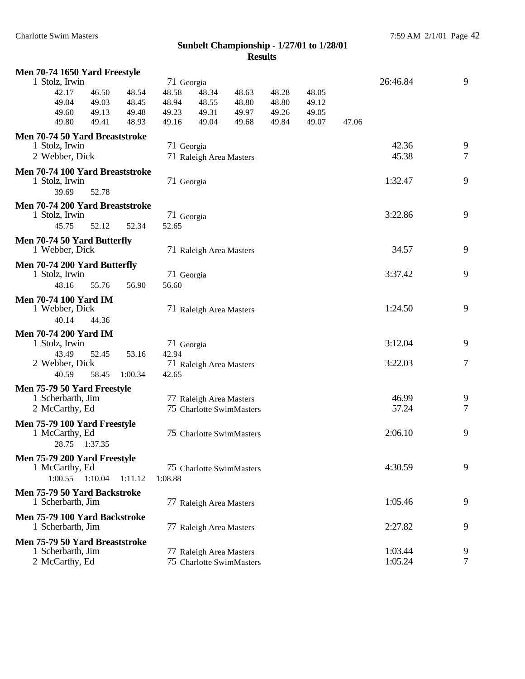| Men 70-74 1650 Yard Freestyle                     |                  |            |                         |                          |       |       |       |          |        |
|---------------------------------------------------|------------------|------------|-------------------------|--------------------------|-------|-------|-------|----------|--------|
| 1 Stolz, Irwin                                    |                  | 71 Georgia |                         |                          |       |       |       | 26:46.84 | 9      |
| 42.17                                             | 46.50<br>48.54   | 48.58      | 48.34                   | 48.63                    | 48.28 | 48.05 |       |          |        |
| 49.04                                             | 49.03<br>48.45   | 48.94      | 48.55                   | 48.80                    | 48.80 | 49.12 |       |          |        |
| 49.60                                             | 49.13<br>49.48   | 49.23      | 49.31                   | 49.97                    | 49.26 | 49.05 |       |          |        |
| 49.80                                             | 49.41<br>48.93   | 49.16      | 49.04                   | 49.68                    | 49.84 | 49.07 | 47.06 |          |        |
| Men 70-74 50 Yard Breaststroke                    |                  |            |                         |                          |       |       |       |          |        |
| 1 Stolz, Irwin                                    |                  | 71 Georgia |                         |                          |       |       |       | 42.36    | 9      |
| 2 Webber, Dick                                    |                  |            | 71 Raleigh Area Masters |                          |       |       |       | 45.38    | $\tau$ |
| Men 70-74 100 Yard Breaststroke<br>1 Stolz, Irwin |                  | 71 Georgia |                         |                          |       |       |       | 1:32.47  | 9      |
| 39.69                                             | 52.78            |            |                         |                          |       |       |       |          |        |
| Men 70-74 200 Yard Breaststroke                   |                  |            |                         |                          |       |       |       |          |        |
| 1 Stolz, Irwin                                    |                  | 71 Georgia |                         |                          |       |       |       | 3:22.86  | 9      |
| 45.75                                             | 52.12<br>52.34   | 52.65      |                         |                          |       |       |       |          |        |
| Men 70-74 50 Yard Butterfly                       |                  |            |                         |                          |       |       |       |          |        |
| 1 Webber, Dick                                    |                  |            | 71 Raleigh Area Masters |                          |       |       |       | 34.57    | 9      |
| Men 70-74 200 Yard Butterfly                      |                  |            |                         |                          |       |       |       |          |        |
| 1 Stolz, Irwin                                    |                  | 71 Georgia |                         |                          |       |       |       | 3:37.42  | 9      |
| 48.16                                             | 55.76<br>56.90   | 56.60      |                         |                          |       |       |       |          |        |
| <b>Men 70-74 100 Yard IM</b>                      |                  |            |                         |                          |       |       |       |          |        |
| 1 Webber, Dick                                    |                  |            | 71 Raleigh Area Masters |                          |       |       |       | 1:24.50  | 9      |
| 40.14                                             | 44.36            |            |                         |                          |       |       |       |          |        |
| <b>Men 70-74 200 Yard IM</b>                      |                  |            |                         |                          |       |       |       |          |        |
| 1 Stolz, Irwin                                    |                  | 71 Georgia |                         |                          |       |       |       | 3:12.04  | 9      |
| 43.49                                             | 52.45<br>53.16   | 42.94      |                         |                          |       |       |       |          |        |
| 2 Webber, Dick                                    |                  |            | 71 Raleigh Area Masters |                          |       |       |       | 3:22.03  | $\tau$ |
| 40.59                                             | 58.45<br>1:00.34 | 42.65      |                         |                          |       |       |       |          |        |
| Men 75-79 50 Yard Freestyle                       |                  |            |                         |                          |       |       |       |          |        |
| 1 Scherbarth, Jim                                 |                  |            | 77 Raleigh Area Masters |                          |       |       |       | 46.99    | 9      |
| 2 McCarthy, Ed                                    |                  |            |                         | 75 Charlotte SwimMasters |       |       |       | 57.24    | $\tau$ |
| Men 75-79 100 Yard Freestyle<br>1 McCarthy, Ed    |                  |            |                         | 75 Charlotte SwimMasters |       |       |       | 2:06.10  | 9      |
| 28.75 1:37.35                                     |                  |            |                         |                          |       |       |       |          |        |
| Men 75-79 200 Yard Freestyle                      |                  |            |                         |                          |       |       |       |          |        |
| 1 McCarthy, Ed                                    |                  |            |                         | 75 Charlotte SwimMasters |       |       |       | 4:30.59  | 9      |
| 1:00.55<br>1:10.04                                | 1:11.12          | 1:08.88    |                         |                          |       |       |       |          |        |
| Men 75-79 50 Yard Backstroke                      |                  |            |                         |                          |       |       |       |          |        |
| 1 Scherbarth, Jim                                 |                  |            | 77 Raleigh Area Masters |                          |       |       |       | 1:05.46  | 9      |
| Men 75-79 100 Yard Backstroke                     |                  |            |                         |                          |       |       |       |          |        |
| 1 Scherbarth, Jim                                 |                  |            | 77 Raleigh Area Masters |                          |       |       |       | 2:27.82  | 9      |
| Men 75-79 50 Yard Breaststroke                    |                  |            |                         |                          |       |       |       |          |        |
| 1 Scherbarth, Jim                                 |                  |            | 77 Raleigh Area Masters |                          |       |       |       | 1:03.44  | 9      |
| 2 McCarthy, Ed                                    |                  |            |                         | 75 Charlotte SwimMasters |       |       |       | 1:05.24  | $\tau$ |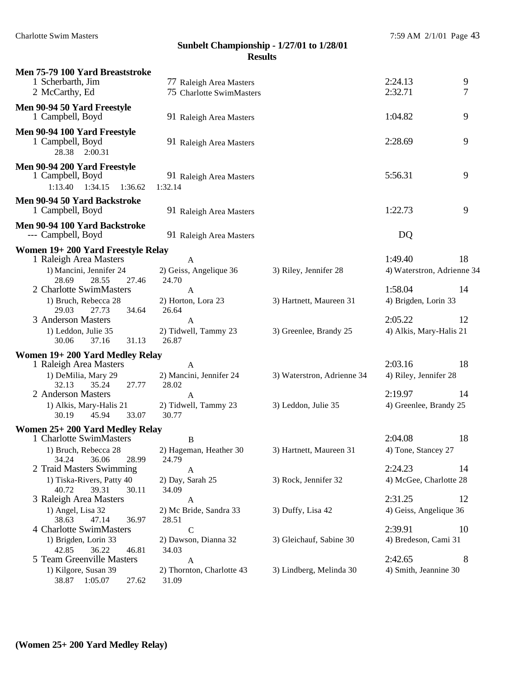| Men 75-79 100 Yard Breaststroke                                                                 |                                                        |                            |                                       |    |
|-------------------------------------------------------------------------------------------------|--------------------------------------------------------|----------------------------|---------------------------------------|----|
| 1 Scherbarth, Jim                                                                               | 77 Raleigh Area Masters                                |                            | 2:24.13                               | 9  |
| 2 McCarthy, Ed                                                                                  | 75 Charlotte SwimMasters                               |                            | 2:32.71                               | 7  |
| Men 90-94 50 Yard Freestyle<br>1 Campbell, Boyd                                                 | 91 Raleigh Area Masters                                |                            | 1:04.82                               | 9  |
| Men 90-94 100 Yard Freestyle<br>1 Campbell, Boyd<br>28.38 2:00.31                               | 91 Raleigh Area Masters                                |                            | 2:28.69                               | 9  |
| Men 90-94 200 Yard Freestyle<br>1 Campbell, Boyd<br>1:13.40  1:34.15  1:36.62                   | 91 Raleigh Area Masters<br>1:32.14                     |                            | 5:56.31                               | 9  |
| Men 90-94 50 Yard Backstroke<br>1 Campbell, Boyd                                                | 91 Raleigh Area Masters                                |                            | 1:22.73                               | 9  |
| Men 90-94 100 Yard Backstroke<br>--- Campbell, Boyd                                             | 91 Raleigh Area Masters                                |                            | DQ                                    |    |
| Women 19+200 Yard Freestyle Relay                                                               |                                                        |                            |                                       |    |
| 1 Raleigh Area Masters<br>1) Mancini, Jennifer 24<br>28.69<br>28.55<br>27.46                    | $\mathbf{A}$<br>2) Geiss, Angelique 36<br>24.70        | 3) Riley, Jennifer 28      | 1:49.40<br>4) Waterstron, Adrienne 34 | 18 |
| 2 Charlotte SwimMasters<br>1) Bruch, Rebecca 28                                                 | $\mathbf{A}$<br>2) Horton, Lora 23                     | 3) Hartnett, Maureen 31    | 1:58.04<br>4) Brigden, Lorin 33       | 14 |
| 29.03<br>27.73<br>34.64<br>3 Anderson Masters<br>1) Leddon, Julie 35<br>37.16<br>31.13<br>30.06 | 26.64<br>$\mathbf{A}$<br>2) Tidwell, Tammy 23<br>26.87 | 3) Greenlee, Brandy 25     | 2:05.22<br>4) Alkis, Mary-Halis 21    | 12 |
| Women 19+200 Yard Medley Relay                                                                  |                                                        |                            |                                       |    |
| 1 Raleigh Area Masters                                                                          | $\mathbf{A}$                                           |                            | 2:03.16                               | 18 |
| 1) DeMilia, Mary 29<br>32.13<br>35.24<br>27.77                                                  | 2) Mancini, Jennifer 24<br>28.02                       | 3) Waterstron, Adrienne 34 | 4) Riley, Jennifer 28                 |    |
| 2 Anderson Masters                                                                              | A                                                      |                            | 2:19.97                               | 14 |
| 1) Alkis, Mary-Halis 21<br>33.07<br>30.19<br>45.94                                              | 2) Tidwell, Tammy 23<br>30.77                          | 3) Leddon, Julie 35        | 4) Greenlee, Brandy 25                |    |
| Women 25+200 Yard Medley Relay                                                                  |                                                        |                            |                                       |    |
| 1 Charlotte SwimMasters                                                                         | B                                                      |                            | 2:04.08                               | 18 |
| 1) Bruch, Rebecca 28 2) Hageman, Heather 30<br>34.24<br>36.06<br>28.99                          | 24.79                                                  | 3) Hartnett, Maureen 31    | 4) Tone, Stancey 27                   |    |
| 2 Traid Masters Swimming                                                                        | A                                                      |                            | 2:24.23                               | 14 |
| 1) Tiska-Rivers, Patty 40                                                                       | 2) Day, Sarah 25                                       | 3) Rock, Jennifer 32       | 4) McGee, Charlotte 28                |    |
| 40.72<br>39.31<br>30.11<br>3 Raleigh Area Masters                                               | 34.09<br>A                                             |                            | 2:31.25                               | 12 |
| 1) Angel, Lisa 32<br>47.14<br>38.63<br>36.97                                                    | 2) Mc Bride, Sandra 33<br>28.51                        | 3) Duffy, Lisa 42          | 4) Geiss, Angelique 36                |    |
| 4 Charlotte SwimMasters                                                                         | $\mathbf C$                                            |                            | 2:39.91                               | 10 |
| 1) Brigden, Lorin 33                                                                            | 2) Dawson, Dianna 32                                   | 3) Gleichauf, Sabine 30    | 4) Bredeson, Cami 31                  |    |
| 36.22<br>42.85<br>46.81<br>5 Team Greenville Masters                                            | 34.03<br>A                                             |                            | 2:42.65                               | 8  |
| 1) Kilgore, Susan 39<br>38.87 1:05.07<br>27.62                                                  | 2) Thornton, Charlotte 43<br>31.09                     | 3) Lindberg, Melinda 30    | 4) Smith, Jeannine 30                 |    |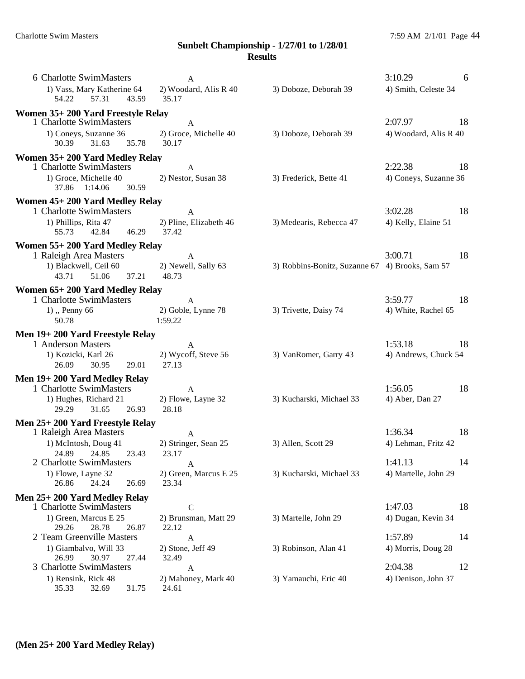| 6 Charlotte SwimMasters<br>1) Vass, Mary Katherine 64                       | A<br>2) Woodard, Alis R 40                     | 3) Doboze, Deborah 39                           | 3:10.29<br>4) Smith, Celeste 34 | 6   |
|-----------------------------------------------------------------------------|------------------------------------------------|-------------------------------------------------|---------------------------------|-----|
| 57.31 43.59<br>54.22                                                        | 35.17                                          |                                                 |                                 |     |
| Women 35+200 Yard Freestyle Relay<br>1 Charlotte SwimMasters                |                                                |                                                 | 2:07.97                         | 18  |
| 1) Coneys, Suzanne 36<br>31.63<br>35.78<br>30.39                            | $\mathbf{A}$<br>2) Groce, Michelle 40<br>30.17 | 3) Doboze, Deborah 39                           | 4) Woodard, Alis R 40           |     |
| Women 35+200 Yard Medley Relay<br>1 Charlotte SwimMasters                   | $\mathbf{A}$                                   |                                                 | 2:22.38                         | -18 |
| 1) Groce, Michelle 40<br>37.86 1:14.06<br>30.59                             | 2) Nestor, Susan 38                            | 3) Frederick, Bette 41                          | 4) Coneys, Suzanne 36           |     |
| Women 45+200 Yard Medley Relay                                              |                                                |                                                 |                                 |     |
| 1 Charlotte SwimMasters<br>1) Phillips, Rita 47<br>42.84 46.29<br>55.73     | A<br>2) Pline, Elizabeth 46<br>37.42           | 3) Medearis, Rebecca 47                         | 3:02.28<br>4) Kelly, Elaine 51  | 18  |
| Women 55+200 Yard Medley Relay                                              |                                                |                                                 |                                 |     |
| 1 Raleigh Area Masters<br>1) Blackwell, Ceil 60<br>43.71<br>51.06<br>37.21  | A<br>2) Newell, Sally 63<br>48.73              | 3) Robbins-Bonitz, Suzanne 67 4) Brooks, Sam 57 | 3:00.71                         | 18  |
| Women 65+200 Yard Medley Relay                                              |                                                |                                                 |                                 |     |
| 1 Charlotte SwimMasters<br>$1)$ , Penny 66<br>50.78                         | $\mathbf{A}$<br>2) Goble, Lynne 78<br>1:59.22  | 3) Trivette, Daisy 74                           | 3:59.77<br>4) White, Rachel 65  | 18  |
| Men 19+200 Yard Freestyle Relay                                             |                                                |                                                 |                                 |     |
| 1 Anderson Masters<br>1) Kozicki, Karl 26<br>26.09<br>30.95<br>29.01        | A<br>2) Wycoff, Steve 56<br>27.13              | 3) VanRomer, Garry 43                           | 1:53.18<br>4) Andrews, Chuck 54 | 18  |
| Men 19+200 Yard Medley Relay                                                |                                                |                                                 |                                 |     |
| 1 Charlotte SwimMasters<br>1) Hughes, Richard 21<br>31.65<br>29.29<br>26.93 | $\mathbf{A}$<br>2) Flowe, Layne 32<br>28.18    | 3) Kucharski, Michael 33                        | 1:56.05<br>4) Aber, Dan 27      | 18  |
| Men 25+200 Yard Freestyle Relay                                             |                                                |                                                 |                                 |     |
| 1 Raleigh Area Masters<br>1) McIntosh, Doug 41<br>24.89 24.85<br>23.43      | A<br>2) Stringer, Sean 25<br>23.17             | 3) Allen, Scott 29                              | 1:36.34<br>4) Lehman, Fritz 42  | 18  |
| 2 Charlotte SwimMasters<br>1) Flowe, Layne 32<br>26.86<br>24.24<br>26.69    | A<br>2) Green, Marcus E 25<br>23.34            | 3) Kucharski, Michael 33                        | 1:41.13<br>4) Martelle, John 29 | 14  |
| Men 25+200 Yard Medley Relay                                                |                                                |                                                 |                                 |     |
| 1 Charlotte SwimMasters<br>1) Green, Marcus E 25                            | $\mathcal{C}$<br>2) Brunsman, Matt 29          | 3) Martelle, John 29                            | 1:47.03<br>4) Dugan, Kevin 34   | 18  |
| 28.78<br>29.26<br>26.87<br>2 Team Greenville Masters                        | 22.12<br>A                                     |                                                 | 1:57.89                         | 14  |
| 1) Giambalvo, Will 33                                                       | 2) Stone, Jeff 49                              | 3) Robinson, Alan 41                            | 4) Morris, Doug 28              |     |
| 26.99<br>30.97<br>27.44<br>3 Charlotte SwimMasters                          | 32.49<br>A                                     |                                                 | 2:04.38                         | 12  |
| 1) Rensink, Rick 48<br>35.33<br>32.69<br>31.75                              | 2) Mahoney, Mark 40<br>24.61                   | 3) Yamauchi, Eric 40                            | 4) Denison, John 37             |     |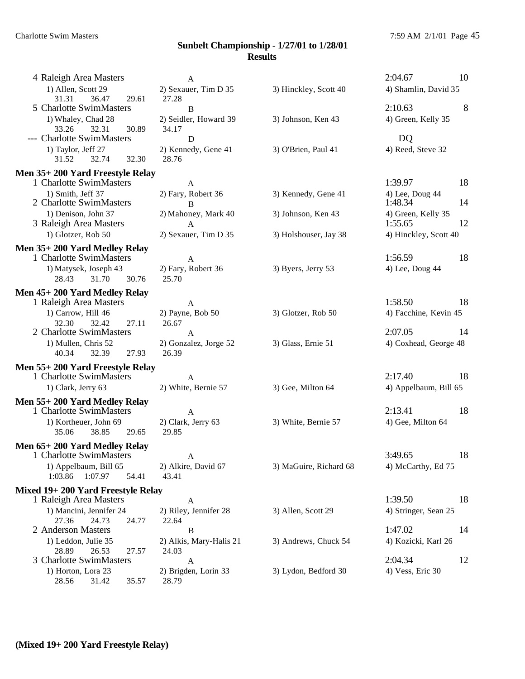| 4 Raleigh Area Masters                                     | $\mathbf{A}$                   |                        | 2:04.67<br>10         |
|------------------------------------------------------------|--------------------------------|------------------------|-----------------------|
| 1) Allen, Scott 29                                         | 2) Sexauer, Tim D 35           | 3) Hinckley, Scott 40  | 4) Shamlin, David 35  |
| 36.47<br>31.31<br>29.61                                    | 27.28                          |                        |                       |
| 5 Charlotte SwimMasters                                    | B                              |                        | 2:10.63<br>8          |
| 1) Whaley, Chad 28<br>32.31<br>33.26<br>30.89              | 2) Seidler, Howard 39<br>34.17 | 3) Johnson, Ken 43     | 4) Green, Kelly 35    |
| --- Charlotte SwimMasters                                  | D                              |                        | DQ                    |
| 1) Taylor, Jeff 27                                         | 2) Kennedy, Gene 41            | 3) O'Brien, Paul 41    | 4) Reed, Steve 32     |
| 31.52<br>32.74<br>32.30                                    | 28.76                          |                        |                       |
| Men 35+200 Yard Freestyle Relay                            |                                |                        |                       |
| 1 Charlotte SwimMasters                                    | A                              |                        | 18<br>1:39.97         |
| 1) Smith, Jeff 37                                          | 2) Fary, Robert 36             | 3) Kennedy, Gene 41    | 4) Lee, Doug 44       |
| 2 Charlotte SwimMasters                                    | B                              |                        | 14<br>1:48.34         |
| 1) Denison, John 37                                        | 2) Mahoney, Mark 40            | 3) Johnson, Ken 43     | 4) Green, Kelly 35    |
| 3 Raleigh Area Masters                                     | $\mathbf{A}$                   |                        | 12<br>1:55.65         |
| 1) Glotzer, Rob 50                                         | 2) Sexauer, Tim D 35           | 3) Holshouser, Jay 38  | 4) Hinckley, Scott 40 |
| Men 35+200 Yard Medley Relay                               |                                |                        |                       |
| 1 Charlotte SwimMasters                                    | $\mathbf{A}$                   |                        | 1:56.59<br>18         |
| 1) Matysek, Joseph 43                                      | 2) Fary, Robert 36             | 3) Byers, Jerry 53     | 4) Lee, Doug 44       |
| 28.43<br>31.70<br>30.76                                    | 25.70                          |                        |                       |
| Men 45+200 Yard Medley Relay                               |                                |                        |                       |
| 1 Raleigh Area Masters                                     | A                              |                        | 1:58.50<br>18         |
| 1) Carrow, Hill 46                                         | 2) Payne, Bob 50               | 3) Glotzer, Rob 50     | 4) Facchine, Kevin 45 |
| 32.30<br>32.42<br>27.11<br>2 Charlotte SwimMasters         | 26.67                          |                        | 2:07.05<br>14         |
|                                                            | A                              |                        | 4) Coxhead, George 48 |
| 1) Mullen, Chris 52<br>40.34<br>32.39<br>27.93             | 2) Gonzalez, Jorge 52<br>26.39 | 3) Glass, Ernie 51     |                       |
|                                                            |                                |                        |                       |
| Men 55+200 Yard Freestyle Relay<br>1 Charlotte SwimMasters |                                |                        | 2:17.40<br>18         |
| 1) Clark, Jerry 63                                         | A<br>2) White, Bernie 57       | 3) Gee, Milton 64      | 4) Appelbaum, Bill 65 |
|                                                            |                                |                        |                       |
| Men 55+200 Yard Medley Relay<br>1 Charlotte SwimMasters    |                                |                        | 2:13.41<br>18         |
| 1) Kortheuer, John 69                                      | A                              |                        |                       |
| 35.06<br>38.85<br>29.65                                    | 2) Clark, Jerry 63<br>29.85    | 3) White, Bernie 57    | 4) Gee, Milton 64     |
|                                                            |                                |                        |                       |
| Men 65+200 Yard Medley Relay<br>1 Charlotte SwimMasters    |                                |                        | 3:49.65<br>18         |
| 1) Appelbaum, Bill 65                                      | 2) Alkire, David 67            | 3) MaGuire, Richard 68 | 4) McCarthy, Ed 75    |
| 1:07.97<br>1:03.86<br>54.41                                | 43.41                          |                        |                       |
| Mixed 19+200 Yard Freestyle Relay                          |                                |                        |                       |
| 1 Raleigh Area Masters                                     | A                              |                        | 1:39.50<br>18         |
| 1) Mancini, Jennifer 24                                    | 2) Riley, Jennifer 28          | 3) Allen, Scott 29     | 4) Stringer, Sean 25  |
| 27.36<br>24.73<br>24.77                                    | 22.64                          |                        |                       |
| 2 Anderson Masters                                         | B                              |                        | 1:47.02<br>14         |
| 1) Leddon, Julie 35                                        | 2) Alkis, Mary-Halis 21        | 3) Andrews, Chuck 54   | 4) Kozicki, Karl 26   |
| 28.89<br>26.53<br>27.57                                    | 24.03                          |                        |                       |
| 3 Charlotte SwimMasters                                    | A                              |                        | 2:04.34<br>12         |
| 1) Horton, Lora 23<br>28.56<br>35.57<br>31.42              | 2) Brigden, Lorin 33<br>28.79  | 3) Lydon, Bedford 30   | 4) Vess, Eric 30      |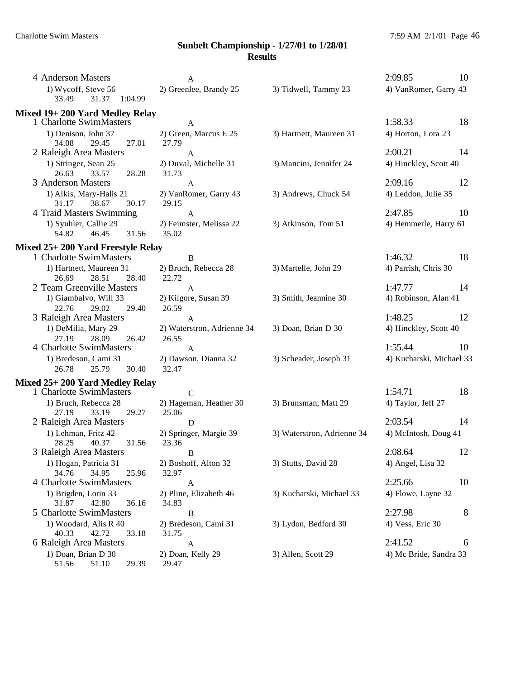| 4 Anderson Masters                                 | A                                |                            | 2:09.85<br>10            |  |
|----------------------------------------------------|----------------------------------|----------------------------|--------------------------|--|
| 1) Wycoff, Steve 56<br>33.49<br>31.37 1:04.99      | 2) Greenlee, Brandy 25           | 3) Tidwell, Tammy 23       | 4) VanRomer, Garry 43    |  |
| Mixed 19+200 Yard Medley Relay                     |                                  |                            |                          |  |
| 1 Charlotte SwimMasters                            | $\mathbf{A}$                     |                            | 1:58.33<br>18            |  |
| 1) Denison, John 37<br>34.08<br>29.45<br>27.01     | 2) Green, Marcus E 25<br>27.79   | 3) Hartnett, Maureen 31    | 4) Horton, Lora 23       |  |
| 2 Raleigh Area Masters                             | $\mathbf{A}$                     |                            | 2:00.21<br>14            |  |
| 1) Stringer, Sean 25<br>33.57<br>26.63<br>28.28    | 2) Duval, Michelle 31<br>31.73   | 3) Mancini, Jennifer 24    | 4) Hinckley, Scott 40    |  |
| 3 Anderson Masters                                 | $\mathbf{A}$                     |                            | 2:09.16<br>12            |  |
| 1) Alkis, Mary-Halis 21<br>31.17<br>38.67<br>30.17 | 2) VanRomer, Garry 43<br>29.15   | 3) Andrews, Chuck 54       | 4) Leddon, Julie 35      |  |
| 4 Traid Masters Swimming                           | $\mathbf{A}$                     |                            | 2:47.85<br>10            |  |
| 1) Syuhler, Callie 29<br>54.82<br>46.45<br>31.56   | 2) Feimster, Melissa 22<br>35.02 | 3) Atkinson, Tom 51        | 4) Hemmerle, Harry 61    |  |
| Mixed 25+ 200 Yard Freestyle Relay                 |                                  |                            |                          |  |
| 1 Charlotte SwimMasters                            | $\bf{B}$                         |                            | 1:46.32<br>18            |  |
| 1) Hartnett, Maureen 31                            | 2) Bruch, Rebecca 28             | 3) Martelle, John 29       | 4) Parrish, Chris 30     |  |
| 26.69<br>28.51<br>28.40                            | 22.72                            |                            |                          |  |
| 2 Team Greenville Masters                          | $\mathbf{A}$                     |                            | 1:47.77<br>14            |  |
| 1) Giambalvo, Will 33<br>22.76<br>29.02<br>29.40   | 2) Kilgore, Susan 39<br>26.59    | 3) Smith, Jeannine 30      | 4) Robinson, Alan 41     |  |
| 3 Raleigh Area Masters                             | $\mathbf{A}$                     |                            | 1:48.25<br>12            |  |
| 1) DeMilia, Mary 29                                | 2) Waterstron, Adrienne 34       | 3) Doan, Brian D 30        | 4) Hinckley, Scott 40    |  |
| 27.19<br>28.09<br>26.42                            | 26.55                            |                            |                          |  |
| 4 Charlotte SwimMasters                            | $\mathbf{A}$                     |                            | 1:55.44<br>10            |  |
| 1) Bredeson, Cami 31                               | 2) Dawson, Dianna 32             | 3) Scheader, Joseph 31     | 4) Kucharski, Michael 33 |  |
| 25.79<br>26.78<br>30.40                            | 32.47                            |                            |                          |  |
| Mixed 25+ 200 Yard Medley Relay                    |                                  |                            |                          |  |
| 1 Charlotte SwimMasters                            | $\mathbf C$                      |                            | 1:54.71<br>18            |  |
| 1) Bruch, Rebecca 28                               | 2) Hageman, Heather 30           | 3) Brunsman, Matt 29       | 4) Taylor, Jeff 27       |  |
| 33.19<br>29.27<br>27.19                            | 25.06                            |                            |                          |  |
| 2 Raleigh Area Masters                             | D                                |                            | 2:03.54<br>14            |  |
| 1) Lehman, Fritz 42                                | 2) Springer, Margie 39           | 3) Waterstron, Adrienne 34 | 4) McIntosh, Doug 41     |  |
| 28.25<br>40.37<br>31.56                            | 23.36                            |                            |                          |  |
| 3 Raleigh Area Masters                             | B                                |                            | 2:08.64<br>12            |  |
| 1) Hogan, Patricia 31                              | 2) Boshoff, Alton 32             | 3) Stutts, David 28        | 4) Angel, Lisa 32        |  |
| 34.76<br>34.95<br>25.96                            | 32.97                            |                            |                          |  |
| 4 Charlotte SwimMasters                            | A                                |                            | 2:25.66<br>10            |  |
| 1) Brigden, Lorin 33                               | 2) Pline, Elizabeth 46           | 3) Kucharski, Michael 33   | 4) Flowe, Layne 32       |  |
| 31.87<br>42.80<br>36.16<br>5 Charlotte SwimMasters | 34.83                            |                            | 2:27.98<br>8             |  |
|                                                    | $\, {\bf B}$                     |                            |                          |  |
| 1) Woodard, Alis R 40<br>42.72<br>40.33<br>33.18   | 2) Bredeson, Cami 31<br>31.75    | 3) Lydon, Bedford 30       | 4) Vess, Eric 30         |  |
| 6 Raleigh Area Masters                             | $\mathbf A$                      |                            | 2:41.52<br>6             |  |
| 1) Doan, Brian D 30<br>2) Doan, Kelly 29           |                                  | 3) Allen, Scott 29         | 4) Mc Bride, Sandra 33   |  |
| 51.56<br>51.10<br>29.39                            | 29.47                            |                            |                          |  |
|                                                    |                                  |                            |                          |  |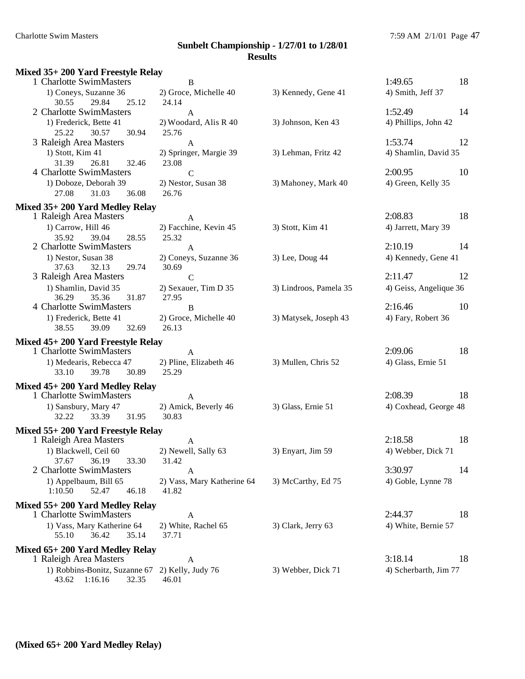#### Charlotte Swim Masters 7:59 AM 2/1/01 Page 47 **Sunbelt Championship - 1/27/01 to 1/28/01 Results Mixed 35+ 200 Yard Freestyle Relay** 1 Charlotte SwimMasters B 1:49.65 18 1) Coneys, Suzanne 36 2) Groce, Michelle 40 3) Kennedy, Gene 41 4) Smith, Jeff 37 30.55 29.84 25.12 24.14 2 Charlotte SwimMasters A 1:52.49 14 1) Frederick, Bette 41 2) Woodard, Alis R 40 3) Johnson, Ken 43 4) Phillips, John 42 25.22 30.57 30.94 25.76 3 Raleigh Area Masters A 1:53.74 12 1) Stott, Kim 41 2) Springer, Margie 39 3) Lehman, Fritz 42 4) Shamlin, David 35 31.39 26.81 32.46 23.08 4 Charlotte SwimMasters C C 2:00.95 10 1) Doboze, Deborah 39 2) Nestor, Susan 38 3) Mahoney, Mark 40 4) Green, Kelly 35 27.08 31.03 36.08 26.76 **Mixed 35+ 200 Yard Medley Relay** 1 Raleigh Area Masters A 2:08.83 18 1) Carrow, Hill 46 2) Facchine, Kevin 45 3) Stott, Kim 41 4) Jarrett, Mary 39 35.92 39.04 28.55 25.32 2 Charlotte SwimMasters  $A$  A 2:10.19 14 1) Nestor, Susan 38 2) Coneys, Suzanne 36 3) Lee, Doug 44 4 4) Kennedy, Gene 41 37.63 32.13 29.74 30.69 3 Raleigh Area Masters C C 2:11.47 12 1) Shamlin, David 35 2) Sexauer, Tim D 35 3) Lindroos, Pamela 35 4) Geiss, Angelique 36 36.29 35.36 31.87 27.95 4 Charlotte SwimMasters B 2:16.46 10 1) Frederick, Bette 41 2) Groce, Michelle 40 3) Matysek, Joseph 43 4) Fary, Robert 36 38.55 39.09 32.69 26.13 **Mixed 45+ 200 Yard Freestyle Relay** 1 Charlotte SwimMasters A 2:09.06 18 1) Medearis, Rebecca 47 2) Pline, Elizabeth 46 3) Mullen, Chris 52 4) Glass, Ernie 51 33.10 39.78 30.89 25.29 **Mixed 45+ 200 Yard Medley Relay** 1 Charlotte SwimMasters  $A$  A 2:08.39 18 1) Sansbury, Mary 47 2) Amick, Beverly 46 3) Glass, Ernie 51 4) Coxhead, George 48 32.22 33.39 31.95 30.83 **Mixed 55+ 200 Yard Freestyle Relay** 1 Raleigh Area Masters A 2:18.58 18 1) Blackwell, Ceil 60 2) Newell, Sally 63 3) Enyart, Jim 59 4) Webber, Dick 71 37.67 36.19 33.30 31.42 2 Charlotte SwimMasters  $A$  4 3:30.97 14 1) Appelbaum, Bill 65 2) Vass, Mary Katherine 64 3) McCarthy, Ed 75 4) Goble, Lynne 78 1:10.50 52.47 46.18 41.82 **Mixed 55+ 200 Yard Medley Relay** 1 Charlotte SwimMasters A 2:44.37 18 1) Vass, Mary Katherine 64 2) White, Rachel 65 3) Clark, Jerry 63 4) White, Bernie 57 55.10 36.42 35.14 37.71 **Mixed 65+ 200 Yard Medley Relay** 1 Raleigh Area Masters A 3:18.14 18

1) Robbins-Bonitz, Suzanne 67 2) Kelly, Judy 76 3) Webber, Dick 71 4) Scherbarth, Jim 77 43.62 1:16.16 32.35 46.01